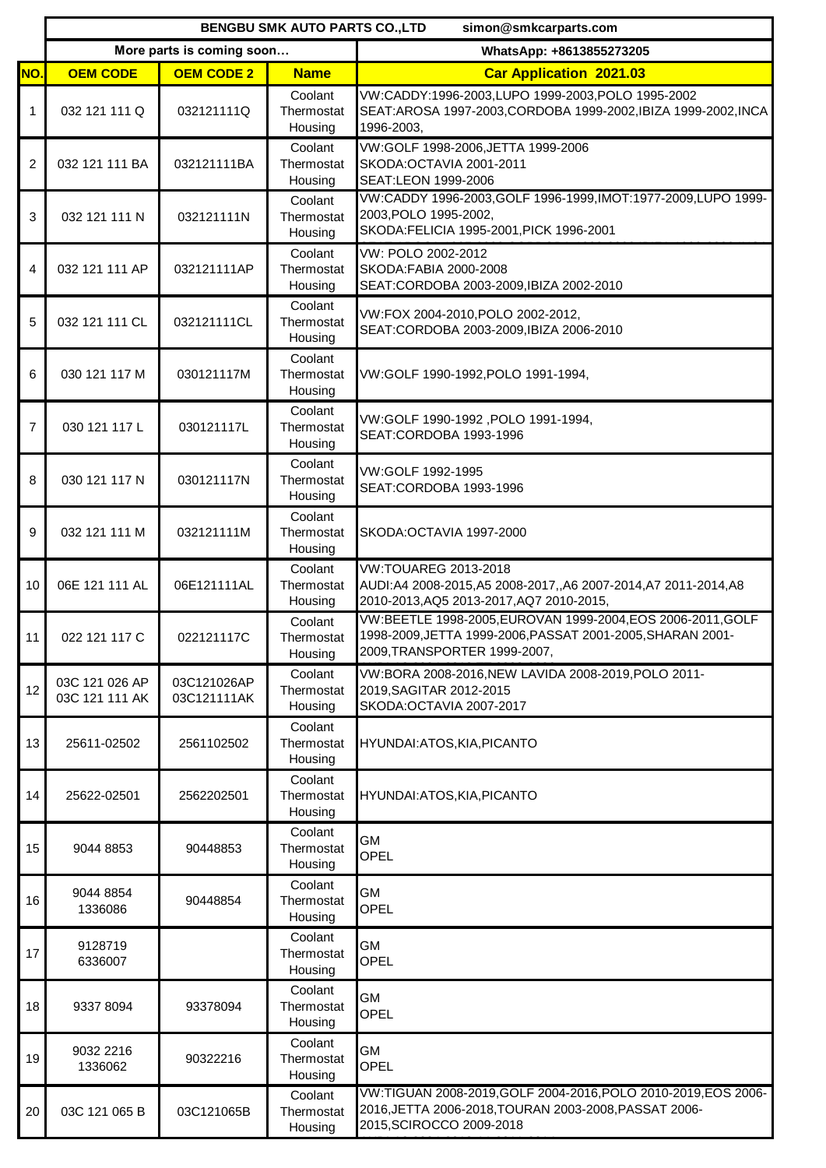|                | <b>BENGBU SMK AUTO PARTS CO., LTD</b><br>simon@smkcarparts.com |                            |                                  |                                                                                                                                                           |
|----------------|----------------------------------------------------------------|----------------------------|----------------------------------|-----------------------------------------------------------------------------------------------------------------------------------------------------------|
|                |                                                                | More parts is coming soon  |                                  | WhatsApp: +8613855273205                                                                                                                                  |
| NO.            | <b>OEM CODE</b>                                                | <b>OEM CODE 2</b>          | <b>Name</b>                      | <b>Car Application 2021.03</b>                                                                                                                            |
| 1              | 032 121 111 Q                                                  | 032121111Q                 | Coolant<br>Thermostat<br>Housing | VW:CADDY:1996-2003,LUPO 1999-2003,POLO 1995-2002<br>SEAT:AROSA 1997-2003, CORDOBA 1999-2002, IBIZA 1999-2002, INCA<br>1996-2003,                          |
| $\overline{2}$ | 032 121 111 BA                                                 | 032121111BA                | Coolant<br>Thermostat<br>Housing | VW:GOLF 1998-2006, JETTA 1999-2006<br>SKODA: OCTAVIA 2001-2011<br>SEAT:LEON 1999-2006                                                                     |
| 3              | 032 121 111 N                                                  | 032121111N                 | Coolant<br>Thermostat<br>Housing | VW:CADDY 1996-2003, GOLF 1996-1999, IMOT:1977-2009, LUPO 1999-<br>2003, POLO 1995-2002,<br>SKODA:FELICIA 1995-2001, PICK 1996-2001                        |
| 4              | 032 121 111 AP                                                 | 032121111AP                | Coolant<br>Thermostat<br>Housing | VW: POLO 2002-2012<br>SKODA: FABIA 2000-2008<br>SEAT:CORDOBA 2003-2009, IBIZA 2002-2010                                                                   |
| 5              | 032 121 111 CL                                                 | 032121111CL                | Coolant<br>Thermostat<br>Housing | VW:FOX 2004-2010, POLO 2002-2012,<br>SEAT:CORDOBA 2003-2009, IBIZA 2006-2010                                                                              |
| 6              | 030 121 117 M                                                  | 030121117M                 | Coolant<br>Thermostat<br>Housing | VW:GOLF 1990-1992,POLO 1991-1994,                                                                                                                         |
| $\overline{7}$ | 030 121 117 L                                                  | 030121117L                 | Coolant<br>Thermostat<br>Housing | VW:GOLF 1990-1992, POLO 1991-1994,<br>SEAT:CORDOBA 1993-1996                                                                                              |
| 8              | 030 121 117 N                                                  | 030121117N                 | Coolant<br>Thermostat<br>Housing | VW:GOLF 1992-1995<br>SEAT:CORDOBA 1993-1996                                                                                                               |
| 9              | 032 121 111 M                                                  | 032121111M                 | Coolant<br>Thermostat<br>Housing | SKODA:OCTAVIA 1997-2000                                                                                                                                   |
| 10             | 06E 121 111 AL                                                 | 06E121111AL                | Coolant<br>Thermostat<br>Housing | VW:TOUAREG 2013-2018<br>AUDI:A4 2008-2015, A5 2008-2017, , A6 2007-2014, A7 2011-2014, A8<br>2010-2013, AQ5 2013-2017, AQ7 2010-2015,                     |
| 11             | 022 121 117 C                                                  | 022121117C                 | Coolant<br>Thermostat<br>Housing | VW:BEETLE 1998-2005, EUROVAN 1999-2004, EOS 2006-2011, GOLF<br>1998-2009, JETTA 1999-2006, PASSAT 2001-2005, SHARAN 2001-<br>2009, TRANSPORTER 1999-2007, |
| 12             | 03C 121 026 AP<br>03C 121 111 AK                               | 03C121026AP<br>03C121111AK | Coolant<br>Thermostat<br>Housing | VW:BORA 2008-2016, NEW LAVIDA 2008-2019, POLO 2011-<br>2019, SAGITAR 2012-2015<br>SKODA: OCTAVIA 2007-2017                                                |
| 13             | 25611-02502                                                    | 2561102502                 | Coolant<br>Thermostat<br>Housing | HYUNDAI:ATOS,KIA,PICANTO                                                                                                                                  |
| 14             | 25622-02501                                                    | 2562202501                 | Coolant<br>Thermostat<br>Housing | HYUNDAI: ATOS, KIA, PICANTO                                                                                                                               |
| 15             | 9044 8853                                                      | 90448853                   | Coolant<br>Thermostat<br>Housing | GМ<br>OPEL                                                                                                                                                |
| 16             | 9044 8854<br>1336086                                           | 90448854                   | Coolant<br>Thermostat<br>Housing | GМ<br>OPEL                                                                                                                                                |
| 17             | 9128719<br>6336007                                             |                            | Coolant<br>Thermostat<br>Housing | GМ<br>OPEL                                                                                                                                                |
| 18             | 9337 8094                                                      | 93378094                   | Coolant<br>Thermostat<br>Housing | GМ<br>OPEL                                                                                                                                                |
| 19             | 9032 2216<br>1336062                                           | 90322216                   | Coolant<br>Thermostat<br>Housing | GМ<br>OPEL                                                                                                                                                |
| 20             | 03C 121 065 B                                                  | 03C121065B                 | Coolant<br>Thermostat<br>Housing | VW:TIGUAN 2008-2019, GOLF 2004-2016, POLO 2010-2019, EOS 2006-<br>2016, JETTA 2006-2018, TOURAN 2003-2008, PASSAT 2006-<br>2015, SCIROCCO 2009-2018       |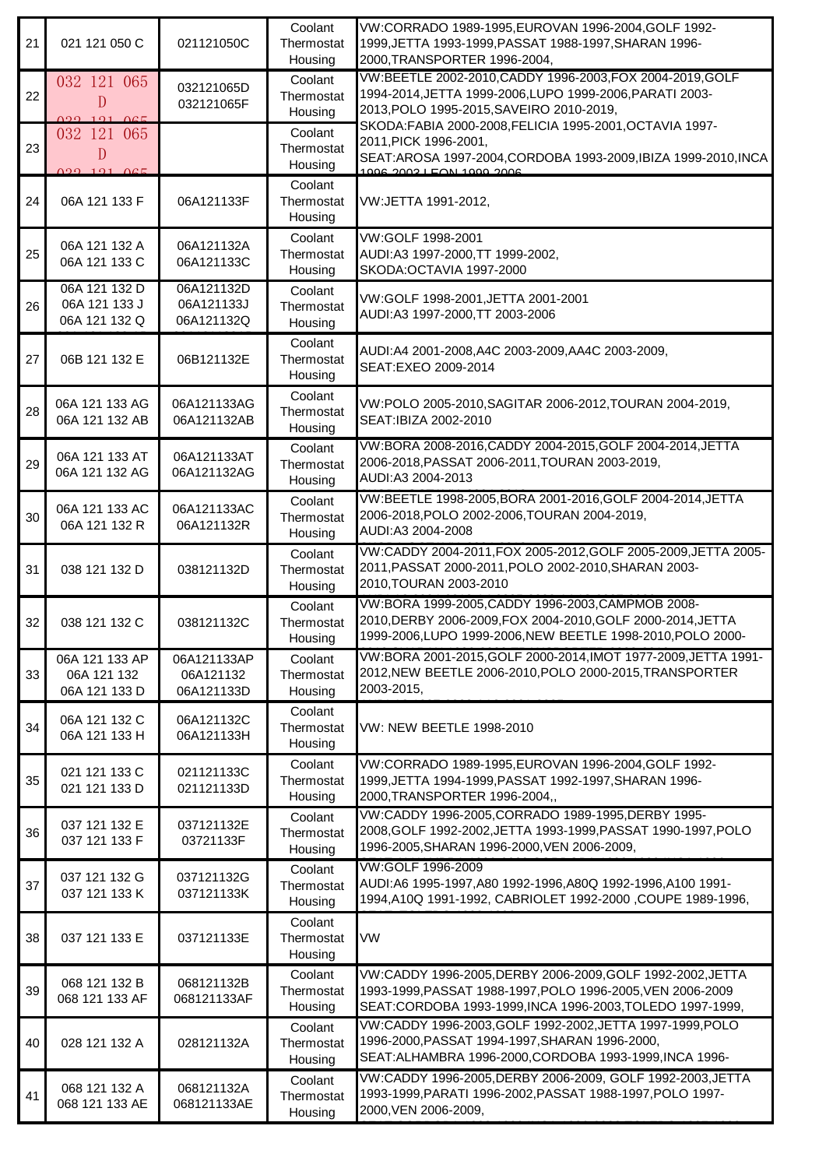| 21 | 021 121 050 C                                   | 021121050C                             | Coolant<br>Thermostat<br>Housing | VW:CORRADO 1989-1995, EUROVAN 1996-2004, GOLF 1992-<br>1999, JETTA 1993-1999, PASSAT 1988-1997, SHARAN 1996-<br>2000, TRANSPORTER 1996-2004,                                          |
|----|-------------------------------------------------|----------------------------------------|----------------------------------|---------------------------------------------------------------------------------------------------------------------------------------------------------------------------------------|
| 22 | 032 121 065<br>D<br>0.22101005                  | 032121065D<br>032121065F               | Coolant<br>Thermostat<br>Housing | VW:BEETLE 2002-2010, CADDY 1996-2003, FOX 2004-2019, GOLF<br>1994-2014, JETTA 1999-2006, LUPO 1999-2006, PARATI 2003-<br>2013, POLO 1995-2015, SAVEIRO 2010-2019,                     |
| 23 | 032 121 065<br>D<br>020 101 0CE                 |                                        | Coolant<br>Thermostat<br>Housing | SKODA:FABIA 2000-2008,FELICIA 1995-2001,OCTAVIA 1997-<br>2011, PICK 1996-2001,<br>SEAT:AROSA 1997-2004, CORDOBA 1993-2009, IBIZA 1999-2010, INCA<br>$1006, 2002$ LEON $1000, 2006$    |
| 24 | 06A 121 133 F                                   | 06A121133F                             | Coolant<br>Thermostat<br>Housing | VW:JETTA 1991-2012,                                                                                                                                                                   |
| 25 | 06A 121 132 A<br>06A 121 133 C                  | 06A121132A<br>06A121133C               | Coolant<br>Thermostat<br>Housing | VW:GOLF 1998-2001<br>AUDI:A3 1997-2000, TT 1999-2002,<br>SKODA: OCTAVIA 1997-2000                                                                                                     |
| 26 | 06A 121 132 D<br>06A 121 133 J<br>06A 121 132 Q | 06A121132D<br>06A121133J<br>06A121132Q | Coolant<br>Thermostat<br>Housing | VW:GOLF 1998-2001, JETTA 2001-2001<br>AUDI:A3 1997-2000, TT 2003-2006                                                                                                                 |
| 27 | 06B 121 132 E                                   | 06B121132E                             | Coolant<br>Thermostat<br>Housing | AUDI:A4 2001-2008, A4C 2003-2009, AA4C 2003-2009,<br>SEAT:EXEO 2009-2014                                                                                                              |
| 28 | 06A 121 133 AG<br>06A 121 132 AB                | 06A121133AG<br>06A121132AB             | Coolant<br>Thermostat<br>Housing | VW:POLO 2005-2010, SAGITAR 2006-2012, TOURAN 2004-2019,<br>SEAT:IBIZA 2002-2010                                                                                                       |
| 29 | 06A 121 133 AT<br>06A 121 132 AG                | 06A121133AT<br>06A121132AG             | Coolant<br>Thermostat<br>Housing | VW:BORA 2008-2016, CADDY 2004-2015, GOLF 2004-2014, JETTA<br>2006-2018, PASSAT 2006-2011, TOURAN 2003-2019,<br>AUDI:A3 2004-2013                                                      |
| 30 | 06A 121 133 AC<br>06A 121 132 R                 | 06A121133AC<br>06A121132R              | Coolant<br>Thermostat<br>Housing | VW:BEETLE 1998-2005, BORA 2001-2016, GOLF 2004-2014, JETTA<br>2006-2018, POLO 2002-2006, TOURAN 2004-2019,<br>AUDI:A3 2004-2008                                                       |
| 31 | 038 121 132 D                                   | 038121132D                             | Coolant<br>Thermostat<br>Housing | VW:CADDY 2004-2011, FOX 2005-2012, GOLF 2005-2009, JETTA 2005-<br>2011, PASSAT 2000-2011, POLO 2002-2010, SHARAN 2003-<br>2010, TOURAN 2003-2010                                      |
| 32 | 038 121 132 C                                   | 038121132C                             | Coolant<br>Thermostat<br>Housing | VW:BORA 1999-2005, CADDY 1996-2003, CAMPMOB 2008-<br>2010, DERBY 2006-2009, FOX 2004-2010, GOLF 2000-2014, JETTA<br>1999-2006.LUPO 1999-2006.NEW BEETLE 1998-2010.POLO 2000-          |
| 33 | 06A 121 133 AP<br>06A 121 132<br>06A 121 133 D  | 06A121133AP<br>06A121132<br>06A121133D | Coolant<br>Thermostat<br>Housing | VW:BORA 2001-2015.GOLF 2000-2014.IMOT 1977-2009.JETTA 1991-<br>2012, NEW BEETLE 2006-2010, POLO 2000-2015, TRANSPORTER<br>2003-2015,                                                  |
| 34 | 06A 121 132 C<br>06A 121 133 H                  | 06A121132C<br>06A121133H               | Coolant<br>Thermostat<br>Housing | VW: NEW BEETLE 1998-2010                                                                                                                                                              |
| 35 | 021 121 133 C<br>021 121 133 D                  | 021121133C<br>021121133D               | Coolant<br>Thermostat<br>Housing | VW:CORRADO 1989-1995, EUROVAN 1996-2004, GOLF 1992-<br>1999, JETTA 1994-1999, PASSAT 1992-1997, SHARAN 1996-<br>2000, TRANSPORTER 1996-2004,,                                         |
| 36 | 037 121 132 E<br>037 121 133 F                  | 037121132E<br>03721133F                | Coolant<br>Thermostat<br>Housing | VW:CADDY 1996-2005, CORRADO 1989-1995, DERBY 1995-<br>2008, GOLF 1992-2002, JETTA 1993-1999, PASSAT 1990-1997, POLO<br>1996-2005, SHARAN 1996-2000, VEN 2006-2009,                    |
| 37 | 037 121 132 G<br>037 121 133 K                  | 037121132G<br>037121133K               | Coolant<br>Thermostat<br>Housing | VW:GOLF 1996-2009<br>AUDI:A6 1995-1997, A80 1992-1996, A80Q 1992-1996, A100 1991-<br>1994, A10Q 1991-1992, CABRIOLET 1992-2000, COUPE 1989-1996,                                      |
| 38 | 037 121 133 E                                   | 037121133E                             | Coolant<br>Thermostat<br>Housing | VW                                                                                                                                                                                    |
| 39 | 068 121 132 B<br>068 121 133 AF                 | 068121132B<br>068121133AF              | Coolant<br>Thermostat<br>Housing | VW:CADDY 1996-2005, DERBY 2006-2009, GOLF 1992-2002, JETTA<br>1993-1999, PASSAT 1988-1997, POLO 1996-2005, VEN 2006-2009<br>SEAT:CORDOBA 1993-1999, INCA 1996-2003, TOLEDO 1997-1999, |
| 40 | 028 121 132 A                                   | 028121132A                             | Coolant<br>Thermostat<br>Housing | VW:CADDY 1996-2003, GOLF 1992-2002, JETTA 1997-1999, POLO<br>1996-2000, PASSAT 1994-1997, SHARAN 1996-2000,<br>SEAT: ALHAMBRA 1996-2000, CORDOBA 1993-1999, INCA 1996-                |
| 41 | 068 121 132 A<br>068 121 133 AE                 | 068121132A<br>068121133AE              | Coolant<br>Thermostat<br>Housing | VW:CADDY 1996-2005,DERBY 2006-2009, GOLF 1992-2003,JETTA<br>1993-1999, PARATI 1996-2002, PASSAT 1988-1997, POLO 1997-<br>2000, VEN 2006-2009,                                         |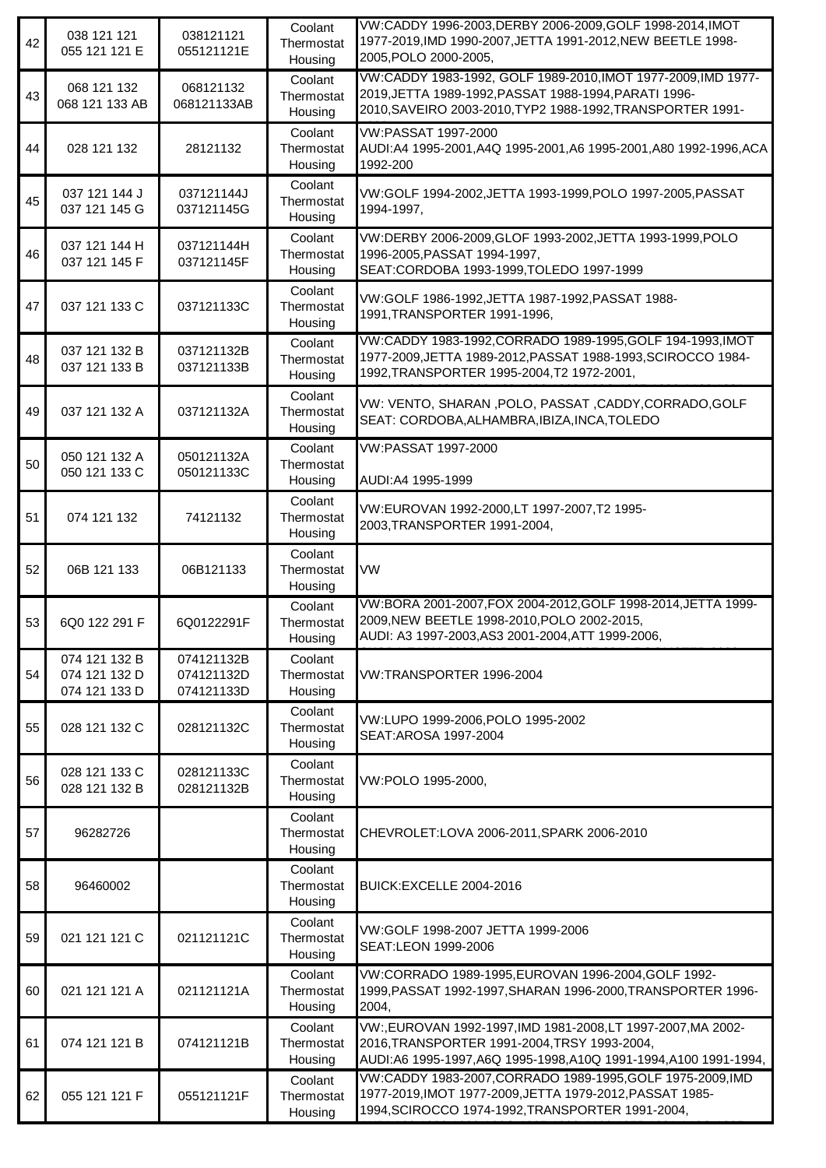| 42 | 038 121 121<br>055 121 121 E                    | 038121121<br>055121121E                | Coolant<br>Thermostat<br>Housing | VW:CADDY 1996-2003, DERBY 2006-2009, GOLF 1998-2014, IMOT<br>1977-2019, IMD 1990-2007, JETTA 1991-2012, NEW BEETLE 1998-<br>2005, POLO 2000-2005,                                    |
|----|-------------------------------------------------|----------------------------------------|----------------------------------|--------------------------------------------------------------------------------------------------------------------------------------------------------------------------------------|
| 43 | 068 121 132<br>068 121 133 AB                   | 068121132<br>068121133AB               | Coolant<br>Thermostat<br>Housing | VW:CADDY 1983-1992, GOLF 1989-2010, IMOT 1977-2009, IMD 1977-<br>2019, JETTA 1989-1992, PASSAT 1988-1994, PARATI 1996-<br>2010, SAVEIRO 2003-2010, TYP2 1988-1992, TRANSPORTER 1991- |
| 44 | 028 121 132                                     | 28121132                               | Coolant<br>Thermostat<br>Housing | VW:PASSAT 1997-2000<br>AUDI:A4 1995-2001,A4Q 1995-2001,A6 1995-2001,A80 1992-1996,ACA<br>1992-200                                                                                    |
| 45 | 037 121 144 J<br>037 121 145 G                  | 037121144J<br>037121145G               | Coolant<br>Thermostat<br>Housing | VW:GOLF 1994-2002, JETTA 1993-1999, POLO 1997-2005, PASSAT<br>1994-1997.                                                                                                             |
| 46 | 037 121 144 H<br>037 121 145 F                  | 037121144H<br>037121145F               | Coolant<br>Thermostat<br>Housing | VW:DERBY 2006-2009, GLOF 1993-2002, JETTA 1993-1999, POLO<br>1996-2005, PASSAT 1994-1997,<br>SEAT:CORDOBA 1993-1999, TOLEDO 1997-1999                                                |
| 47 | 037 121 133 C                                   | 037121133C                             | Coolant<br>Thermostat<br>Housing | VW:GOLF 1986-1992, JETTA 1987-1992, PASSAT 1988-<br>1991, TRANSPORTER 1991-1996,                                                                                                     |
| 48 | 037 121 132 B<br>037 121 133 B                  | 037121132B<br>037121133B               | Coolant<br>Thermostat<br>Housing | VW:CADDY 1983-1992,CORRADO 1989-1995,GOLF 194-1993,IMOT<br>1977-2009, JETTA 1989-2012, PASSAT 1988-1993, SCIROCCO 1984-<br>1992, TRANSPORTER 1995-2004, T2 1972-2001,                |
| 49 | 037 121 132 A                                   | 037121132A                             | Coolant<br>Thermostat<br>Housing | VW: VENTO, SHARAN , POLO, PASSAT , CADDY, CORRADO, GOLF<br>SEAT: CORDOBA, ALHAMBRA, IBIZA, INCA, TOLEDO                                                                              |
| 50 | 050 121 132 A<br>050 121 133 C                  | 050121132A<br>050121133C               | Coolant<br>Thermostat<br>Housing | VW:PASSAT 1997-2000<br>AUDI:A4 1995-1999                                                                                                                                             |
| 51 | 074 121 132                                     | 74121132                               | Coolant<br>Thermostat<br>Housing | VW:EUROVAN 1992-2000,LT 1997-2007,T2 1995-<br>2003, TRANSPORTER 1991-2004,                                                                                                           |
| 52 | 06B 121 133                                     | 06B121133                              | Coolant<br>Thermostat<br>Housing | VW                                                                                                                                                                                   |
| 53 | 6Q0 122 291 F                                   | 6Q0122291F                             | Coolant<br>Thermostat<br>Housing | VW:BORA 2001-2007, FOX 2004-2012, GOLF 1998-2014, JETTA 1999-<br>2009, NEW BEETLE 1998-2010, POLO 2002-2015,<br>AUDI: A3 1997-2003, AS3 2001-2004, ATT 1999-2006,                    |
| 54 | 074 121 132 B<br>074 121 132 D<br>074 121 133 D | 074121132B<br>074121132D<br>074121133D | Coolant<br>Thermostat<br>Housing | VW:TRANSPORTER 1996-2004                                                                                                                                                             |
| 55 | 028 121 132 C                                   | 028121132C                             | Coolant<br>Thermostat<br>Housing | VW:LUPO 1999-2006, POLO 1995-2002<br>SEAT: AROSA 1997-2004                                                                                                                           |
| 56 | 028 121 133 C<br>028 121 132 B                  | 028121133C<br>028121132B               | Coolant<br>Thermostat<br>Housing | VW:POLO 1995-2000,                                                                                                                                                                   |
| 57 | 96282726                                        |                                        | Coolant<br>Thermostat<br>Housing | CHEVROLET:LOVA 2006-2011, SPARK 2006-2010                                                                                                                                            |
| 58 | 96460002                                        |                                        | Coolant<br>Thermostat<br>Housing | BUICK:EXCELLE 2004-2016                                                                                                                                                              |
| 59 | 021 121 121 C                                   | 021121121C                             | Coolant<br>Thermostat<br>Housing | VW:GOLF 1998-2007 JETTA 1999-2006<br>SEAT:LEON 1999-2006                                                                                                                             |
| 60 | 021 121 121 A                                   | 021121121A                             | Coolant<br>Thermostat<br>Housing | VW:CORRADO 1989-1995, EUROVAN 1996-2004, GOLF 1992-<br>1999, PASSAT 1992-1997, SHARAN 1996-2000, TRANSPORTER 1996-<br>2004,                                                          |
| 61 | 074 121 121 B                                   | 074121121B                             | Coolant<br>Thermostat<br>Housing | VW:, EUROVAN 1992-1997, IMD 1981-2008, LT 1997-2007, MA 2002-<br>2016, TRANSPORTER 1991-2004, TRSY 1993-2004,<br>AUDI:A6 1995-1997, A6Q 1995-1998, A10Q 1991-1994, A100 1991-1994,   |
| 62 | 055 121 121 F                                   | 055121121F                             | Coolant<br>Thermostat<br>Housing | VW:CADDY 1983-2007, CORRADO 1989-1995, GOLF 1975-2009, IMD<br>1977-2019, IMOT 1977-2009, JETTA 1979-2012, PASSAT 1985-<br>1994, SCIROCCO 1974-1992, TRANSPORTER 1991-2004,           |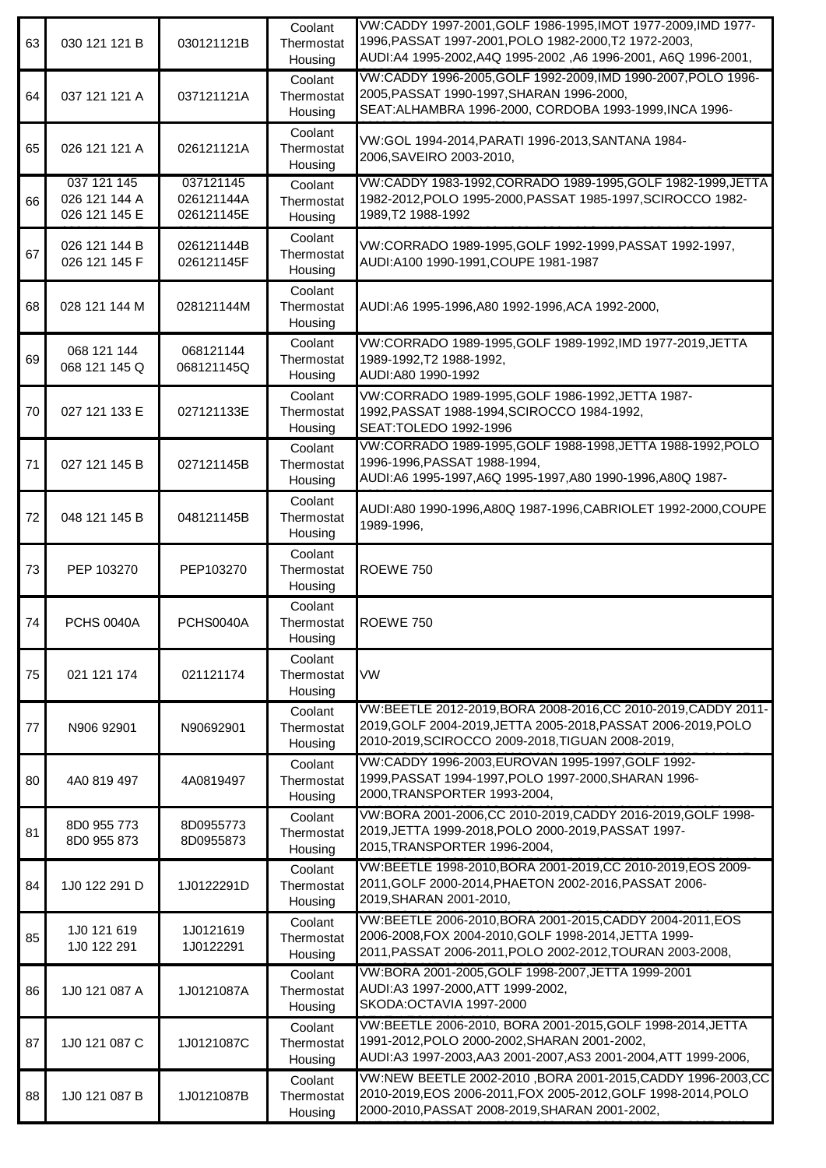| 63 | 030 121 121 B                                 | 030121121B                            | Coolant<br>Thermostat<br>Housing | VW:CADDY 1997-2001, GOLF 1986-1995, IMOT 1977-2009, IMD 1977-<br>1996, PASSAT 1997-2001, POLO 1982-2000, T2 1972-2003,<br>AUDI:A4 1995-2002,A4Q 1995-2002 ,A6 1996-2001, A6Q 1996-2001, |
|----|-----------------------------------------------|---------------------------------------|----------------------------------|-----------------------------------------------------------------------------------------------------------------------------------------------------------------------------------------|
| 64 | 037 121 121 A                                 | 037121121A                            | Coolant<br>Thermostat<br>Housing | VW:CADDY 1996-2005, GOLF 1992-2009, IMD 1990-2007, POLO 1996-<br>2005, PASSAT 1990-1997, SHARAN 1996-2000,<br>SEAT: ALHAMBRA 1996-2000, CORDOBA 1993-1999, INCA 1996-                   |
| 65 | 026 121 121 A                                 | 026121121A                            | Coolant<br>Thermostat<br>Housing | VW:GOL 1994-2014, PARATI 1996-2013, SANTANA 1984-<br>2006, SAVEIRO 2003-2010,                                                                                                           |
| 66 | 037 121 145<br>026 121 144 A<br>026 121 145 E | 037121145<br>026121144A<br>026121145E | Coolant<br>Thermostat<br>Housing | VW:CADDY 1983-1992, CORRADO 1989-1995, GOLF 1982-1999, JETTA<br>1982-2012, POLO 1995-2000, PASSAT 1985-1997, SCIROCCO 1982-<br>1989, T2 1988-1992                                       |
| 67 | 026 121 144 B<br>026 121 145 F                | 026121144B<br>026121145F              | Coolant<br>Thermostat<br>Housing | VW:CORRADO 1989-1995, GOLF 1992-1999, PASSAT 1992-1997,<br>AUDI:A100 1990-1991, COUPE 1981-1987                                                                                         |
| 68 | 028 121 144 M                                 | 028121144M                            | Coolant<br>Thermostat<br>Housing | AUDI:A6 1995-1996,A80 1992-1996,ACA 1992-2000,                                                                                                                                          |
| 69 | 068 121 144<br>068 121 145 Q                  | 068121144<br>068121145Q               | Coolant<br>Thermostat<br>Housing | VW:CORRADO 1989-1995, GOLF 1989-1992, IMD 1977-2019, JETTA<br>1989-1992, T2 1988-1992,<br>AUDI:A80 1990-1992                                                                            |
| 70 | 027 121 133 E                                 | 027121133E                            | Coolant<br>Thermostat<br>Housing | VW:CORRADO 1989-1995, GOLF 1986-1992, JETTA 1987-<br>1992, PASSAT 1988-1994, SCIROCCO 1984-1992,<br>SEAT: TOLEDO 1992-1996                                                              |
| 71 | 027 121 145 B                                 | 027121145B                            | Coolant<br>Thermostat<br>Housing | VW:CORRADO 1989-1995, GOLF 1988-1998, JETTA 1988-1992, POLO<br>1996-1996, PASSAT 1988-1994,<br>AUDI:A6 1995-1997, A6Q 1995-1997, A80 1990-1996, A80Q 1987-                              |
| 72 | 048 121 145 B                                 | 048121145B                            | Coolant<br>Thermostat<br>Housing | AUDI:A80 1990-1996,A80Q 1987-1996,CABRIOLET 1992-2000,COUPE<br>1989-1996,                                                                                                               |
| 73 | PEP 103270                                    | PEP103270                             | Coolant<br>Thermostat<br>Housing | ROEWE 750                                                                                                                                                                               |
| 74 | <b>PCHS 0040A</b>                             | PCHS0040A                             | Coolant<br>Thermostat<br>Housing | <b>ROEWE 750</b>                                                                                                                                                                        |
| 75 | 021 121 174                                   | 021121174                             | Coolant<br>Thermostat<br>Housing | <b>VW</b>                                                                                                                                                                               |
| 77 | N906 92901                                    | N90692901                             | Coolant<br>Thermostat<br>Housing | VW:BEETLE 2012-2019, BORA 2008-2016, CC 2010-2019, CADDY 2011-<br>2019, GOLF 2004-2019, JETTA 2005-2018, PASSAT 2006-2019, POLO<br>2010-2019, SCIROCCO 2009-2018, TIGUAN 2008-2019,     |
| 80 | 4A0 819 497                                   | 4A0819497                             | Coolant<br>Thermostat<br>Housing | VW:CADDY 1996-2003, EUROVAN 1995-1997, GOLF 1992-<br>1999, PASSAT 1994-1997, POLO 1997-2000, SHARAN 1996-<br>2000, TRANSPORTER 1993-2004,                                               |
| 81 | 8D0 955 773<br>8D0 955 873                    | 8D0955773<br>8D0955873                | Coolant<br>Thermostat<br>Housing | VW:BORA 2001-2006,CC 2010-2019,CADDY 2016-2019,GOLF 1998-<br>2019, JETTA 1999-2018, POLO 2000-2019, PASSAT 1997-<br>2015, TRANSPORTER 1996-2004,                                        |
| 84 | 1J0 122 291 D                                 | 1J0122291D                            | Coolant<br>Thermostat<br>Housing | VW:BEETLE 1998-2010, BORA 2001-2019, CC 2010-2019, EOS 2009-<br>2011, GOLF 2000-2014, PHAETON 2002-2016, PASSAT 2006-<br>2019, SHARAN 2001-2010,                                        |
| 85 | 1J0 121 619<br>1J0 122 291                    | 1J0121619<br>1J0122291                | Coolant<br>Thermostat<br>Housing | VW:BEETLE 2006-2010, BORA 2001-2015, CADDY 2004-2011, EOS<br>2006-2008, FOX 2004-2010, GOLF 1998-2014, JETTA 1999-<br>2011, PASSAT 2006-2011, POLO 2002-2012, TOURAN 2003-2008,         |
| 86 | 1J0 121 087 A                                 | 1J0121087A                            | Coolant<br>Thermostat<br>Housing | VW:BORA 2001-2005, GOLF 1998-2007, JETTA 1999-2001<br>AUDI:A3 1997-2000, ATT 1999-2002,<br>SKODA: OCTAVIA 1997-2000                                                                     |
| 87 | 1J0 121 087 C                                 | 1J0121087C                            | Coolant<br>Thermostat<br>Housing | VW:BEETLE 2006-2010, BORA 2001-2015, GOLF 1998-2014, JETTA<br>1991-2012, POLO 2000-2002, SHARAN 2001-2002,<br>AUDI:A3 1997-2003, AA3 2001-2007, AS3 2001-2004, ATT 1999-2006,           |
| 88 | 1J0 121 087 B                                 | 1J0121087B                            | Coolant<br>Thermostat<br>Housing | VW:NEW BEETLE 2002-2010 , BORA 2001-2015, CADDY 1996-2003, CC<br>2010-2019.EOS 2006-2011.FOX 2005-2012.GOLF 1998-2014.POLO<br>2000-2010, PASSAT 2008-2019, SHARAN 2001-2002,            |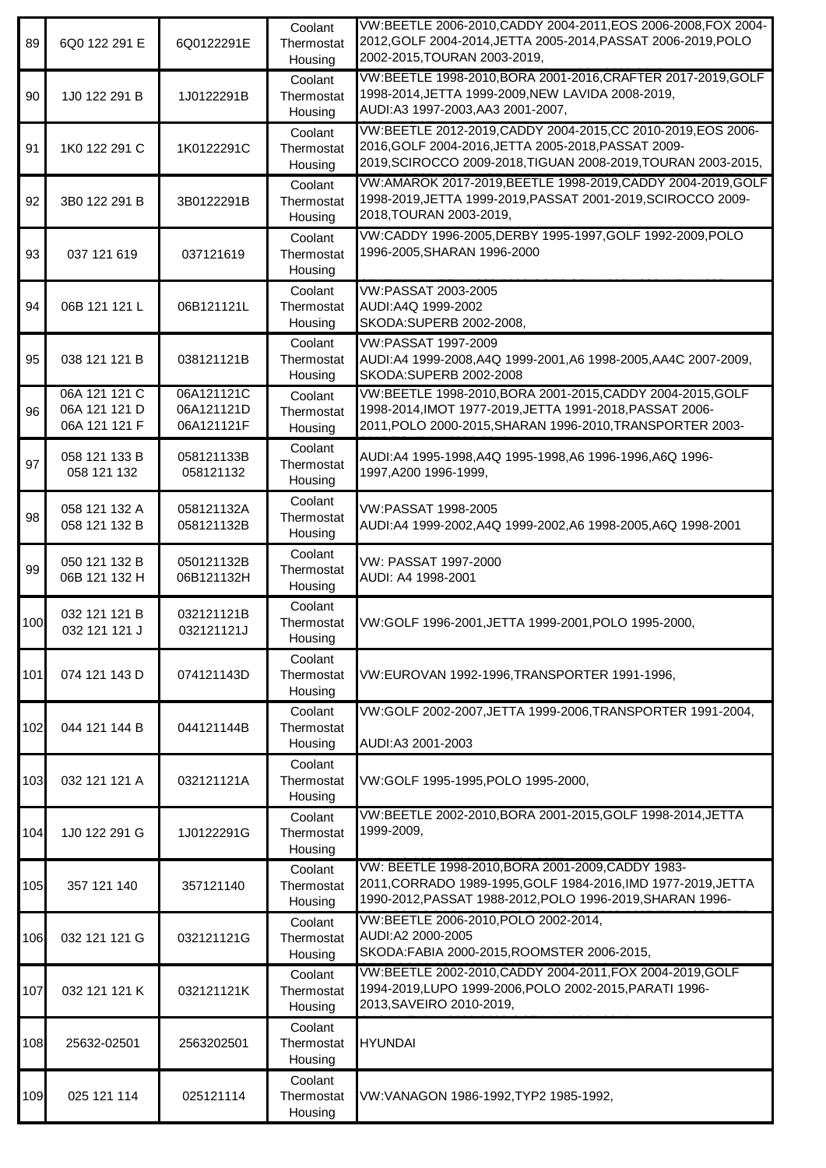| 89  | 6Q0 122 291 E                                   | 6Q0122291E                             | Coolant<br>Thermostat<br>Housing | VW:BEETLE 2006-2010, CADDY 2004-2011, EOS 2006-2008, FOX 2004-<br>2012, GOLF 2004-2014, JETTA 2005-2014, PASSAT 2006-2019, POLO<br>2002-2015, TOURAN 2003-2019,                       |
|-----|-------------------------------------------------|----------------------------------------|----------------------------------|---------------------------------------------------------------------------------------------------------------------------------------------------------------------------------------|
| 90  | 1J0 122 291 B                                   | 1J0122291B                             | Coolant<br>Thermostat<br>Housing | VW:BEETLE 1998-2010, BORA 2001-2016, CRAFTER 2017-2019, GOLF<br>1998-2014, JETTA 1999-2009, NEW LAVIDA 2008-2019,<br>AUDI:A3 1997-2003, AA3 2001-2007,                                |
| 91  | 1K0 122 291 C                                   | 1K0122291C                             | Coolant<br>Thermostat<br>Housing | VW:BEETLE 2012-2019, CADDY 2004-2015, CC 2010-2019, EOS 2006-<br>2016, GOLF 2004-2016, JETTA 2005-2018, PASSAT 2009-<br>2019, SCIROCCO 2009-2018, TIGUAN 2008-2019, TOURAN 2003-2015, |
| 92  | 3B0 122 291 B                                   | 3B0122291B                             | Coolant<br>Thermostat<br>Housing | VW:AMAROK 2017-2019, BEETLE 1998-2019, CADDY 2004-2019, GOLF<br>1998-2019, JETTA 1999-2019, PASSAT 2001-2019, SCIROCCO 2009-<br>2018, TOURAN 2003-2019,                               |
| 93  | 037 121 619                                     | 037121619                              | Coolant<br>Thermostat<br>Housing | VW:CADDY 1996-2005, DERBY 1995-1997, GOLF 1992-2009, POLO<br>1996-2005, SHARAN 1996-2000                                                                                              |
| 94  | 06B 121 121 L                                   | 06B121121L                             | Coolant<br>Thermostat<br>Housing | VW:PASSAT 2003-2005<br>AUDI:A4Q 1999-2002<br>SKODA: SUPERB 2002-2008,                                                                                                                 |
| 95  | 038 121 121 B                                   | 038121121B                             | Coolant<br>Thermostat<br>Housing | VW:PASSAT 1997-2009<br>AUDI:A4 1999-2008,A4Q 1999-2001,A6 1998-2005,AA4C 2007-2009,<br>SKODA:SUPERB 2002-2008                                                                         |
| 96  | 06A 121 121 C<br>06A 121 121 D<br>06A 121 121 F | 06A121121C<br>06A121121D<br>06A121121F | Coolant<br>Thermostat<br>Housing | VW:BEETLE 1998-2010, BORA 2001-2015, CADDY 2004-2015, GOLF<br>1998-2014, IMOT 1977-2019, JETTA 1991-2018, PASSAT 2006-<br>2011, POLO 2000-2015, SHARAN 1996-2010, TRANSPORTER 2003-   |
| 97  | 058 121 133 B<br>058 121 132                    | 058121133B<br>058121132                | Coolant<br>Thermostat<br>Housing | AUDI:A4 1995-1998,A4Q 1995-1998,A6 1996-1996,A6Q 1996-<br>1997, A200 1996-1999,                                                                                                       |
| 98  | 058 121 132 A<br>058 121 132 B                  | 058121132A<br>058121132B               | Coolant<br>Thermostat<br>Housing | VW:PASSAT 1998-2005<br>AUDI:A4 1999-2002,A4Q 1999-2002,A6 1998-2005,A6Q 1998-2001                                                                                                     |
| 99  | 050 121 132 B<br>06B 121 132 H                  | 050121132B<br>06B121132H               | Coolant<br>Thermostat<br>Housing | VW: PASSAT 1997-2000<br>AUDI: A4 1998-2001                                                                                                                                            |
| 100 | 032 121 121 B<br>032 121 121 J                  | 032121121B<br>032121121J               | Coolant<br>Thermostat<br>Housing | VW:GOLF 1996-2001,JETTA 1999-2001,POLO 1995-2000,                                                                                                                                     |
| 101 | 074 121 143 D                                   | 074121143D                             | Coolant<br>Thermostat<br>Housing | VW:EUROVAN 1992-1996, TRANSPORTER 1991-1996,                                                                                                                                          |
| 102 | 044 121 144 B                                   | 044121144B                             | Coolant<br>Thermostat<br>Housing | VW:GOLF 2002-2007, JETTA 1999-2006, TRANSPORTER 1991-2004,<br>AUDI:A3 2001-2003                                                                                                       |
| 103 | 032 121 121 A                                   | 032121121A                             | Coolant<br>Thermostat<br>Housing | VW:GOLF 1995-1995, POLO 1995-2000,                                                                                                                                                    |
| 104 | 1J0 122 291 G                                   | 1J0122291G                             | Coolant<br>Thermostat<br>Housing | VW:BEETLE 2002-2010, BORA 2001-2015, GOLF 1998-2014, JETTA<br>1999-2009,                                                                                                              |
| 105 | 357 121 140                                     | 357121140                              | Coolant<br>Thermostat<br>Housing | VW: BEETLE 1998-2010, BORA 2001-2009, CADDY 1983-<br>2011, CORRADO 1989-1995, GOLF 1984-2016, IMD 1977-2019, JETTA<br>1990-2012, PASSAT 1988-2012, POLO 1996-2019, SHARAN 1996-       |
| 106 | 032 121 121 G                                   | 032121121G                             | Coolant<br>Thermostat<br>Housing | VW:BEETLE 2006-2010, POLO 2002-2014,<br>AUDI:A2 2000-2005<br>SKODA:FABIA 2000-2015, ROOMSTER 2006-2015,                                                                               |
| 107 | 032 121 121 K                                   | 032121121K                             | Coolant<br>Thermostat<br>Housing | VW:BEETLE 2002-2010, CADDY 2004-2011, FOX 2004-2019, GOLF<br>1994-2019, LUPO 1999-2006, POLO 2002-2015, PARATI 1996-<br>2013, SAVEIRO 2010-2019,                                      |
| 108 | 25632-02501                                     | 2563202501                             | Coolant<br>Thermostat<br>Housing | <b>HYUNDAI</b>                                                                                                                                                                        |
| 109 | 025 121 114                                     | 025121114                              | Coolant<br>Thermostat<br>Housing | VW:VANAGON 1986-1992,TYP2 1985-1992,                                                                                                                                                  |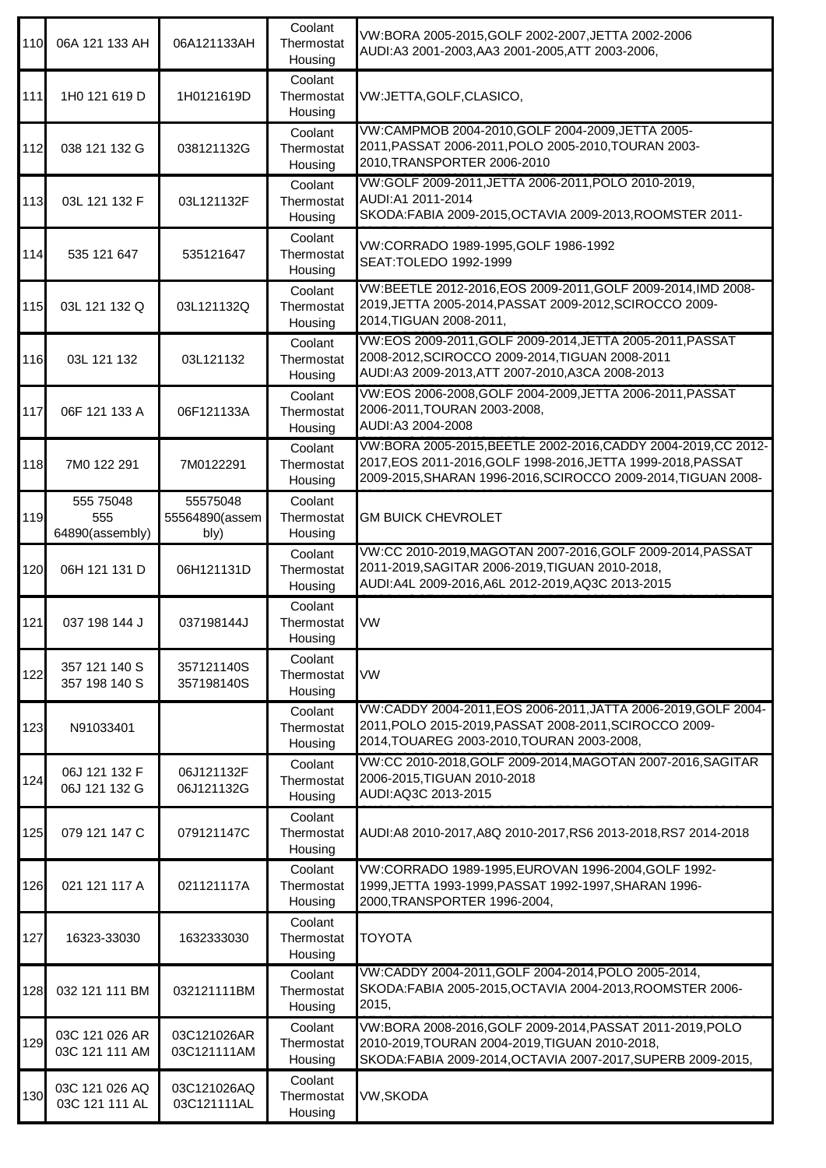| 110   | 06A 121 133 AH                      | 06A121133AH                        | Coolant<br>Thermostat<br>Housing | VW:BORA 2005-2015, GOLF 2002-2007, JETTA 2002-2006<br>AUDI:A3 2001-2003,AA3 2001-2005,ATT 2003-2006,                                                                                            |
|-------|-------------------------------------|------------------------------------|----------------------------------|-------------------------------------------------------------------------------------------------------------------------------------------------------------------------------------------------|
| $111$ | 1H0 121 619 D                       | 1H0121619D                         | Coolant<br>Thermostat<br>Housing | VW:JETTA, GOLF, CLASICO,                                                                                                                                                                        |
| 112   | 038 121 132 G                       | 038121132G                         | Coolant<br>Thermostat<br>Housing | VW:CAMPMOB 2004-2010, GOLF 2004-2009, JETTA 2005-<br>2011, PASSAT 2006-2011, POLO 2005-2010, TOURAN 2003-<br>2010, TRANSPORTER 2006-2010                                                        |
| 113   | 03L 121 132 F                       | 03L121132F                         | Coolant<br>Thermostat<br>Housing | VW:GOLF 2009-2011, JETTA 2006-2011, POLO 2010-2019,<br>AUDI:A1 2011-2014<br>SKODA:FABIA 2009-2015, OCTAVIA 2009-2013, ROOMSTER 2011-                                                            |
| 114   | 535 121 647                         | 535121647                          | Coolant<br>Thermostat<br>Housing | VW:CORRADO 1989-1995, GOLF 1986-1992<br>SEAT: TOLEDO 1992-1999                                                                                                                                  |
| 115   | 03L 121 132 Q                       | 03L121132Q                         | Coolant<br>Thermostat<br>Housing | VW:BEETLE 2012-2016, EOS 2009-2011, GOLF 2009-2014, IMD 2008-<br>2019, JETTA 2005-2014, PASSAT 2009-2012, SCIROCCO 2009-<br>2014, TIGUAN 2008-2011,                                             |
| 116   | 03L 121 132                         | 03L121132                          | Coolant<br>Thermostat<br>Housing | VW:EOS 2009-2011, GOLF 2009-2014, JETTA 2005-2011, PASSAT<br>2008-2012, SCIROCCO 2009-2014, TIGUAN 2008-2011<br>AUDI:A3 2009-2013, ATT 2007-2010, A3CA 2008-2013                                |
| 117   | 06F 121 133 A                       | 06F121133A                         | Coolant<br>Thermostat<br>Housing | VW:EOS 2006-2008, GOLF 2004-2009, JETTA 2006-2011, PASSAT<br>2006-2011, TOURAN 2003-2008,<br>AUDI:A3 2004-2008                                                                                  |
| 118   | 7M0 122 291                         | 7M0122291                          | Coolant<br>Thermostat<br>Housing | VW:BORA 2005-2015, BEETLE 2002-2016, CADDY 2004-2019, CC 2012-<br>2017, EOS 2011-2016, GOLF 1998-2016, JETTA 1999-2018, PASSAT<br>2009-2015, SHARAN 1996-2016, SCIROCCO 2009-2014, TIGUAN 2008- |
| 119   | 555 75048<br>555<br>64890(assembly) | 55575048<br>55564890(assem<br>bly) | Coolant<br>Thermostat<br>Housing | <b>GM BUICK CHEVROLET</b>                                                                                                                                                                       |
| 120   | 06H 121 131 D                       | 06H121131D                         | Coolant<br>Thermostat<br>Housing | VW:CC 2010-2019, MAGOTAN 2007-2016, GOLF 2009-2014, PASSAT<br>2011-2019, SAGITAR 2006-2019, TIGUAN 2010-2018,<br>AUDI:A4L 2009-2016, A6L 2012-2019, AQ3C 2013-2015                              |
| 121   | 037 198 144 J                       | 037198144J                         | Coolant<br>Thermostat<br>Housing | VW                                                                                                                                                                                              |
| 122   | 357 121 140 S<br>357 198 140 S      | 357121140S<br>357198140S           | Coolant<br>Thermostat<br>Housing | <b>VW</b>                                                                                                                                                                                       |
| 123   | N91033401                           |                                    | Coolant<br>Thermostat<br>Housing | VW:CADDY 2004-2011, EOS 2006-2011, JATTA 2006-2019, GOLF 2004-<br>2011, POLO 2015-2019, PASSAT 2008-2011, SCIROCCO 2009-<br>2014, TOUAREG 2003-2010, TOURAN 2003-2008,                          |
| 124   | 06J 121 132 F<br>06J 121 132 G      | 06J121132F<br>06J121132G           | Coolant<br>Thermostat<br>Housing | VW:CC 2010-2018, GOLF 2009-2014, MAGOTAN 2007-2016, SAGITAR<br>2006-2015, TIGUAN 2010-2018<br>AUDI:AQ3C 2013-2015                                                                               |
| 125   | 079 121 147 C                       | 079121147C                         | Coolant<br>Thermostat<br>Housing | AUDI:A8 2010-2017, A8Q 2010-2017, RS6 2013-2018, RS7 2014-2018                                                                                                                                  |
| 126   | 021 121 117 A                       | 021121117A                         | Coolant<br>Thermostat<br>Housing | VW:CORRADO 1989-1995, EUROVAN 1996-2004, GOLF 1992-<br>1999, JETTA 1993-1999, PASSAT 1992-1997, SHARAN 1996-<br>2000, TRANSPORTER 1996-2004,                                                    |
| 127   | 16323-33030                         | 1632333030                         | Coolant<br>Thermostat<br>Housing | <b>TOYOTA</b>                                                                                                                                                                                   |
| 128   | 032 121 111 BM                      | 032121111BM                        | Coolant<br>Thermostat<br>Housing | VW:CADDY 2004-2011, GOLF 2004-2014, POLO 2005-2014,<br>SKODA: FABIA 2005-2015, OCTAVIA 2004-2013, ROOMSTER 2006-<br>2015,                                                                       |
| 129   | 03C 121 026 AR<br>03C 121 111 AM    | 03C121026AR<br>03C121111AM         | Coolant<br>Thermostat<br>Housing | VW:BORA 2008-2016, GOLF 2009-2014, PASSAT 2011-2019, POLO<br>2010-2019, TOURAN 2004-2019, TIGUAN 2010-2018,<br>SKODA:FABIA 2009-2014, OCTAVIA 2007-2017, SUPERB 2009-2015,                      |
| 130   | 03C 121 026 AQ<br>03C 121 111 AL    | 03C121026AQ<br>03C121111AL         | Coolant<br>Thermostat<br>Housing | VW, SKODA                                                                                                                                                                                       |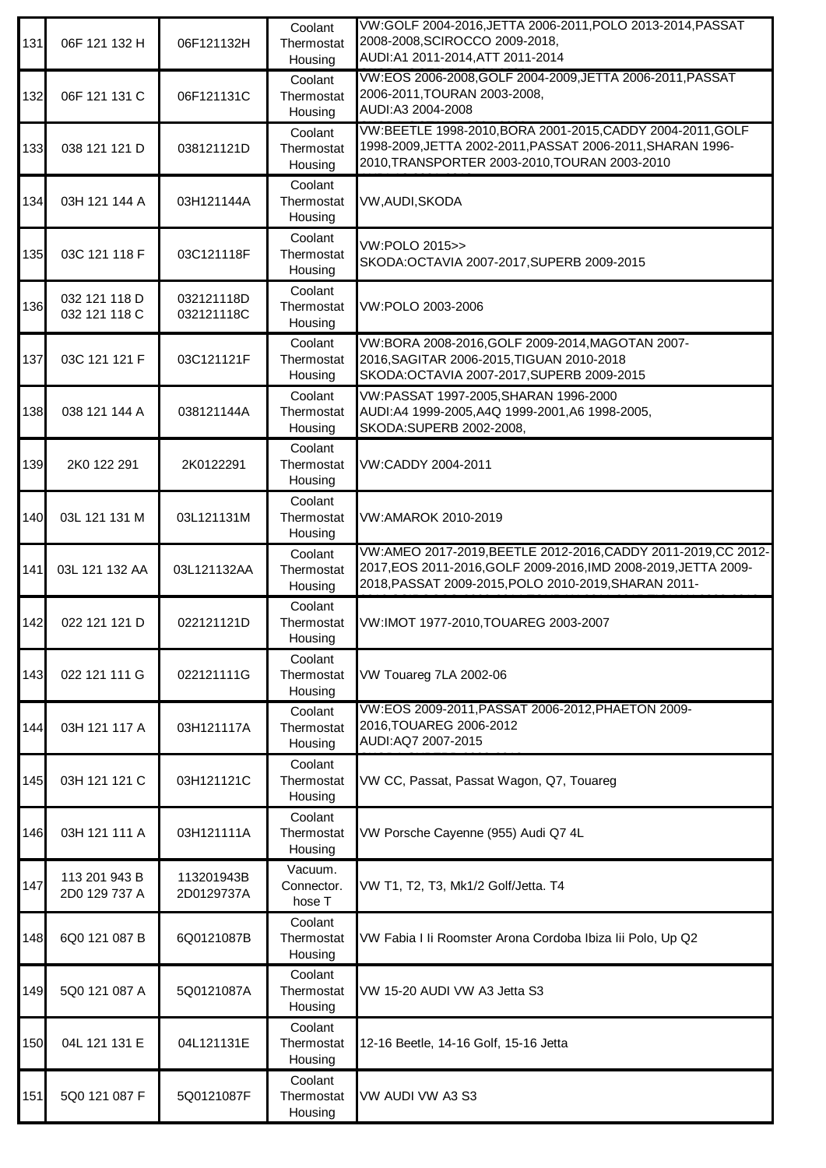| 131 | 06F 121 132 H                  | 06F121132H               | Coolant<br>Thermostat<br>Housing | VW:GOLF 2004-2016, JETTA 2006-2011, POLO 2013-2014, PASSAT<br>2008-2008, SCIROCCO 2009-2018,<br>AUDI:A1 2011-2014, ATT 2011-2014                                                          |
|-----|--------------------------------|--------------------------|----------------------------------|-------------------------------------------------------------------------------------------------------------------------------------------------------------------------------------------|
| 132 | 06F 121 131 C                  | 06F121131C               | Coolant<br>Thermostat<br>Housing | VW:EOS 2006-2008, GOLF 2004-2009, JETTA 2006-2011, PASSAT<br>2006-2011, TOURAN 2003-2008,<br>AUDI:A3 2004-2008                                                                            |
| 133 | 038 121 121 D                  | 038121121D               | Coolant<br>Thermostat<br>Housing | VW:BEETLE 1998-2010, BORA 2001-2015, CADDY 2004-2011, GOLF<br>1998-2009, JETTA 2002-2011, PASSAT 2006-2011, SHARAN 1996-<br>2010, TRANSPORTER 2003-2010, TOURAN 2003-2010                 |
| 134 | 03H 121 144 A                  | 03H121144A               | Coolant<br>Thermostat<br>Housing | VW, AUDI, SKODA                                                                                                                                                                           |
| 135 | 03C 121 118 F                  | 03C121118F               | Coolant<br>Thermostat<br>Housing | VW:POLO 2015>><br>SKODA: OCTAVIA 2007-2017, SUPERB 2009-2015                                                                                                                              |
| 136 | 032 121 118 D<br>032 121 118 C | 032121118D<br>032121118C | Coolant<br>Thermostat<br>Housing | VW:POLO 2003-2006                                                                                                                                                                         |
| 137 | 03C 121 121 F                  | 03C121121F               | Coolant<br>Thermostat<br>Housing | VW:BORA 2008-2016, GOLF 2009-2014, MAGOTAN 2007-<br>2016, SAGITAR 2006-2015, TIGUAN 2010-2018<br>SKODA:OCTAVIA 2007-2017, SUPERB 2009-2015                                                |
| 138 | 038 121 144 A                  | 038121144A               | Coolant<br>Thermostat<br>Housing | VW:PASSAT 1997-2005, SHARAN 1996-2000<br>AUDI:A4 1999-2005,A4Q 1999-2001,A6 1998-2005,<br>SKODA: SUPERB 2002-2008,                                                                        |
| 139 | 2K0 122 291                    | 2K0122291                | Coolant<br>Thermostat<br>Housing | VW:CADDY 2004-2011                                                                                                                                                                        |
| 140 | 03L 121 131 M                  | 03L121131M               | Coolant<br>Thermostat<br>Housing | VW:AMAROK 2010-2019                                                                                                                                                                       |
| 141 | 03L 121 132 AA                 | 03L121132AA              | Coolant<br>Thermostat<br>Housing | VW:AMEO 2017-2019, BEETLE 2012-2016, CADDY 2011-2019, CC 2012-<br>2017, EOS 2011-2016, GOLF 2009-2016, IMD 2008-2019, JETTA 2009-<br>2018, PASSAT 2009-2015, POLO 2010-2019, SHARAN 2011- |
| 142 | 022 121 121 D                  | 022121121D               | Coolant<br>Thermostat<br>Housing | VW:IMOT 1977-2010, TOUAREG 2003-2007                                                                                                                                                      |
| 143 | 022 121 111 G                  | 022121111G               | Coolant<br>Thermostat<br>Housing | VW Touareg 7LA 2002-06                                                                                                                                                                    |
| 144 | 03H 121 117 A                  | 03H121117A               | Coolant<br>Thermostat<br>Housing | VW:EOS 2009-2011, PASSAT 2006-2012, PHAETON 2009-<br>2016, TOUAREG 2006-2012<br>AUDI:AQ7 2007-2015                                                                                        |
| 145 | 03H 121 121 C                  | 03H121121C               | Coolant<br>Thermostat<br>Housing | VW CC, Passat, Passat Wagon, Q7, Touareg                                                                                                                                                  |
| 146 | 03H 121 111 A                  | 03H121111A               | Coolant<br>Thermostat<br>Housing | VW Porsche Cayenne (955) Audi Q7 4L                                                                                                                                                       |
| 147 | 113 201 943 B<br>2D0 129 737 A | 113201943B<br>2D0129737A | Vacuum.<br>Connector.<br>hose T  | VW T1, T2, T3, Mk1/2 Golf/Jetta. T4                                                                                                                                                       |
| 148 | 6Q0 121 087 B                  | 6Q0121087B               | Coolant<br>Thermostat<br>Housing | VW Fabia I li Roomster Arona Cordoba Ibiza lii Polo, Up Q2                                                                                                                                |
| 149 | 5Q0 121 087 A                  | 5Q0121087A               | Coolant<br>Thermostat<br>Housing | VW 15-20 AUDI VW A3 Jetta S3                                                                                                                                                              |
| 150 | 04L 121 131 E                  | 04L121131E               | Coolant<br>Thermostat<br>Housing | 12-16 Beetle, 14-16 Golf, 15-16 Jetta                                                                                                                                                     |
| 151 | 5Q0 121 087 F                  | 5Q0121087F               | Coolant<br>Thermostat<br>Housing | VW AUDI VW A3 S3                                                                                                                                                                          |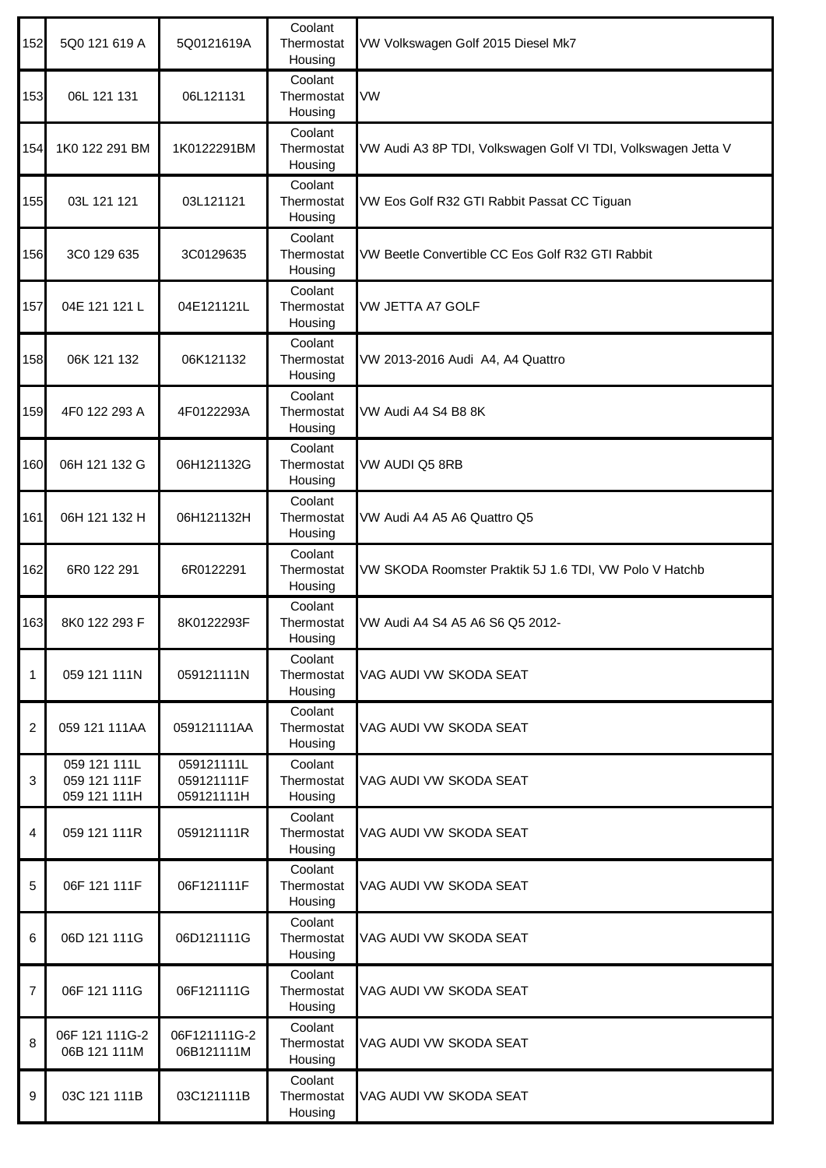| 152            | 5Q0 121 619 A                                | 5Q0121619A                             | Coolant<br>Thermostat<br>Housing | VW Volkswagen Golf 2015 Diesel Mk7                            |
|----------------|----------------------------------------------|----------------------------------------|----------------------------------|---------------------------------------------------------------|
| 153            | 06L 121 131                                  | 06L121131                              | Coolant<br>Thermostat<br>Housing | VW                                                            |
| 154            | 1K0 122 291 BM                               | 1K0122291BM                            | Coolant<br>Thermostat<br>Housing | VW Audi A3 8P TDI, Volkswagen Golf VI TDI, Volkswagen Jetta V |
| 155            | 03L 121 121                                  | 03L121121                              | Coolant<br>Thermostat<br>Housing | VW Eos Golf R32 GTI Rabbit Passat CC Tiguan                   |
| 156            | 3C0 129 635                                  | 3C0129635                              | Coolant<br>Thermostat<br>Housing | VW Beetle Convertible CC Eos Golf R32 GTI Rabbit              |
| 157            | 04E 121 121 L                                | 04E121121L                             | Coolant<br>Thermostat<br>Housing | VW JETTA A7 GOLF                                              |
| 158            | 06K 121 132                                  | 06K121132                              | Coolant<br>Thermostat<br>Housing | VW 2013-2016 Audi A4, A4 Quattro                              |
| 159            | 4F0 122 293 A                                | 4F0122293A                             | Coolant<br>Thermostat<br>Housing | VW Audi A4 S4 B8 8K                                           |
| 160            | 06H 121 132 G                                | 06H121132G                             | Coolant<br>Thermostat<br>Housing | VW AUDI Q5 8RB                                                |
| 161            | 06H 121 132 H                                | 06H121132H                             | Coolant<br>Thermostat<br>Housing | VW Audi A4 A5 A6 Quattro Q5                                   |
| 162            | 6R0 122 291                                  | 6R0122291                              | Coolant<br>Thermostat<br>Housing | VW SKODA Roomster Praktik 5J 1.6 TDI, VW Polo V Hatchb        |
| 163            | 8K0 122 293 F                                | 8K0122293F                             | Coolant<br>Thermostat<br>Housing | VW Audi A4 S4 A5 A6 S6 Q5 2012-                               |
| 1              | 059 121 111N                                 | 059121111N                             | Coolant<br>Thermostat<br>Housing | VAG AUDI VW SKODA SEAT                                        |
| $\overline{2}$ | 059 121 111AA                                | 059121111AA                            | Coolant<br>Thermostat<br>Housing | VAG AUDI VW SKODA SEAT                                        |
| 3              | 059 121 111L<br>059 121 111F<br>059 121 111H | 059121111L<br>059121111F<br>059121111H | Coolant<br>Thermostat<br>Housing | VAG AUDI VW SKODA SEAT                                        |
| 4              | 059 121 111R                                 | 059121111R                             | Coolant<br>Thermostat<br>Housing | VAG AUDI VW SKODA SEAT                                        |
| 5              | 06F 121 111F                                 | 06F121111F                             | Coolant<br>Thermostat<br>Housing | VAG AUDI VW SKODA SEAT                                        |
| 6              | 06D 121 111G                                 | 06D121111G                             | Coolant<br>Thermostat<br>Housing | VAG AUDI VW SKODA SEAT                                        |
| $\overline{7}$ | 06F 121 111G                                 | 06F121111G                             | Coolant<br>Thermostat<br>Housing | VAG AUDI VW SKODA SEAT                                        |
| 8              | 06F 121 111G-2<br>06B 121 111M               | 06F121111G-2<br>06B121111M             | Coolant<br>Thermostat<br>Housing | VAG AUDI VW SKODA SEAT                                        |
| $9\,$          | 03C 121 111B                                 | 03C121111B                             | Coolant<br>Thermostat<br>Housing | VAG AUDI VW SKODA SEAT                                        |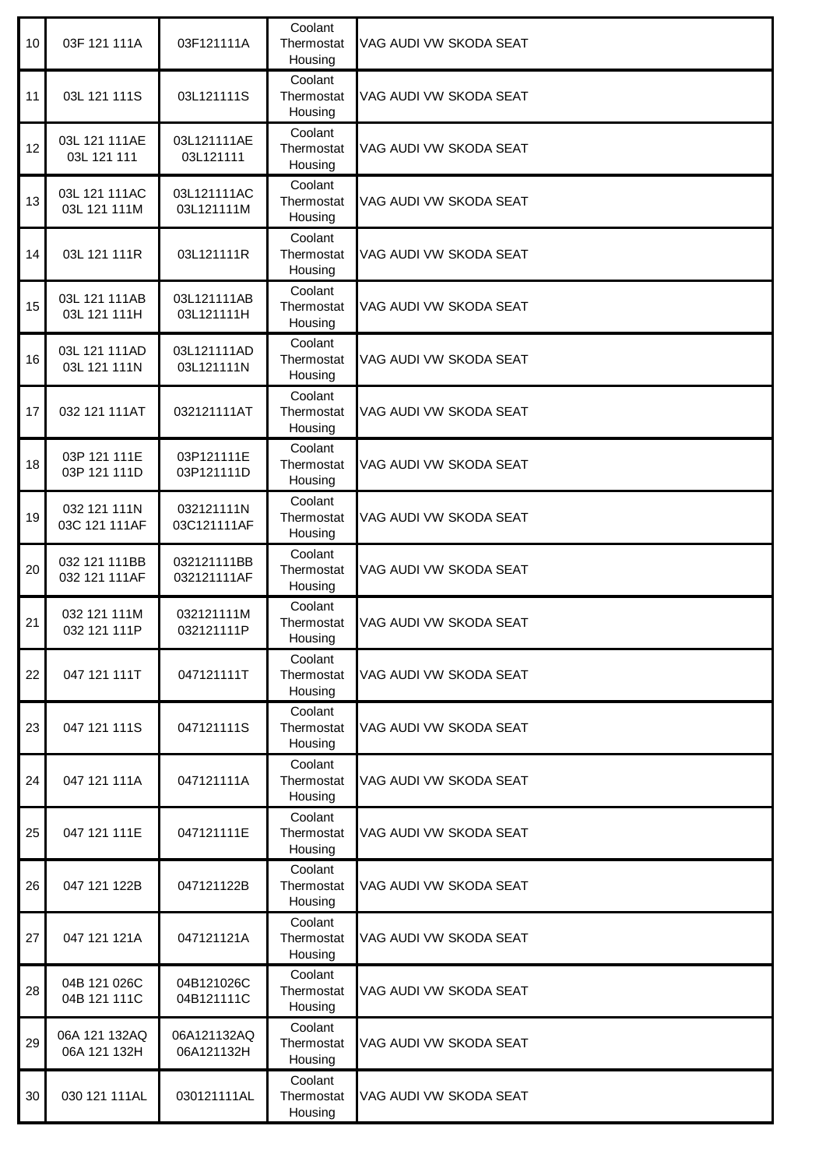| 10 | 03F 121 111A                   | 03F121111A                 | Coolant<br>Thermostat<br>Housing | VAG AUDI VW SKODA SEAT |
|----|--------------------------------|----------------------------|----------------------------------|------------------------|
| 11 | 03L 121 111S                   | 03L121111S                 | Coolant<br>Thermostat<br>Housing | VAG AUDI VW SKODA SEAT |
| 12 | 03L 121 111AE<br>03L 121 111   | 03L121111AE<br>03L121111   | Coolant<br>Thermostat<br>Housing | VAG AUDI VW SKODA SEAT |
| 13 | 03L 121 111AC<br>03L 121 111M  | 03L121111AC<br>03L121111M  | Coolant<br>Thermostat<br>Housing | VAG AUDI VW SKODA SEAT |
| 14 | 03L 121 111R                   | 03L121111R                 | Coolant<br>Thermostat<br>Housing | VAG AUDI VW SKODA SEAT |
| 15 | 03L 121 111AB<br>03L 121 111H  | 03L121111AB<br>03L121111H  | Coolant<br>Thermostat<br>Housing | VAG AUDI VW SKODA SEAT |
| 16 | 03L 121 111AD<br>03L 121 111N  | 03L121111AD<br>03L121111N  | Coolant<br>Thermostat<br>Housing | VAG AUDI VW SKODA SEAT |
| 17 | 032 121 111AT                  | 032121111AT                | Coolant<br>Thermostat<br>Housing | VAG AUDI VW SKODA SEAT |
| 18 | 03P 121 111E<br>03P 121 111D   | 03P121111E<br>03P121111D   | Coolant<br>Thermostat<br>Housing | VAG AUDI VW SKODA SEAT |
| 19 | 032 121 111N<br>03C 121 111AF  | 032121111N<br>03C121111AF  | Coolant<br>Thermostat<br>Housing | VAG AUDI VW SKODA SEAT |
| 20 | 032 121 111BB<br>032 121 111AF | 032121111BB<br>032121111AF | Coolant<br>Thermostat<br>Housing | VAG AUDI VW SKODA SEAT |
| 21 | 032 121 111M<br>032 121 111P   | 032121111M<br>032121111P   | Coolant<br>Thermostat<br>Housing | VAG AUDI VW SKODA SEAT |
| 22 | 047 121 111T                   | 047121111T                 | Coolant<br>Thermostat<br>Housing | VAG AUDI VW SKODA SEAT |
| 23 | 047 121 111S                   | 047121111S                 | Coolant<br>Thermostat<br>Housing | VAG AUDI VW SKODA SEAT |
| 24 | 047 121 111A                   | 047121111A                 | Coolant<br>Thermostat<br>Housing | VAG AUDI VW SKODA SEAT |
| 25 | 047 121 111E                   | 047121111E                 | Coolant<br>Thermostat<br>Housing | VAG AUDI VW SKODA SEAT |
| 26 | 047 121 122B                   | 047121122B                 | Coolant<br>Thermostat<br>Housing | VAG AUDI VW SKODA SEAT |
| 27 | 047 121 121A                   | 047121121A                 | Coolant<br>Thermostat<br>Housing | VAG AUDI VW SKODA SEAT |
| 28 | 04B 121 026C<br>04B 121 111C   | 04B121026C<br>04B121111C   | Coolant<br>Thermostat<br>Housing | VAG AUDI VW SKODA SEAT |
| 29 | 06A 121 132AQ<br>06A 121 132H  | 06A121132AQ<br>06A121132H  | Coolant<br>Thermostat<br>Housing | VAG AUDI VW SKODA SEAT |
| 30 | 030 121 111AL                  | 030121111AL                | Coolant<br>Thermostat<br>Housing | VAG AUDI VW SKODA SEAT |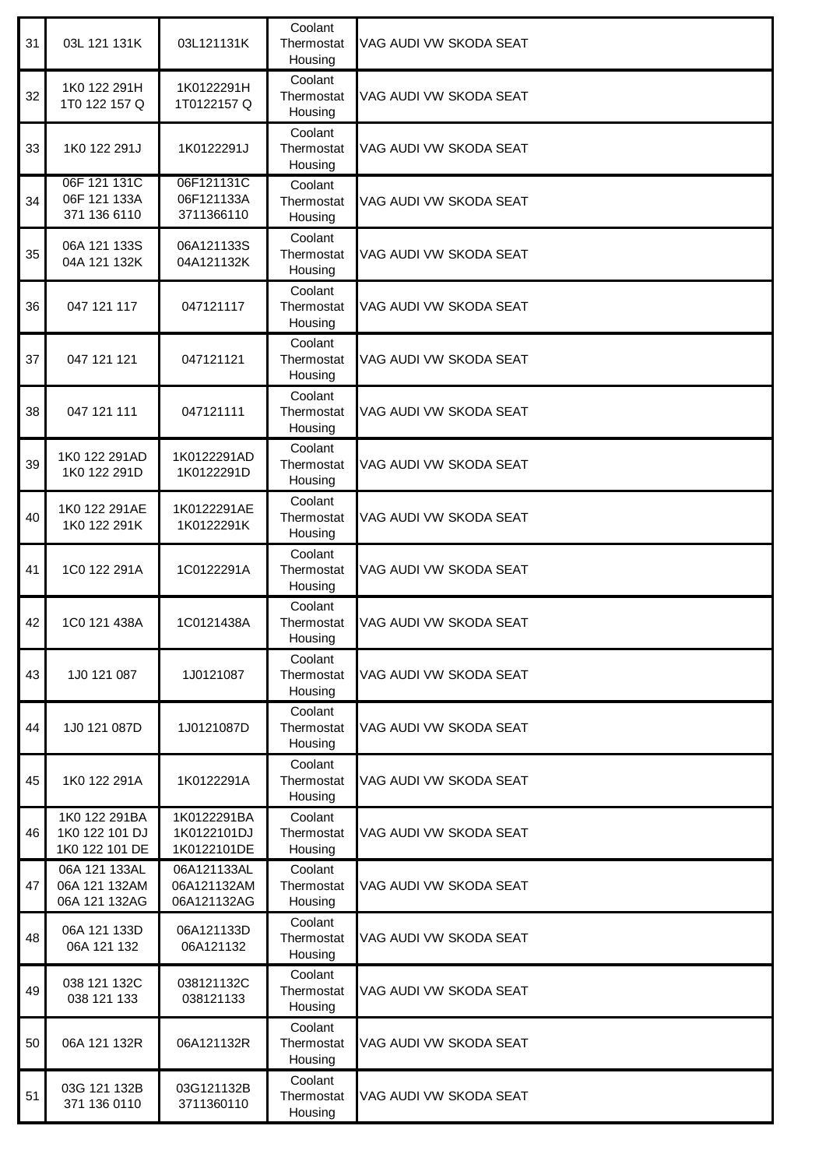| 31 | 03L 121 131K                                      | 03L121131K                                | Coolant<br>Thermostat<br>Housing | VAG AUDI VW SKODA SEAT |
|----|---------------------------------------------------|-------------------------------------------|----------------------------------|------------------------|
| 32 | 1K0 122 291H<br>1T0 122 157 Q                     | 1K0122291H<br>1T0122157Q                  | Coolant<br>Thermostat<br>Housing | VAG AUDI VW SKODA SEAT |
| 33 | 1K0 122 291J                                      | 1K0122291J                                | Coolant<br>Thermostat<br>Housing | VAG AUDI VW SKODA SEAT |
| 34 | 06F 121 131C<br>06F 121 133A<br>371 136 6110      | 06F121131C<br>06F121133A<br>3711366110    | Coolant<br>Thermostat<br>Housing | VAG AUDI VW SKODA SEAT |
| 35 | 06A 121 133S<br>04A 121 132K                      | 06A121133S<br>04A121132K                  | Coolant<br>Thermostat<br>Housing | VAG AUDI VW SKODA SEAT |
| 36 | 047 121 117                                       | 047121117                                 | Coolant<br>Thermostat<br>Housing | VAG AUDI VW SKODA SEAT |
| 37 | 047 121 121                                       | 047121121                                 | Coolant<br>Thermostat<br>Housing | VAG AUDI VW SKODA SEAT |
| 38 | 047 121 111                                       | 047121111                                 | Coolant<br>Thermostat<br>Housing | VAG AUDI VW SKODA SEAT |
| 39 | 1K0 122 291AD<br>1K0 122 291D                     | 1K0122291AD<br>1K0122291D                 | Coolant<br>Thermostat<br>Housing | VAG AUDI VW SKODA SEAT |
| 40 | 1K0 122 291AE<br>1K0 122 291K                     | 1K0122291AE<br>1K0122291K                 | Coolant<br>Thermostat<br>Housing | VAG AUDI VW SKODA SEAT |
| 41 | 1C0 122 291A                                      | 1C0122291A                                | Coolant<br>Thermostat<br>Housing | VAG AUDI VW SKODA SEAT |
| 42 | 1C0 121 438A                                      | 1C0121438A                                | Coolant<br>Thermostat<br>Housing | VAG AUDI VW SKODA SEAT |
| 43 | 1J0 121 087                                       | 1J0121087                                 | Coolant<br>Thermostat<br>Housing | VAG AUDI VW SKODA SEAT |
| 44 | 1J0 121 087D                                      | 1J0121087D                                | Coolant<br>Thermostat<br>Housing | VAG AUDI VW SKODA SEAT |
| 45 | 1K0 122 291A                                      | 1K0122291A                                | Coolant<br>Thermostat<br>Housing | VAG AUDI VW SKODA SEAT |
| 46 | 1K0 122 291BA<br>1K0 122 101 DJ<br>1K0 122 101 DE | 1K0122291BA<br>1K0122101DJ<br>1K0122101DE | Coolant<br>Thermostat<br>Housing | VAG AUDI VW SKODA SEAT |
| 47 | 06A 121 133AL<br>06A 121 132AM<br>06A 121 132AG   | 06A121133AL<br>06A121132AM<br>06A121132AG | Coolant<br>Thermostat<br>Housing | VAG AUDI VW SKODA SEAT |
| 48 | 06A 121 133D<br>06A 121 132                       | 06A121133D<br>06A121132                   | Coolant<br>Thermostat<br>Housing | VAG AUDI VW SKODA SEAT |
| 49 | 038 121 132C<br>038 121 133                       | 038121132C<br>038121133                   | Coolant<br>Thermostat<br>Housing | VAG AUDI VW SKODA SEAT |
| 50 | 06A 121 132R                                      | 06A121132R                                | Coolant<br>Thermostat<br>Housing | VAG AUDI VW SKODA SEAT |
| 51 | 03G 121 132B<br>371 136 0110                      | 03G121132B<br>3711360110                  | Coolant<br>Thermostat<br>Housing | VAG AUDI VW SKODA SEAT |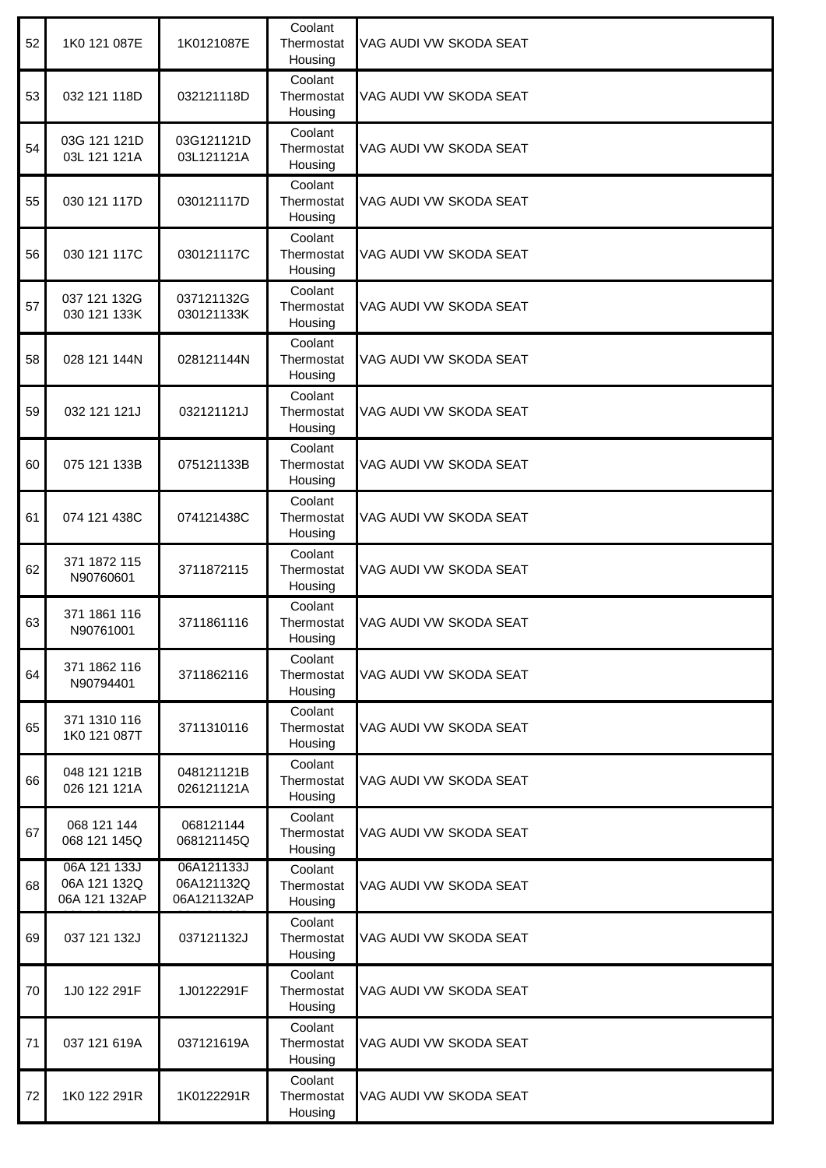| 52 | 1K0 121 087E                                  | 1K0121087E                              | Coolant<br>Thermostat<br>Housing | VAG AUDI VW SKODA SEAT |
|----|-----------------------------------------------|-----------------------------------------|----------------------------------|------------------------|
| 53 | 032 121 118D                                  | 032121118D                              | Coolant<br>Thermostat<br>Housing | VAG AUDI VW SKODA SEAT |
| 54 | 03G 121 121D<br>03L 121 121A                  | 03G121121D<br>03L121121A                | Coolant<br>Thermostat<br>Housing | VAG AUDI VW SKODA SEAT |
| 55 | 030 121 117D                                  | 030121117D                              | Coolant<br>Thermostat<br>Housing | VAG AUDI VW SKODA SEAT |
| 56 | 030 121 117C                                  | 030121117C                              | Coolant<br>Thermostat<br>Housing | VAG AUDI VW SKODA SEAT |
| 57 | 037 121 132G<br>030 121 133K                  | 037121132G<br>030121133K                | Coolant<br>Thermostat<br>Housing | VAG AUDI VW SKODA SEAT |
| 58 | 028 121 144N                                  | 028121144N                              | Coolant<br>Thermostat<br>Housing | VAG AUDI VW SKODA SEAT |
| 59 | 032 121 121J                                  | 032121121J                              | Coolant<br>Thermostat<br>Housing | VAG AUDI VW SKODA SEAT |
| 60 | 075 121 133B                                  | 075121133B                              | Coolant<br>Thermostat<br>Housing | VAG AUDI VW SKODA SEAT |
| 61 | 074 121 438C                                  | 074121438C                              | Coolant<br>Thermostat<br>Housing | VAG AUDI VW SKODA SEAT |
| 62 | 371 1872 115<br>N90760601                     | 3711872115                              | Coolant<br>Thermostat<br>Housing | VAG AUDI VW SKODA SEAT |
| 63 | 371 1861 116<br>N90761001                     | 3711861116                              | Coolant<br>Thermostat<br>Housing | VAG AUDI VW SKODA SEAT |
| 64 | 371 1862 116<br>N90794401                     | 3711862116                              | Coolant<br>Thermostat<br>Housing | VAG AUDI VW SKODA SEAT |
| 65 | 371 1310 116<br>1K0 121 087T                  | 3711310116                              | Coolant<br>Thermostat<br>Housing | VAG AUDI VW SKODA SEAT |
| 66 | 048 121 121B<br>026 121 121A                  | 048121121B<br>026121121A                | Coolant<br>Thermostat<br>Housing | VAG AUDI VW SKODA SEAT |
| 67 | 068 121 144<br>068 121 145Q                   | 068121144<br>068121145Q                 | Coolant<br>Thermostat<br>Housing | VAG AUDI VW SKODA SEAT |
| 68 | 06A 121 133J<br>06A 121 132Q<br>06A 121 132AP | 06A121133J<br>06A121132Q<br>06A121132AP | Coolant<br>Thermostat<br>Housing | VAG AUDI VW SKODA SEAT |
| 69 | 037 121 132J                                  | 037121132J                              | Coolant<br>Thermostat<br>Housing | VAG AUDI VW SKODA SEAT |
| 70 | 1J0 122 291F                                  | 1J0122291F                              | Coolant<br>Thermostat<br>Housing | VAG AUDI VW SKODA SEAT |
| 71 | 037 121 619A                                  | 037121619A                              | Coolant<br>Thermostat<br>Housing | VAG AUDI VW SKODA SEAT |
| 72 | 1K0 122 291R                                  | 1K0122291R                              | Coolant<br>Thermostat<br>Housing | VAG AUDI VW SKODA SEAT |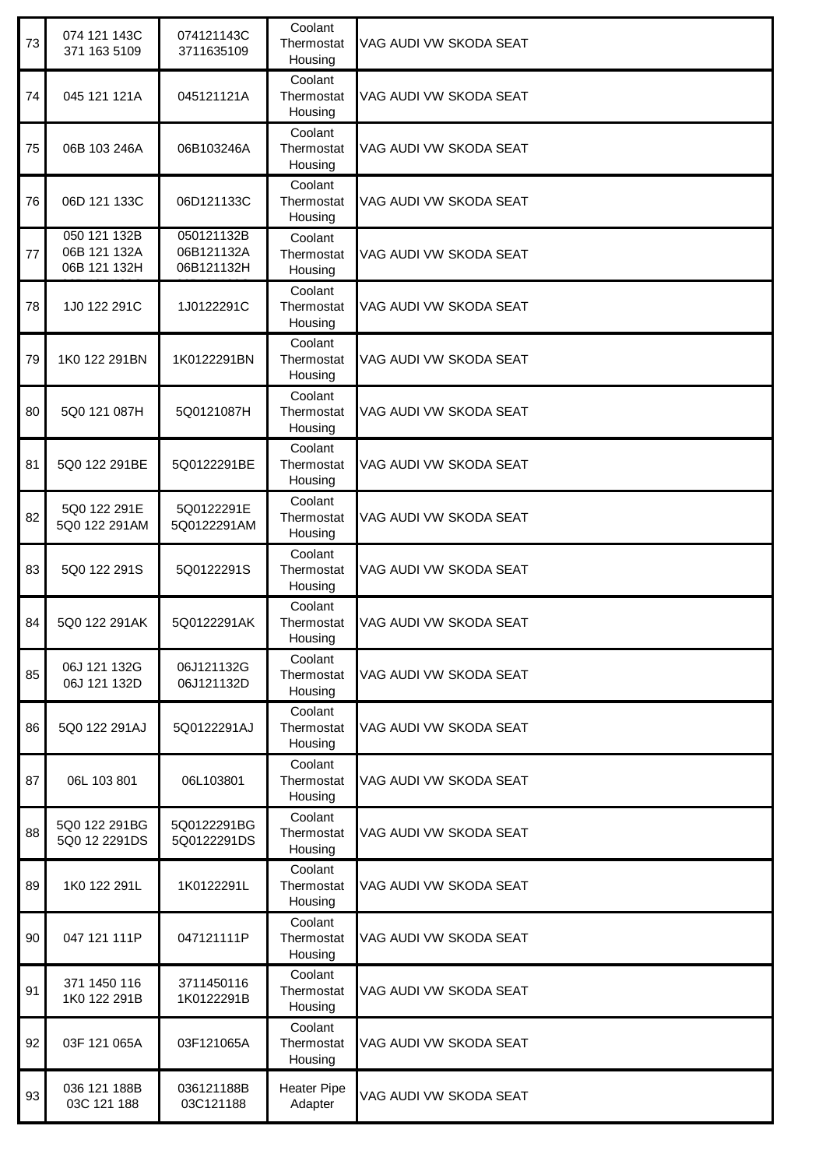| 73 | 074 121 143C<br>371 163 5109                 | 074121143C<br>3711635109               | Coolant<br>Thermostat<br>Housing | VAG AUDI VW SKODA SEAT |
|----|----------------------------------------------|----------------------------------------|----------------------------------|------------------------|
| 74 | 045 121 121A                                 | 045121121A                             | Coolant<br>Thermostat<br>Housing | VAG AUDI VW SKODA SEAT |
| 75 | 06B 103 246A                                 | 06B103246A                             | Coolant<br>Thermostat<br>Housing | VAG AUDI VW SKODA SEAT |
| 76 | 06D 121 133C                                 | 06D121133C                             | Coolant<br>Thermostat<br>Housing | VAG AUDI VW SKODA SEAT |
| 77 | 050 121 132B<br>06B 121 132A<br>06B 121 132H | 050121132B<br>06B121132A<br>06B121132H | Coolant<br>Thermostat<br>Housing | VAG AUDI VW SKODA SEAT |
| 78 | 1J0 122 291C                                 | 1J0122291C                             | Coolant<br>Thermostat<br>Housing | VAG AUDI VW SKODA SEAT |
| 79 | 1K0 122 291BN                                | 1K0122291BN                            | Coolant<br>Thermostat<br>Housing | VAG AUDI VW SKODA SEAT |
| 80 | 5Q0 121 087H                                 | 5Q0121087H                             | Coolant<br>Thermostat<br>Housing | VAG AUDI VW SKODA SEAT |
| 81 | 5Q0 122 291BE                                | 5Q0122291BE                            | Coolant<br>Thermostat<br>Housing | VAG AUDI VW SKODA SEAT |
| 82 | 5Q0 122 291E<br>5Q0 122 291AM                | 5Q0122291E<br>5Q0122291AM              | Coolant<br>Thermostat<br>Housing | VAG AUDI VW SKODA SEAT |
| 83 | 5Q0 122 291S                                 | 5Q0122291S                             | Coolant<br>Thermostat<br>Housing | VAG AUDI VW SKODA SEAT |
| 84 | 5Q0 122 291AK                                | 5Q0122291AK                            | Coolant<br>Thermostat<br>Housing | VAG AUDI VW SKODA SEAT |
| 85 | 06J 121 132G<br>06J 121 132D                 | 06J121132G<br>06J121132D               | Coolant<br>Thermostat<br>Housing | VAG AUDI VW SKODA SEAT |
| 86 | 5Q0 122 291AJ                                | 5Q0122291AJ                            | Coolant<br>Thermostat<br>Housing | VAG AUDI VW SKODA SEAT |
| 87 | 06L 103 801                                  | 06L103801                              | Coolant<br>Thermostat<br>Housing | VAG AUDI VW SKODA SEAT |
| 88 | 5Q0 122 291BG<br>5Q0 12 2291DS               | 5Q0122291BG<br>5Q0122291DS             | Coolant<br>Thermostat<br>Housing | VAG AUDI VW SKODA SEAT |
| 89 | 1K0 122 291L                                 | 1K0122291L                             | Coolant<br>Thermostat<br>Housing | VAG AUDI VW SKODA SEAT |
| 90 | 047 121 111P                                 | 047121111P                             | Coolant<br>Thermostat<br>Housing | VAG AUDI VW SKODA SEAT |
| 91 | 371 1450 116<br>1K0 122 291B                 | 3711450116<br>1K0122291B               | Coolant<br>Thermostat<br>Housing | VAG AUDI VW SKODA SEAT |
| 92 | 03F 121 065A                                 | 03F121065A                             | Coolant<br>Thermostat<br>Housing | VAG AUDI VW SKODA SEAT |
| 93 | 036 121 188B<br>03C 121 188                  | 036121188B<br>03C121188                | <b>Heater Pipe</b><br>Adapter    | VAG AUDI VW SKODA SEAT |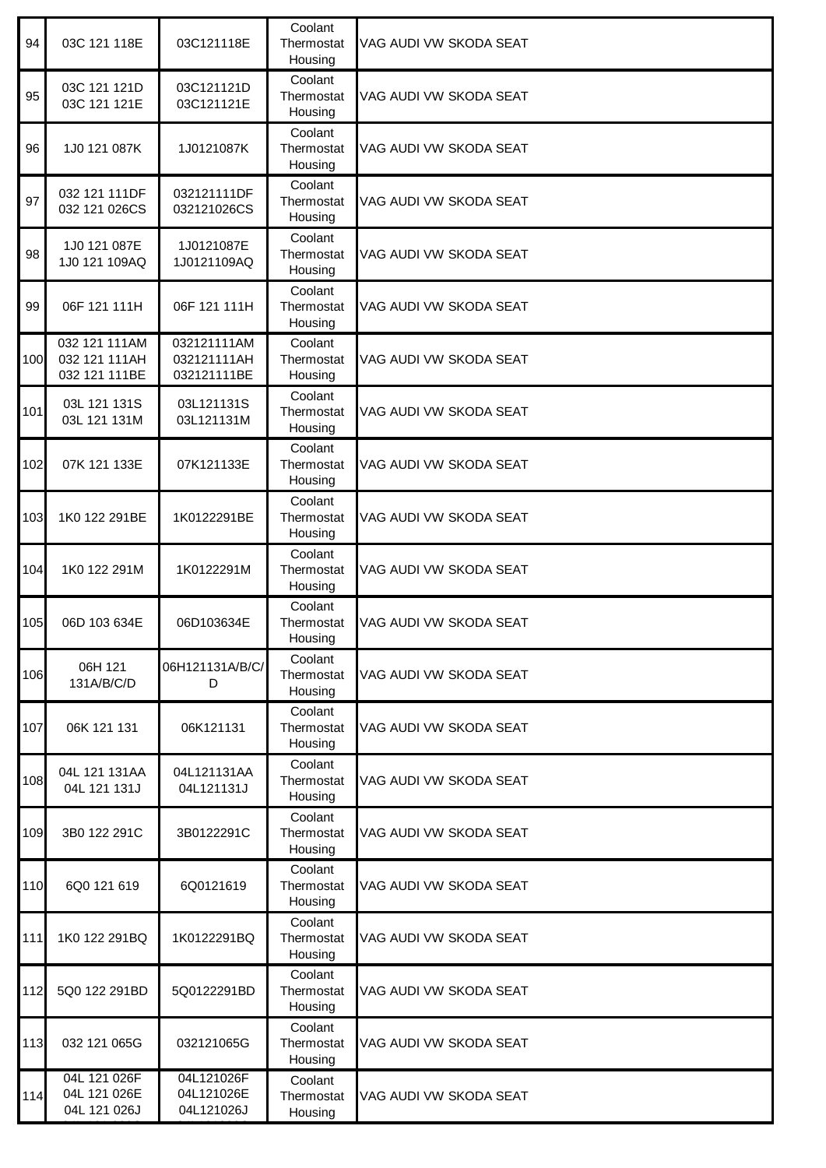| 94    | 03C 121 118E                                    | 03C121118E                                | Coolant<br>Thermostat<br>Housing | VAG AUDI VW SKODA SEAT |
|-------|-------------------------------------------------|-------------------------------------------|----------------------------------|------------------------|
| 95    | 03C 121 121D<br>03C 121 121E                    | 03C121121D<br>03C121121E                  | Coolant<br>Thermostat<br>Housing | VAG AUDI VW SKODA SEAT |
| 96    | 1J0 121 087K                                    | 1J0121087K                                | Coolant<br>Thermostat<br>Housing | VAG AUDI VW SKODA SEAT |
| 97    | 032 121 111DF<br>032 121 026CS                  | 032121111DF<br>032121026CS                | Coolant<br>Thermostat<br>Housing | VAG AUDI VW SKODA SEAT |
| 98    | 1J0 121 087E<br>1J0 121 109AQ                   | 1J0121087E<br>1J0121109AQ                 | Coolant<br>Thermostat<br>Housing | VAG AUDI VW SKODA SEAT |
| 99    | 06F 121 111H                                    | 06F 121 111H                              | Coolant<br>Thermostat<br>Housing | VAG AUDI VW SKODA SEAT |
| 100   | 032 121 111AM<br>032 121 111AH<br>032 121 111BE | 032121111AM<br>032121111AH<br>032121111BE | Coolant<br>Thermostat<br>Housing | VAG AUDI VW SKODA SEAT |
| 101   | 03L 121 131S<br>03L 121 131M                    | 03L121131S<br>03L121131M                  | Coolant<br>Thermostat<br>Housing | VAG AUDI VW SKODA SEAT |
| 102   | 07K 121 133E                                    | 07K121133E                                | Coolant<br>Thermostat<br>Housing | VAG AUDI VW SKODA SEAT |
| 103   | 1K0 122 291BE                                   | 1K0122291BE                               | Coolant<br>Thermostat<br>Housing | VAG AUDI VW SKODA SEAT |
| 104   | 1K0 122 291M                                    | 1K0122291M                                | Coolant<br>Thermostat<br>Housing | VAG AUDI VW SKODA SEAT |
| 105   | 06D 103 634E                                    | 06D103634E                                | Coolant<br>Thermostat<br>Housing | VAG AUDI VW SKODA SEAT |
| 106   | 06H 121<br>131A/B/C/D                           | 06H121131A/B/C/<br>D                      | Coolant<br>Thermostat<br>Housing | VAG AUDI VW SKODA SEAT |
| 107   | 06K 121 131                                     | 06K121131                                 | Coolant<br>Thermostat<br>Housing | VAG AUDI VW SKODA SEAT |
| 108   | 04L 121 131AA<br>04L 121 131J                   | 04L121131AA<br>04L121131J                 | Coolant<br>Thermostat<br>Housing | VAG AUDI VW SKODA SEAT |
| 109   | 3B0 122 291C                                    | 3B0122291C                                | Coolant<br>Thermostat<br>Housing | VAG AUDI VW SKODA SEAT |
| 110   | 6Q0 121 619                                     | 6Q0121619                                 | Coolant<br>Thermostat<br>Housing | VAG AUDI VW SKODA SEAT |
| 111   | 1K0 122 291BQ                                   | 1K0122291BQ                               | Coolant<br>Thermostat<br>Housing | VAG AUDI VW SKODA SEAT |
| $112$ | 5Q0 122 291BD                                   | 5Q0122291BD                               | Coolant<br>Thermostat<br>Housing | VAG AUDI VW SKODA SEAT |
| 113   | 032 121 065G                                    | 032121065G                                | Coolant<br>Thermostat<br>Housing | VAG AUDI VW SKODA SEAT |
| 114   | 04L 121 026F<br>04L 121 026E<br>04L 121 026J    | 04L121026F<br>04L121026E<br>04L121026J    | Coolant<br>Thermostat<br>Housing | VAG AUDI VW SKODA SEAT |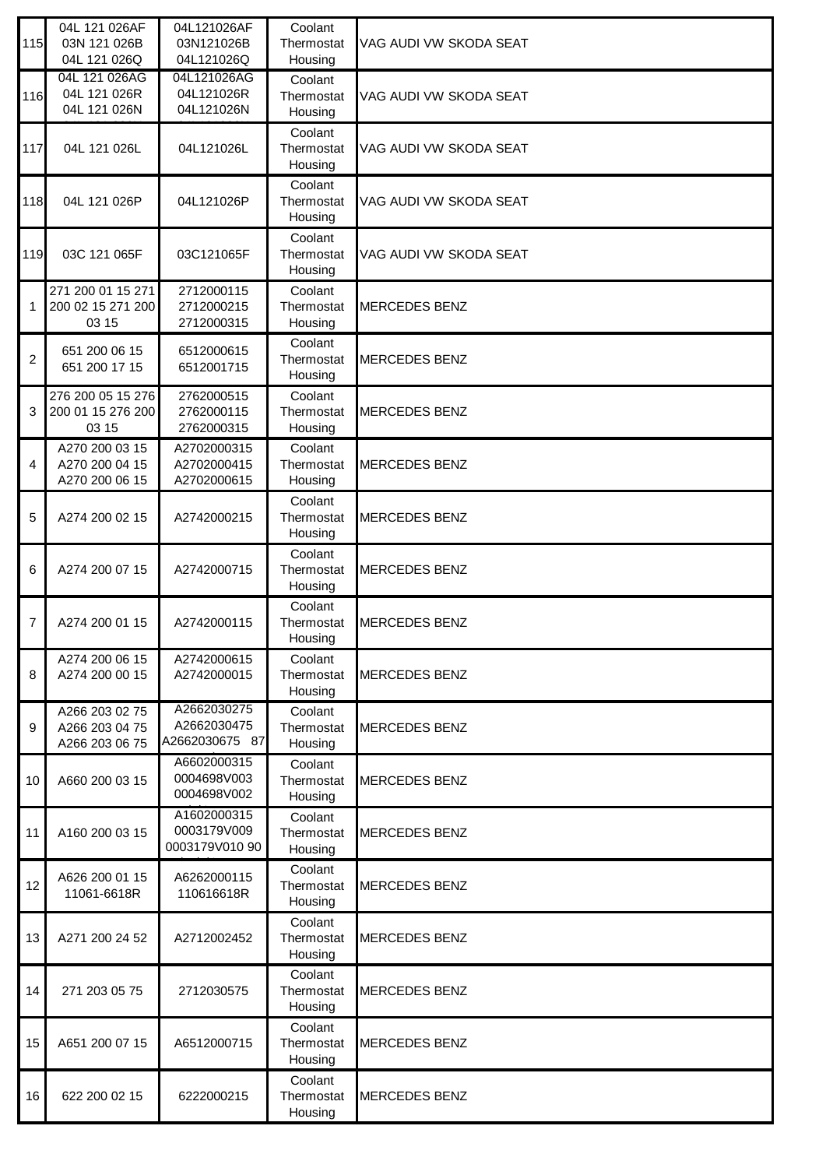| 115            | 04L 121 026AF<br>03N 121 026B<br>04L 121 026Q      | 04L121026AF<br>03N121026B<br>04L121026Q      | Coolant<br>Thermostat<br>Housing | VAG AUDI VW SKODA SEAT |
|----------------|----------------------------------------------------|----------------------------------------------|----------------------------------|------------------------|
| 116            | 04L 121 026AG<br>04L 121 026R<br>04L 121 026N      | 04L121026AG<br>04L121026R<br>04L121026N      | Coolant<br>Thermostat<br>Housing | VAG AUDI VW SKODA SEAT |
| 117            | 04L 121 026L                                       | 04L121026L                                   | Coolant<br>Thermostat<br>Housing | VAG AUDI VW SKODA SEAT |
| 118            | 04L 121 026P                                       | 04L121026P                                   | Coolant<br>Thermostat<br>Housing | VAG AUDI VW SKODA SEAT |
| 119            | 03C 121 065F                                       | 03C121065F                                   | Coolant<br>Thermostat<br>Housing | VAG AUDI VW SKODA SEAT |
| 1              | 271 200 01 15 271<br>200 02 15 271 200<br>03 15    | 2712000115<br>2712000215<br>2712000315       | Coolant<br>Thermostat<br>Housing | <b>MERCEDES BENZ</b>   |
| $\overline{2}$ | 651 200 06 15<br>651 200 17 15                     | 6512000615<br>6512001715                     | Coolant<br>Thermostat<br>Housing | <b>MERCEDES BENZ</b>   |
| 3              | 276 200 05 15 276<br>200 01 15 276 200<br>03 15    | 2762000515<br>2762000115<br>2762000315       | Coolant<br>Thermostat<br>Housing | <b>MERCEDES BENZ</b>   |
| 4              | A270 200 03 15<br>A270 200 04 15<br>A270 200 06 15 | A2702000315<br>A2702000415<br>A2702000615    | Coolant<br>Thermostat<br>Housing | <b>MERCEDES BENZ</b>   |
| 5              | A274 200 02 15                                     | A2742000215                                  | Coolant<br>Thermostat<br>Housing | <b>MERCEDES BENZ</b>   |
| 6              | A274 200 07 15                                     | A2742000715                                  | Coolant<br>Thermostat<br>Housing | <b>MERCEDES BENZ</b>   |
| $\overline{7}$ | A274 200 01 15                                     | A2742000115                                  | Coolant<br>Thermostat<br>Housing | <b>MERCEDES BENZ</b>   |
| 8              | A274 200 06 15<br>A274 200 00 15                   | A2742000615<br>A2742000015                   | Coolant<br>Thermostat<br>Housing | <b>MERCEDES BENZ</b>   |
| 9              | A266 203 02 75<br>A266 203 04 75<br>A266 203 06 75 | A2662030275<br>A2662030475<br>A2662030675 87 | Coolant<br>Thermostat<br>Housing | <b>MERCEDES BENZ</b>   |
| 10             | A660 200 03 15                                     | A6602000315<br>0004698V003<br>0004698V002    | Coolant<br>Thermostat<br>Housing | <b>MERCEDES BENZ</b>   |
| 11             | A160 200 03 15                                     | A1602000315<br>0003179V009<br>0003179V010 90 | Coolant<br>Thermostat<br>Housing | <b>MERCEDES BENZ</b>   |
| 12             | A626 200 01 15<br>11061-6618R                      | A6262000115<br>110616618R                    | Coolant<br>Thermostat<br>Housing | <b>MERCEDES BENZ</b>   |
| 13             | A271 200 24 52                                     | A2712002452                                  | Coolant<br>Thermostat<br>Housing | <b>MERCEDES BENZ</b>   |
| 14             | 271 203 05 75                                      | 2712030575                                   | Coolant<br>Thermostat<br>Housing | <b>MERCEDES BENZ</b>   |
| 15             | A651 200 07 15                                     | A6512000715                                  | Coolant<br>Thermostat<br>Housing | <b>MERCEDES BENZ</b>   |
| 16             | 622 200 02 15                                      | 6222000215                                   | Coolant<br>Thermostat<br>Housing | <b>MERCEDES BENZ</b>   |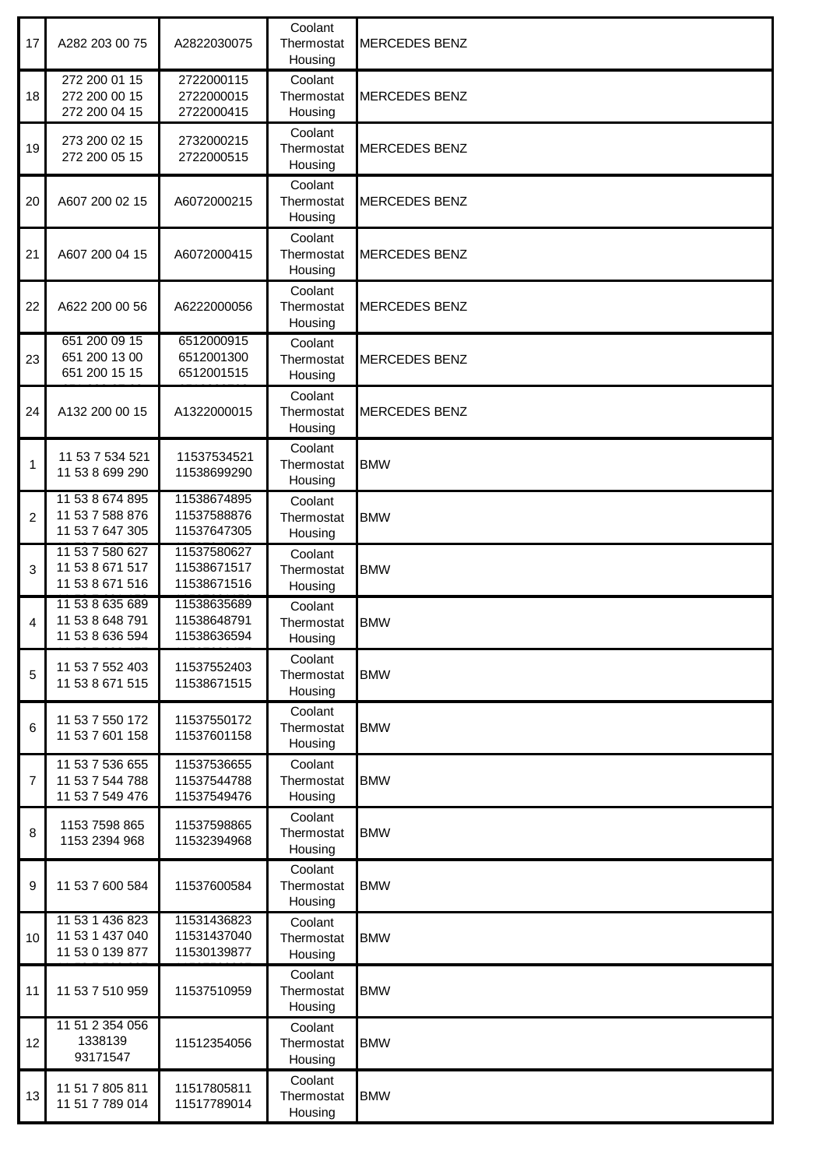| 17             | A282 203 00 75                                        | A2822030075                               | Coolant<br>Thermostat<br>Housing | <b>MERCEDES BENZ</b> |
|----------------|-------------------------------------------------------|-------------------------------------------|----------------------------------|----------------------|
| 18             | 272 200 01 15<br>272 200 00 15<br>272 200 04 15       | 2722000115<br>2722000015<br>2722000415    | Coolant<br>Thermostat<br>Housing | <b>MERCEDES BENZ</b> |
| 19             | 273 200 02 15<br>272 200 05 15                        | 2732000215<br>2722000515                  | Coolant<br>Thermostat<br>Housing | <b>MERCEDES BENZ</b> |
| 20             | A607 200 02 15                                        | A6072000215                               | Coolant<br>Thermostat<br>Housing | <b>MERCEDES BENZ</b> |
| 21             | A607 200 04 15                                        | A6072000415                               | Coolant<br>Thermostat<br>Housing | <b>MERCEDES BENZ</b> |
| 22             | A622 200 00 56                                        | A6222000056                               | Coolant<br>Thermostat<br>Housing | MERCEDES BENZ        |
| 23             | 651 200 09 15<br>651 200 13 00<br>651 200 15 15       | 6512000915<br>6512001300<br>6512001515    | Coolant<br>Thermostat<br>Housing | <b>MERCEDES BENZ</b> |
| 24             | A132 200 00 15                                        | A1322000015                               | Coolant<br>Thermostat<br>Housing | <b>MERCEDES BENZ</b> |
| $\mathbf{1}$   | 11 53 7 534 521<br>11 53 8 699 290                    | 11537534521<br>11538699290                | Coolant<br>Thermostat<br>Housing | <b>BMW</b>           |
| $\overline{2}$ | 11 53 8 674 895<br>11 53 7 588 876<br>11 53 7 647 305 | 11538674895<br>11537588876<br>11537647305 | Coolant<br>Thermostat<br>Housing | <b>BMW</b>           |
| 3              | 11 53 7 580 627<br>11 53 8 671 517<br>11 53 8 671 516 | 11537580627<br>11538671517<br>11538671516 | Coolant<br>Thermostat<br>Housing | <b>BMW</b>           |
| 4              | 11 53 8 635 689<br>11 53 8 648 791<br>11 53 8 636 594 | 11538635689<br>11538648791<br>11538636594 | Coolant<br>Thermostat<br>Housing | <b>BMW</b>           |
| 5              | 11 53 7 552 403<br>11 53 8 671 515                    | 11537552403<br>11538671515                | Coolant<br>Thermostat<br>Housing | <b>BMW</b>           |
| 6              | 11 53 7 550 172<br>11 53 7 601 158                    | 11537550172<br>11537601158                | Coolant<br>Thermostat<br>Housing | <b>BMW</b>           |
| $\overline{7}$ | 11 53 7 536 655<br>11 53 7 544 788<br>11 53 7 549 476 | 11537536655<br>11537544788<br>11537549476 | Coolant<br>Thermostat<br>Housing | <b>BMW</b>           |
| 8              | 1153 7598 865<br>1153 2394 968                        | 11537598865<br>11532394968                | Coolant<br>Thermostat<br>Housing | <b>BMW</b>           |
| 9              | 11 53 7 600 584                                       | 11537600584                               | Coolant<br>Thermostat<br>Housing | <b>BMW</b>           |
| 10             | 11 53 1 436 823<br>11 53 1 437 040<br>11 53 0 139 877 | 11531436823<br>11531437040<br>11530139877 | Coolant<br>Thermostat<br>Housing | <b>BMW</b>           |
| 11             | 11 53 7 510 959                                       | 11537510959                               | Coolant<br>Thermostat<br>Housing | <b>BMW</b>           |
| 12             | 11 51 2 354 056<br>1338139<br>93171547                | 11512354056                               | Coolant<br>Thermostat<br>Housing | <b>BMW</b>           |
| 13             | 11 51 7 805 811<br>11 51 7 789 014                    | 11517805811<br>11517789014                | Coolant<br>Thermostat<br>Housing | <b>BMW</b>           |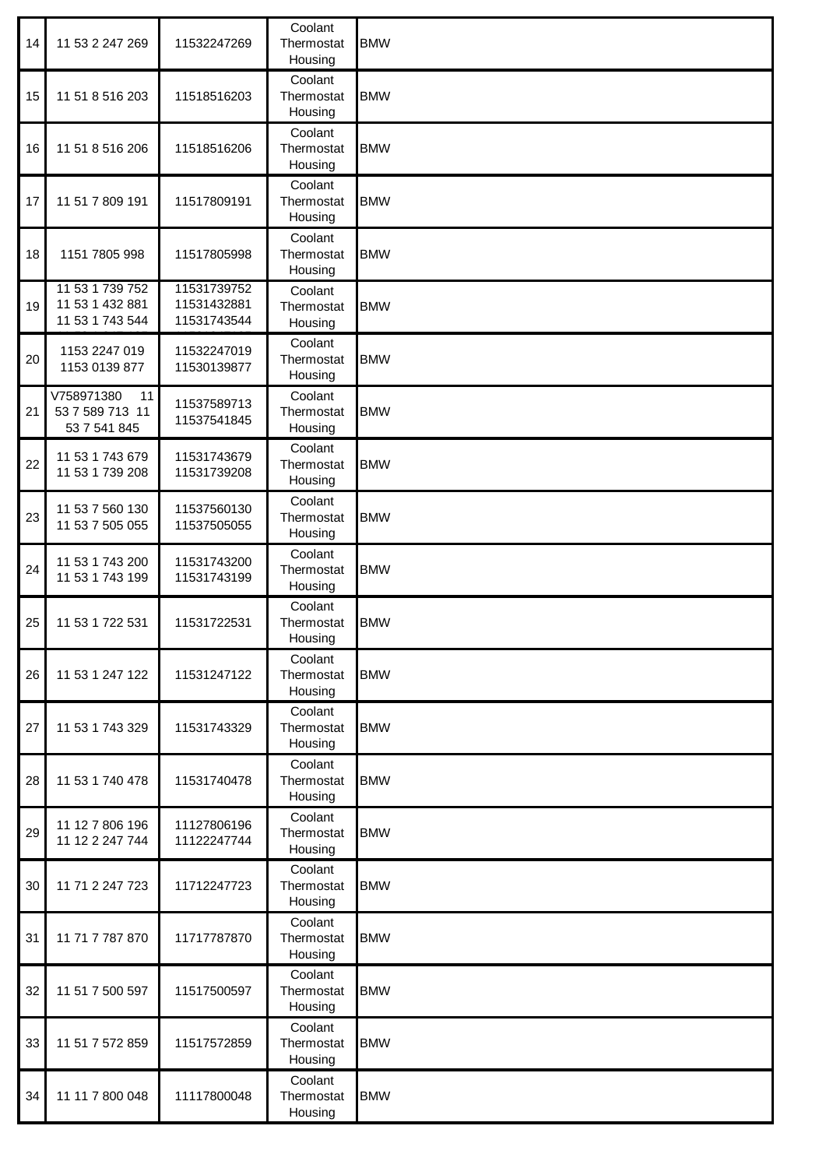| 14 | 11 53 2 247 269                                       | 11532247269                               | Coolant<br>Thermostat<br>Housing | <b>BMW</b> |
|----|-------------------------------------------------------|-------------------------------------------|----------------------------------|------------|
| 15 | 11 51 8 516 203                                       | 11518516203                               | Coolant<br>Thermostat<br>Housing | <b>BMW</b> |
| 16 | 11 51 8 516 206                                       | 11518516206                               | Coolant<br>Thermostat<br>Housing | <b>BMW</b> |
| 17 | 11 51 7 809 191                                       | 11517809191                               | Coolant<br>Thermostat<br>Housing | <b>BMW</b> |
| 18 | 1151 7805 998                                         | 11517805998                               | Coolant<br>Thermostat<br>Housing | <b>BMW</b> |
| 19 | 11 53 1 739 752<br>11 53 1 432 881<br>11 53 1 743 544 | 11531739752<br>11531432881<br>11531743544 | Coolant<br>Thermostat<br>Housing | <b>BMW</b> |
| 20 | 1153 2247 019<br>1153 0139 877                        | 11532247019<br>11530139877                | Coolant<br>Thermostat<br>Housing | <b>BMW</b> |
| 21 | V758971380<br>11<br>53 7 589 713 11<br>53 7 541 845   | 11537589713<br>11537541845                | Coolant<br>Thermostat<br>Housing | <b>BMW</b> |
| 22 | 11 53 1 743 679<br>11 53 1 739 208                    | 11531743679<br>11531739208                | Coolant<br>Thermostat<br>Housing | <b>BMW</b> |
| 23 | 11 53 7 560 130<br>11 53 7 505 055                    | 11537560130<br>11537505055                | Coolant<br>Thermostat<br>Housing | <b>BMW</b> |
| 24 | 11 53 1 743 200<br>11 53 1 743 199                    | 11531743200<br>11531743199                | Coolant<br>Thermostat<br>Housing | <b>BMW</b> |
| 25 | 11 53 1 722 531                                       | 11531722531                               | Coolant<br>Thermostat<br>Housing | <b>BMW</b> |
| 26 | 11 53 1 247 122                                       | 11531247122                               | Coolant<br>Thermostat<br>Housing | <b>BMW</b> |
| 27 | 11 53 1 743 329                                       | 11531743329                               | Coolant<br>Thermostat<br>Housing | <b>BMW</b> |
| 28 | 11 53 1 740 478                                       | 11531740478                               | Coolant<br>Thermostat<br>Housing | <b>BMW</b> |
| 29 | 11 12 7 806 196<br>11 12 2 247 744                    | 11127806196<br>11122247744                | Coolant<br>Thermostat<br>Housing | <b>BMW</b> |
| 30 | 11 71 2 247 723                                       | 11712247723                               | Coolant<br>Thermostat<br>Housing | <b>BMW</b> |
| 31 | 11 71 7 787 870                                       | 11717787870                               | Coolant<br>Thermostat<br>Housing | <b>BMW</b> |
| 32 | 11 51 7 500 597                                       | 11517500597                               | Coolant<br>Thermostat<br>Housing | <b>BMW</b> |
| 33 | 11 51 7 572 859                                       | 11517572859                               | Coolant<br>Thermostat<br>Housing | <b>BMW</b> |
| 34 | 11 11 7 800 048                                       | 11117800048                               | Coolant<br>Thermostat<br>Housing | <b>BMW</b> |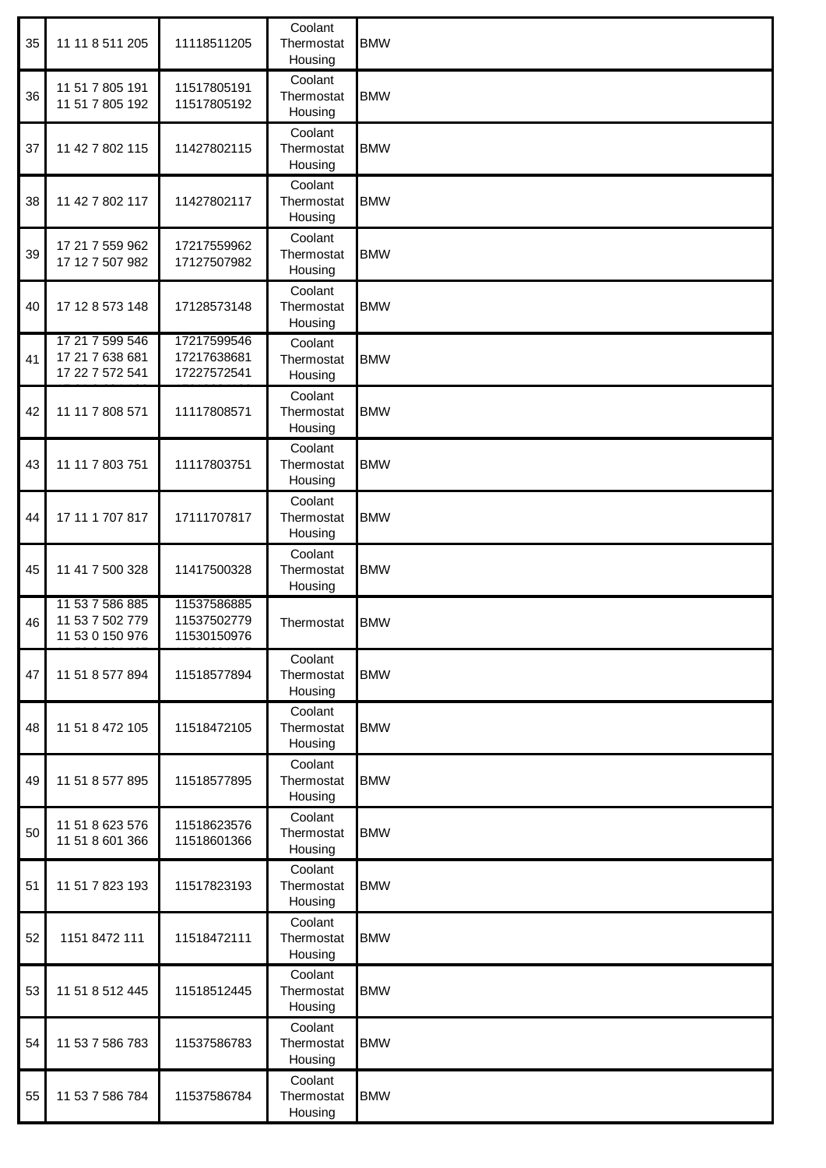| 35 | 11 11 8 511 205                                       | 11118511205                               | Coolant<br>Thermostat<br>Housing | <b>BMW</b> |
|----|-------------------------------------------------------|-------------------------------------------|----------------------------------|------------|
| 36 | 11 51 7 805 191<br>11 51 7 805 192                    | 11517805191<br>11517805192                | Coolant<br>Thermostat<br>Housing | <b>BMW</b> |
| 37 | 11 42 7 802 115                                       | 11427802115                               | Coolant<br>Thermostat<br>Housing | <b>BMW</b> |
| 38 | 11 42 7 802 117                                       | 11427802117                               | Coolant<br>Thermostat<br>Housing | <b>BMW</b> |
| 39 | 17 21 7 559 962<br>17 12 7 507 982                    | 17217559962<br>17127507982                | Coolant<br>Thermostat<br>Housing | <b>BMW</b> |
| 40 | 17 12 8 573 148                                       | 17128573148                               | Coolant<br>Thermostat<br>Housing | <b>BMW</b> |
| 41 | 17 21 7 599 546<br>17 21 7 638 681<br>17 22 7 572 541 | 17217599546<br>17217638681<br>17227572541 | Coolant<br>Thermostat<br>Housing | <b>BMW</b> |
| 42 | 11 11 7 808 571                                       | 11117808571                               | Coolant<br>Thermostat<br>Housing | <b>BMW</b> |
| 43 | 11 11 7 803 751                                       | 11117803751                               | Coolant<br>Thermostat<br>Housing | <b>BMW</b> |
| 44 | 17 11 1 707 817                                       | 17111707817                               | Coolant<br>Thermostat<br>Housing | <b>BMW</b> |
| 45 | 11 41 7 500 328                                       | 11417500328                               | Coolant<br>Thermostat<br>Housing | <b>BMW</b> |
| 46 | 11 53 7 586 885<br>11 53 7 502 779<br>11 53 0 150 976 | 11537586885<br>11537502779<br>11530150976 | Thermostat                       | <b>BMW</b> |
| 47 | 11 51 8 577 894                                       | 11518577894                               | Coolant<br>Thermostat<br>Housing | <b>BMW</b> |
| 48 | 11 51 8 472 105                                       | 11518472105                               | Coolant<br>Thermostat<br>Housing | <b>BMW</b> |
| 49 | 11 51 8 577 895                                       | 11518577895                               | Coolant<br>Thermostat<br>Housing | <b>BMW</b> |
| 50 | 11 51 8 623 576<br>11 51 8 601 366                    | 11518623576<br>11518601366                | Coolant<br>Thermostat<br>Housing | <b>BMW</b> |
| 51 | 11 51 7 823 193                                       | 11517823193                               | Coolant<br>Thermostat<br>Housing | <b>BMW</b> |
| 52 | 1151 8472 111                                         | 11518472111                               | Coolant<br>Thermostat<br>Housing | <b>BMW</b> |
| 53 | 11 51 8 512 445                                       | 11518512445                               | Coolant<br>Thermostat<br>Housing | <b>BMW</b> |
| 54 | 11 53 7 586 783                                       | 11537586783                               | Coolant<br>Thermostat<br>Housing | <b>BMW</b> |
| 55 | 11 53 7 586 784                                       | 11537586784                               | Coolant<br>Thermostat<br>Housing | <b>BMW</b> |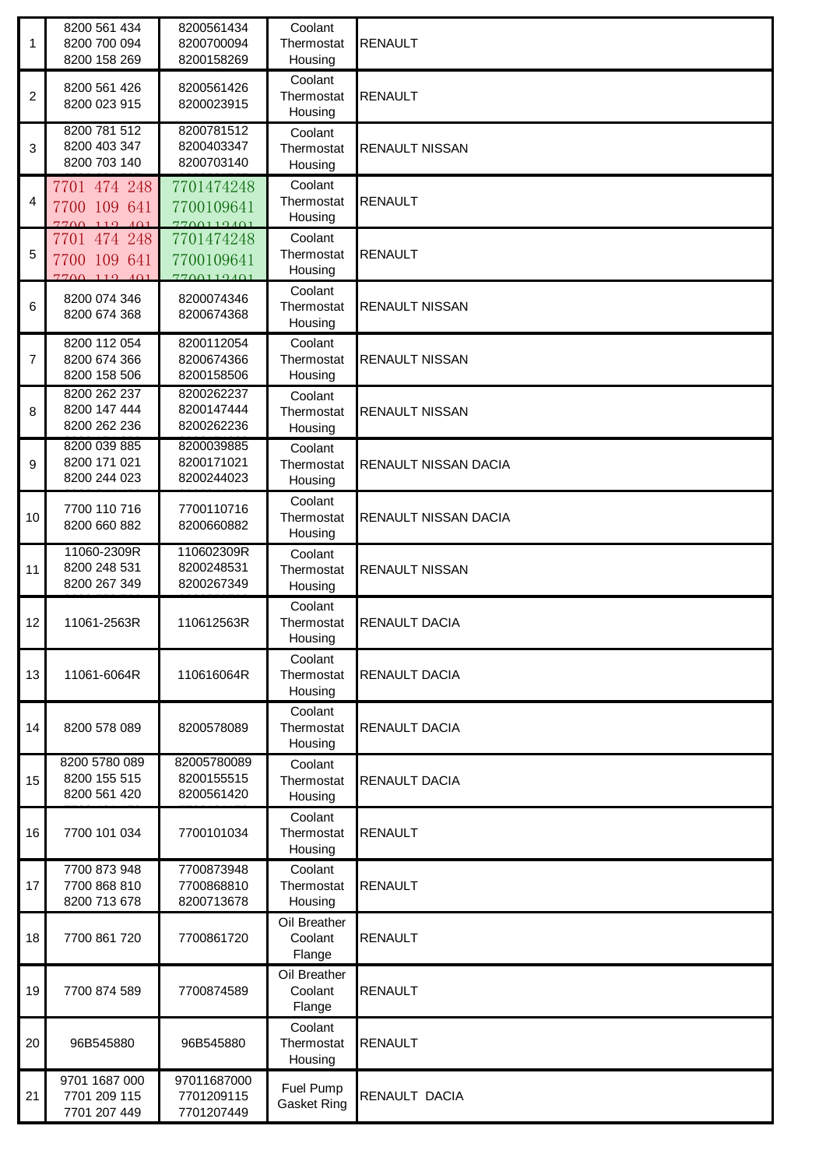| 1              | 8200 561 434<br>8200 700 094<br>8200 158 269       | 8200561434<br>8200700094<br>8200158269   | Coolant<br>Thermostat<br>Housing  | <b>RENAULT</b>        |
|----------------|----------------------------------------------------|------------------------------------------|-----------------------------------|-----------------------|
| $\overline{2}$ | 8200 561 426<br>8200 023 915                       | 8200561426<br>8200023915                 | Coolant<br>Thermostat<br>Housing  | <b>RENAULT</b>        |
| 3              | 8200 781 512<br>8200 403 347<br>8200 703 140       | 8200781512<br>8200403347<br>8200703140   | Coolant<br>Thermostat<br>Housing  | <b>RENAULT NISSAN</b> |
| 4              | 7701 474 248<br>7700 109 641<br>7700110<br>101     | 7701474248<br>7700109641<br>$7700119401$ | Coolant<br>Thermostat<br>Housing  | <b>RENAULT</b>        |
| 5              | 7701 474 248<br>7700 109 641<br>$7700 - 119 - 401$ | 7701474248<br>7700109641<br>7700119401   | Coolant<br>Thermostat<br>Housing  | <b>RENAULT</b>        |
| 6              | 8200 074 346<br>8200 674 368                       | 8200074346<br>8200674368                 | Coolant<br>Thermostat<br>Housing  | <b>RENAULT NISSAN</b> |
| $\overline{7}$ | 8200 112 054<br>8200 674 366<br>8200 158 506       | 8200112054<br>8200674366<br>8200158506   | Coolant<br>Thermostat<br>Housing  | <b>RENAULT NISSAN</b> |
| 8              | 8200 262 237<br>8200 147 444<br>8200 262 236       | 8200262237<br>8200147444<br>8200262236   | Coolant<br>Thermostat<br>Housing  | <b>RENAULT NISSAN</b> |
| 9              | 8200 039 885<br>8200 171 021<br>8200 244 023       | 8200039885<br>8200171021<br>8200244023   | Coolant<br>Thermostat<br>Housing  | RENAULT NISSAN DACIA  |
| 10             | 7700 110 716<br>8200 660 882                       | 7700110716<br>8200660882                 | Coolant<br>Thermostat<br>Housing  | RENAULT NISSAN DACIA  |
| 11             | 11060-2309R<br>8200 248 531<br>8200 267 349        | 110602309R<br>8200248531<br>8200267349   | Coolant<br>Thermostat<br>Housing  | <b>RENAULT NISSAN</b> |
| 12             | 11061-2563R                                        | 110612563R                               | Coolant<br>Thermostat<br>Housing  | <b>RENAULT DACIA</b>  |
| 13             | 11061-6064R                                        | 110616064R                               | Coolant<br>Thermostat<br>Housing  | <b>RENAULT DACIA</b>  |
| 14             | 8200 578 089                                       | 8200578089                               | Coolant<br>Thermostat<br>Housing  | <b>RENAULT DACIA</b>  |
| 15             | 8200 5780 089<br>8200 155 515<br>8200 561 420      | 82005780089<br>8200155515<br>8200561420  | Coolant<br>Thermostat<br>Housing  | RENAULT DACIA         |
| 16             | 7700 101 034                                       | 7700101034                               | Coolant<br>Thermostat<br>Housing  | <b>RENAULT</b>        |
| 17             | 7700 873 948<br>7700 868 810<br>8200 713 678       | 7700873948<br>7700868810<br>8200713678   | Coolant<br>Thermostat<br>Housing  | <b>RENAULT</b>        |
| 18             | 7700 861 720                                       | 7700861720                               | Oil Breather<br>Coolant<br>Flange | <b>RENAULT</b>        |
| 19             | 7700 874 589                                       | 7700874589                               | Oil Breather<br>Coolant<br>Flange | <b>RENAULT</b>        |
| 20             | 96B545880                                          | 96B545880                                | Coolant<br>Thermostat<br>Housing  | <b>RENAULT</b>        |
| 21             | 9701 1687 000<br>7701 209 115<br>7701 207 449      | 97011687000<br>7701209115<br>7701207449  | Fuel Pump<br><b>Gasket Ring</b>   | RENAULT DACIA         |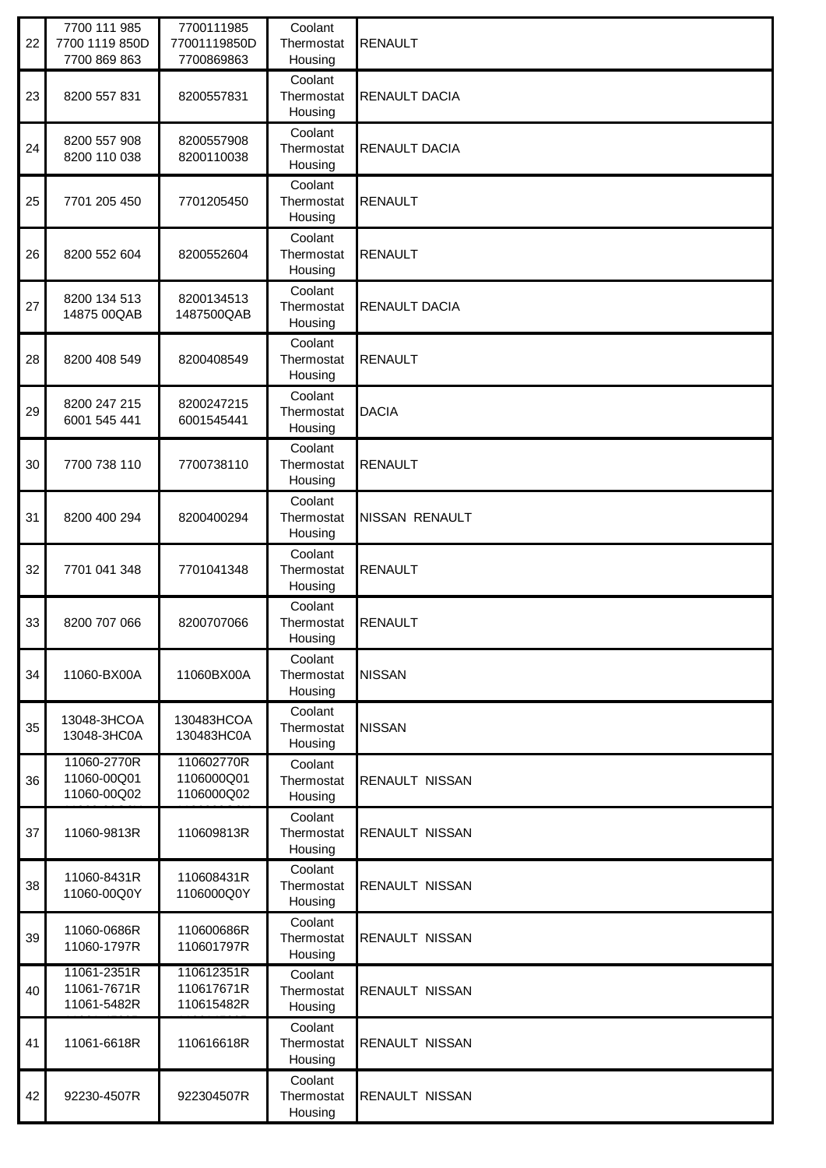| 22 | 7700 111 985<br>7700 1119 850D<br>7700 869 863 | 7700111985<br>77001119850D<br>7700869863 | Coolant<br>Thermostat<br>Housing | <b>RENAULT</b>        |
|----|------------------------------------------------|------------------------------------------|----------------------------------|-----------------------|
| 23 | 8200 557 831                                   | 8200557831                               | Coolant<br>Thermostat<br>Housing | RENAULT DACIA         |
| 24 | 8200 557 908<br>8200 110 038                   | 8200557908<br>8200110038                 | Coolant<br>Thermostat<br>Housing | RENAULT DACIA         |
| 25 | 7701 205 450                                   | 7701205450                               | Coolant<br>Thermostat<br>Housing | <b>RENAULT</b>        |
| 26 | 8200 552 604                                   | 8200552604                               | Coolant<br>Thermostat<br>Housing | <b>RENAULT</b>        |
| 27 | 8200 134 513<br>14875 00QAB                    | 8200134513<br>1487500QAB                 | Coolant<br>Thermostat<br>Housing | <b>RENAULT DACIA</b>  |
| 28 | 8200 408 549                                   | 8200408549                               | Coolant<br>Thermostat<br>Housing | <b>RENAULT</b>        |
| 29 | 8200 247 215<br>6001 545 441                   | 8200247215<br>6001545441                 | Coolant<br>Thermostat<br>Housing | <b>DACIA</b>          |
| 30 | 7700 738 110                                   | 7700738110                               | Coolant<br>Thermostat<br>Housing | <b>RENAULT</b>        |
| 31 | 8200 400 294                                   | 8200400294                               | Coolant<br>Thermostat<br>Housing | NISSAN RENAULT        |
| 32 | 7701 041 348                                   | 7701041348                               | Coolant<br>Thermostat<br>Housing | <b>RENAULT</b>        |
| 33 | 8200 707 066                                   | 8200707066                               | Coolant<br>Thermostat<br>Housing | <b>RENAULT</b>        |
| 34 | 11060-BX00A                                    | 11060BX00A                               | Coolant<br>Thermostat<br>Housing | <b>NISSAN</b>         |
| 35 | 13048-3HCOA<br>13048-3HC0A                     | 130483HCOA<br>130483HC0A                 | Coolant<br>Thermostat<br>Housing | <b>NISSAN</b>         |
| 36 | 11060-2770R<br>11060-00Q01<br>11060-00Q02      | 110602770R<br>1106000Q01<br>1106000Q02   | Coolant<br>Thermostat<br>Housing | RENAULT NISSAN        |
| 37 | 11060-9813R                                    | 110609813R                               | Coolant<br>Thermostat<br>Housing | <b>RENAULT NISSAN</b> |
| 38 | 11060-8431R<br>11060-00Q0Y                     | 110608431R<br>1106000Q0Y                 | Coolant<br>Thermostat<br>Housing | RENAULT NISSAN        |
| 39 | 11060-0686R<br>11060-1797R                     | 110600686R<br>110601797R                 | Coolant<br>Thermostat<br>Housing | <b>RENAULT NISSAN</b> |
| 40 | 11061-2351R<br>11061-7671R<br>11061-5482R      | 110612351R<br>110617671R<br>110615482R   | Coolant<br>Thermostat<br>Housing | RENAULT NISSAN        |
| 41 | 11061-6618R                                    | 110616618R                               | Coolant<br>Thermostat<br>Housing | <b>RENAULT NISSAN</b> |
| 42 | 92230-4507R                                    | 922304507R                               | Coolant<br>Thermostat<br>Housing | <b>RENAULT NISSAN</b> |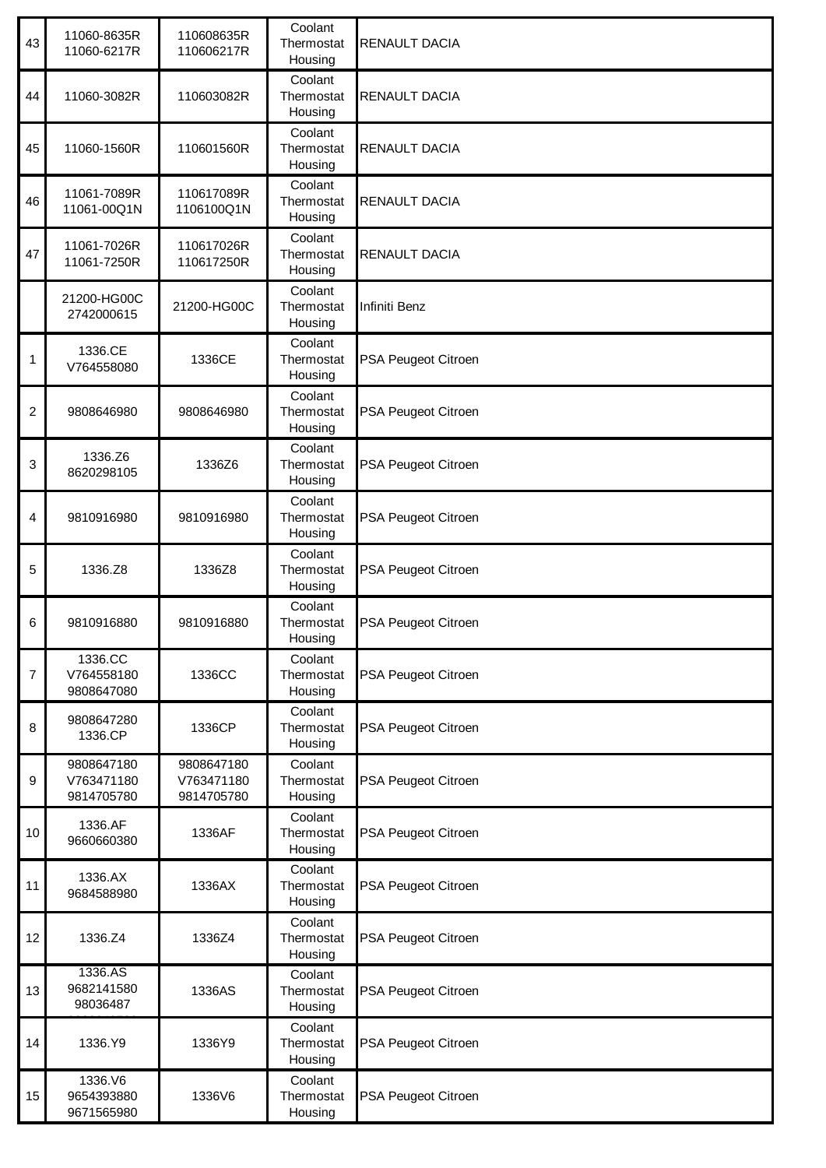| 43             | 11060-8635R<br>11060-6217R             | 110608635R<br>110606217R               | Coolant<br>Thermostat<br>Housing | RENAULT DACIA        |
|----------------|----------------------------------------|----------------------------------------|----------------------------------|----------------------|
| 44             | 11060-3082R                            | 110603082R                             | Coolant<br>Thermostat<br>Housing | RENAULT DACIA        |
| 45             | 11060-1560R                            | 110601560R                             | Coolant<br>Thermostat<br>Housing | RENAULT DACIA        |
| 46             | 11061-7089R<br>11061-00Q1N             | 110617089R<br>1106100Q1N               | Coolant<br>Thermostat<br>Housing | RENAULT DACIA        |
| 47             | 11061-7026R<br>11061-7250R             | 110617026R<br>110617250R               | Coolant<br>Thermostat<br>Housing | <b>RENAULT DACIA</b> |
|                | 21200-HG00C<br>2742000615              | 21200-HG00C                            | Coolant<br>Thermostat<br>Housing | Infiniti Benz        |
| 1              | 1336.CE<br>V764558080                  | 1336CE                                 | Coolant<br>Thermostat<br>Housing | PSA Peugeot Citroen  |
| $\overline{2}$ | 9808646980                             | 9808646980                             | Coolant<br>Thermostat<br>Housing | PSA Peugeot Citroen  |
| 3              | 1336.Z6<br>8620298105                  | 1336Z6                                 | Coolant<br>Thermostat<br>Housing | PSA Peugeot Citroen  |
| 4              | 9810916980                             | 9810916980                             | Coolant<br>Thermostat<br>Housing | PSA Peugeot Citroen  |
| 5              | 1336.Z8                                | 1336Z8                                 | Coolant<br>Thermostat<br>Housing | PSA Peugeot Citroen  |
| 6              | 9810916880                             | 9810916880                             | Coolant<br>Thermostat<br>Housing | PSA Peugeot Citroen  |
| $\overline{7}$ | 1336.CC<br>V764558180<br>9808647080    | 1336CC                                 | Coolant<br>Thermostat<br>Housing | PSA Peugeot Citroen  |
| 8              | 9808647280<br>1336.CP                  | 1336CP                                 | Coolant<br>Thermostat<br>Housing | PSA Peugeot Citroen  |
| 9              | 9808647180<br>V763471180<br>9814705780 | 9808647180<br>V763471180<br>9814705780 | Coolant<br>Thermostat<br>Housing | PSA Peugeot Citroen  |
| 10             | 1336.AF<br>9660660380                  | 1336AF                                 | Coolant<br>Thermostat<br>Housing | PSA Peugeot Citroen  |
| 11             | 1336.AX<br>9684588980                  | 1336AX                                 | Coolant<br>Thermostat<br>Housing | PSA Peugeot Citroen  |
| 12             | 1336.Z4                                | 1336Z4                                 | Coolant<br>Thermostat<br>Housing | PSA Peugeot Citroen  |
| 13             | 1336.AS<br>9682141580<br>98036487      | 1336AS                                 | Coolant<br>Thermostat<br>Housing | PSA Peugeot Citroen  |
| 14             | 1336.Y9                                | 1336Y9                                 | Coolant<br>Thermostat<br>Housing | PSA Peugeot Citroen  |
| 15             | 1336.V6<br>9654393880<br>9671565980    | 1336V6                                 | Coolant<br>Thermostat<br>Housing | PSA Peugeot Citroen  |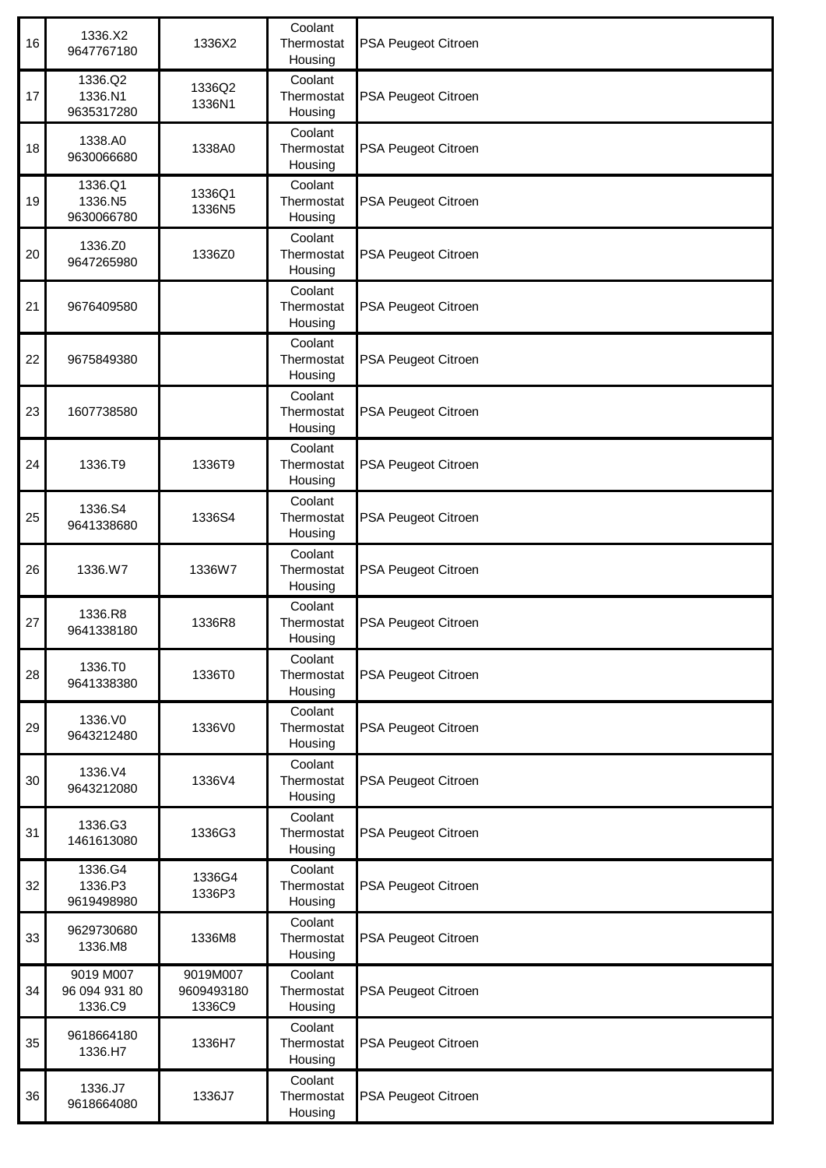| 16 | 1336.X2<br>9647767180                 | 1336X2                           | Coolant<br>Thermostat<br>Housing | PSA Peugeot Citroen |
|----|---------------------------------------|----------------------------------|----------------------------------|---------------------|
| 17 | 1336.Q2<br>1336.N1<br>9635317280      | 1336Q2<br>1336N1                 | Coolant<br>Thermostat<br>Housing | PSA Peugeot Citroen |
| 18 | 1338.A0<br>9630066680                 | 1338A0                           | Coolant<br>Thermostat<br>Housing | PSA Peugeot Citroen |
| 19 | 1336.Q1<br>1336.N5<br>9630066780      | 1336Q1<br>1336N5                 | Coolant<br>Thermostat<br>Housing | PSA Peugeot Citroen |
| 20 | 1336.Z0<br>9647265980                 | 1336Z0                           | Coolant<br>Thermostat<br>Housing | PSA Peugeot Citroen |
| 21 | 9676409580                            |                                  | Coolant<br>Thermostat<br>Housing | PSA Peugeot Citroen |
| 22 | 9675849380                            |                                  | Coolant<br>Thermostat<br>Housing | PSA Peugeot Citroen |
| 23 | 1607738580                            |                                  | Coolant<br>Thermostat<br>Housing | PSA Peugeot Citroen |
| 24 | 1336.T9                               | 1336T9                           | Coolant<br>Thermostat<br>Housing | PSA Peugeot Citroen |
| 25 | 1336.S4<br>9641338680                 | 1336S4                           | Coolant<br>Thermostat<br>Housing | PSA Peugeot Citroen |
| 26 | 1336.W7                               | 1336W7                           | Coolant<br>Thermostat<br>Housing | PSA Peugeot Citroen |
| 27 | 1336.R8<br>9641338180                 | 1336R8                           | Coolant<br>Thermostat<br>Housing | PSA Peugeot Citroen |
| 28 | 1336.TO<br>9641338380                 | 1336T0                           | Coolant<br>Thermostat<br>Housing | PSA Peugeot Citroen |
| 29 | 1336.VO<br>9643212480                 | 1336V0                           | Coolant<br>Thermostat<br>Housing | PSA Peugeot Citroen |
| 30 | 1336.V4<br>9643212080                 | 1336V4                           | Coolant<br>Thermostat<br>Housing | PSA Peugeot Citroen |
| 31 | 1336.G3<br>1461613080                 | 1336G3                           | Coolant<br>Thermostat<br>Housing | PSA Peugeot Citroen |
| 32 | 1336.G4<br>1336.P3<br>9619498980      | 1336G4<br>1336P3                 | Coolant<br>Thermostat<br>Housing | PSA Peugeot Citroen |
| 33 | 9629730680<br>1336.M8                 | 1336M8                           | Coolant<br>Thermostat<br>Housing | PSA Peugeot Citroen |
| 34 | 9019 M007<br>96 094 931 80<br>1336.C9 | 9019M007<br>9609493180<br>1336C9 | Coolant<br>Thermostat<br>Housing | PSA Peugeot Citroen |
| 35 | 9618664180<br>1336.H7                 | 1336H7                           | Coolant<br>Thermostat<br>Housing | PSA Peugeot Citroen |
| 36 | 1336.J7<br>9618664080                 | 1336J7                           | Coolant<br>Thermostat<br>Housing | PSA Peugeot Citroen |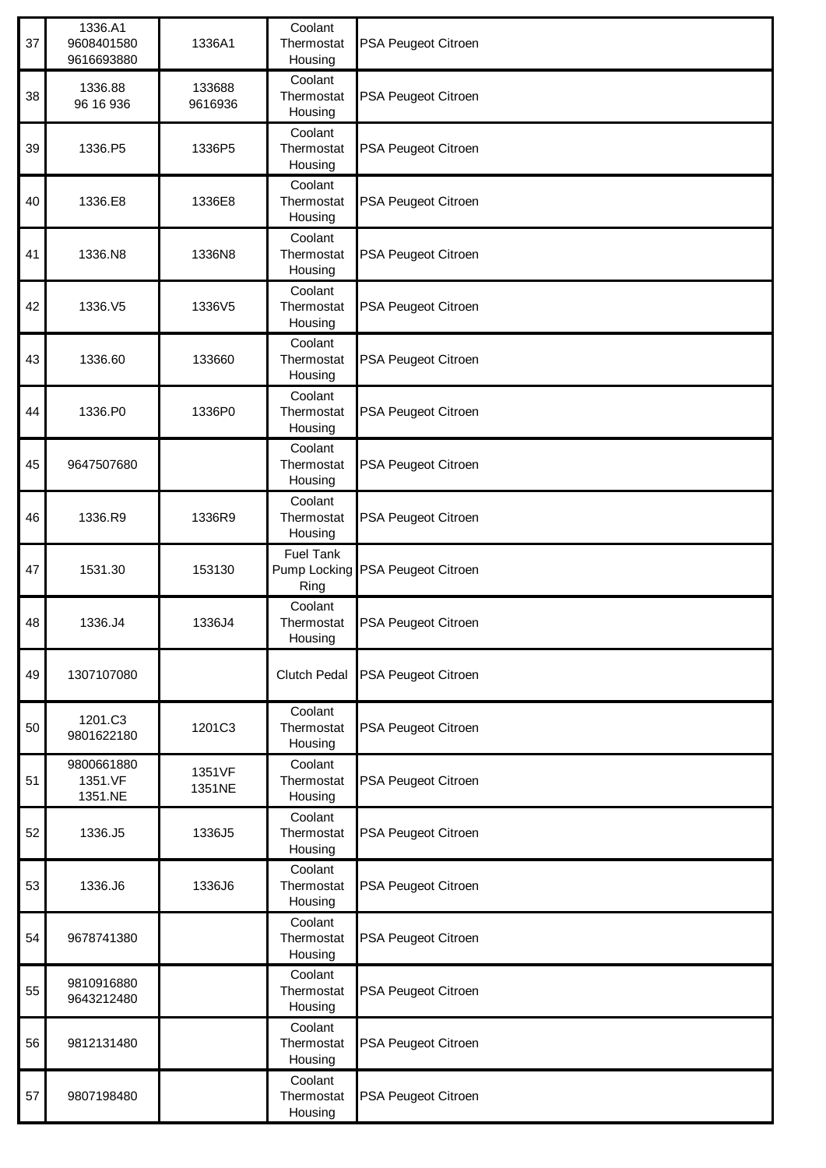| 37 | 1336.A1<br>9608401580<br>9616693880 | 1336A1            | Coolant<br>Thermostat<br>Housing | PSA Peugeot Citroen              |
|----|-------------------------------------|-------------------|----------------------------------|----------------------------------|
| 38 | 1336.88<br>96 16 936                | 133688<br>9616936 | Coolant<br>Thermostat<br>Housing | PSA Peugeot Citroen              |
| 39 | 1336.P5                             | 1336P5            | Coolant<br>Thermostat<br>Housing | PSA Peugeot Citroen              |
| 40 | 1336.E8                             | 1336E8            | Coolant<br>Thermostat<br>Housing | PSA Peugeot Citroen              |
| 41 | 1336.N8                             | 1336N8            | Coolant<br>Thermostat<br>Housing | PSA Peugeot Citroen              |
| 42 | 1336.V5                             | 1336V5            | Coolant<br>Thermostat<br>Housing | PSA Peugeot Citroen              |
| 43 | 1336.60                             | 133660            | Coolant<br>Thermostat<br>Housing | PSA Peugeot Citroen              |
| 44 | 1336.P0                             | 1336P0            | Coolant<br>Thermostat<br>Housing | PSA Peugeot Citroen              |
| 45 | 9647507680                          |                   | Coolant<br>Thermostat<br>Housing | PSA Peugeot Citroen              |
| 46 | 1336.R9                             | 1336R9            | Coolant<br>Thermostat<br>Housing | PSA Peugeot Citroen              |
| 47 | 1531.30                             | 153130            | Fuel Tank<br>Ring                | Pump Locking PSA Peugeot Citroen |
| 48 | 1336.J4                             | 1336J4            | Coolant<br>Thermostat<br>Housing | PSA Peugeot Citroen              |
| 49 | 1307107080                          |                   | <b>Clutch Pedal</b>              | PSA Peugeot Citroen              |
| 50 | 1201.C3<br>9801622180               | 1201C3            | Coolant<br>Thermostat<br>Housing | PSA Peugeot Citroen              |
| 51 | 9800661880<br>1351.VF<br>1351.NE    | 1351VF<br>1351NE  | Coolant<br>Thermostat<br>Housing | PSA Peugeot Citroen              |
| 52 | 1336.J5                             | 1336J5            | Coolant<br>Thermostat<br>Housing | PSA Peugeot Citroen              |
| 53 | 1336.J6                             | 1336J6            | Coolant<br>Thermostat<br>Housing | PSA Peugeot Citroen              |
| 54 | 9678741380                          |                   | Coolant<br>Thermostat<br>Housing | PSA Peugeot Citroen              |
| 55 | 9810916880<br>9643212480            |                   | Coolant<br>Thermostat<br>Housing | PSA Peugeot Citroen              |
| 56 | 9812131480                          |                   | Coolant<br>Thermostat<br>Housing | PSA Peugeot Citroen              |
| 57 | 9807198480                          |                   | Coolant<br>Thermostat<br>Housing | PSA Peugeot Citroen              |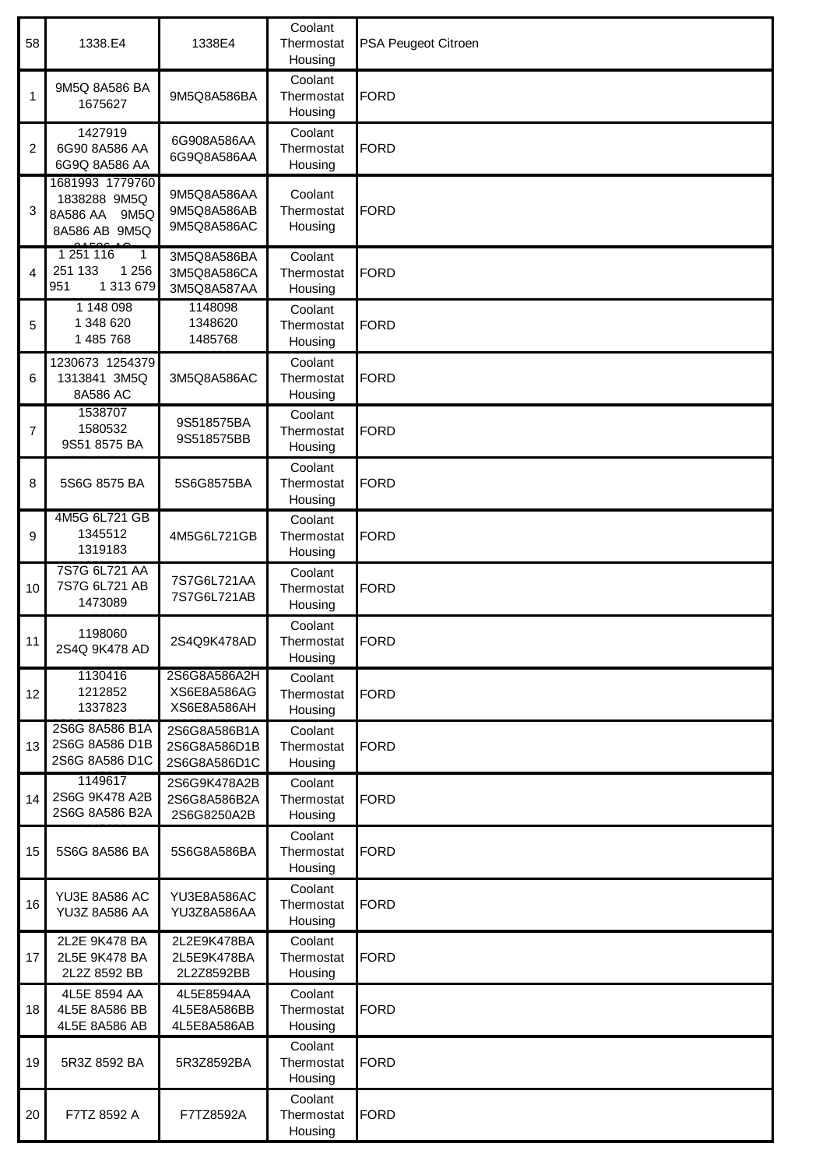| 58 | 1338.E4                                                             | 1338E4                                       | Coolant<br>Thermostat<br>Housing | PSA Peugeot Citroen |
|----|---------------------------------------------------------------------|----------------------------------------------|----------------------------------|---------------------|
| 1  | 9M5Q 8A586 BA<br>1675627                                            | 9M5Q8A586BA                                  | Coolant<br>Thermostat<br>Housing | FORD                |
| 2  | 1427919<br>6G90 8A586 AA<br>6G9Q 8A586 AA                           | 6G908A586AA<br>6G9Q8A586AA                   | Coolant<br>Thermostat<br>Housing | <b>FORD</b>         |
| 3  | 1681993 1779760<br>1838288 9M5Q<br>8A586 AA 9M5Q<br>8A586 AB 9M5Q   | 9M5Q8A586AA<br>9M5Q8A586AB<br>9M5Q8A586AC    | Coolant<br>Thermostat<br>Housing | <b>FORD</b>         |
| 4  | 1 251 116<br>$\mathbf{1}$<br>1 2 5 6<br>251 133<br>1 313 679<br>951 | 3M5Q8A586BA<br>3M5Q8A586CA<br>3M5Q8A587AA    | Coolant<br>Thermostat<br>Housing | <b>FORD</b>         |
| 5  | 1 148 098<br>1 348 620<br>1 485 768                                 | 1148098<br>1348620<br>1485768                | Coolant<br>Thermostat<br>Housing | <b>FORD</b>         |
| 6  | 1230673 1254379<br>1313841 3M5Q<br>8A586 AC                         | 3M5Q8A586AC                                  | Coolant<br>Thermostat<br>Housing | FORD                |
| 7  | 1538707<br>1580532<br>9S51 8575 BA                                  | 9S518575BA<br>9S518575BB                     | Coolant<br>Thermostat<br>Housing | <b>FORD</b>         |
| 8  | 5S6G 8575 BA                                                        | 5S6G8575BA                                   | Coolant<br>Thermostat<br>Housing | <b>FORD</b>         |
| 9  | 4M5G 6L721 GB<br>1345512<br>1319183                                 | 4M5G6L721GB                                  | Coolant<br>Thermostat<br>Housing | <b>FORD</b>         |
| 10 | 7S7G 6L721 AA<br>7S7G 6L721 AB<br>1473089                           | 7S7G6L721AA<br>7S7G6L721AB                   | Coolant<br>Thermostat<br>Housing | <b>FORD</b>         |
| 11 | 1198060<br>2S4Q 9K478 AD                                            | 2S4Q9K478AD                                  | Coolant<br>Thermostat<br>Housing | <b>IFORD</b>        |
| 12 | 1130416<br>1212852<br>1337823                                       | 2S6G8A586A2H<br>XS6E8A586AG<br>XS6E8A586AH   | Coolant<br>Thermostat<br>Housing | <b>FORD</b>         |
| 13 | 2S6G 8A586 B1A<br>2S6G 8A586 D1B<br>2S6G 8A586 D1C                  | 2S6G8A586B1A<br>2S6G8A586D1B<br>2S6G8A586D1C | Coolant<br>Thermostat<br>Housing | <b>FORD</b>         |
| 14 | 1149617<br>2S6G 9K478 A2B<br>2S6G 8A586 B2A                         | 2S6G9K478A2B<br>2S6G8A586B2A<br>2S6G8250A2B  | Coolant<br>Thermostat<br>Housing | <b>FORD</b>         |
| 15 | 5S6G 8A586 BA                                                       | 5S6G8A586BA                                  | Coolant<br>Thermostat<br>Housing | <b>FORD</b>         |
| 16 | <b>YU3E 8A586 AC</b><br>YU3Z 8A586 AA                               | YU3E8A586AC<br>YU3Z8A586AA                   | Coolant<br>Thermostat<br>Housing | <b>FORD</b>         |
| 17 | 2L2E 9K478 BA<br>2L5E 9K478 BA<br>2L2Z 8592 BB                      | 2L2E9K478BA<br>2L5E9K478BA<br>2L2Z8592BB     | Coolant<br>Thermostat<br>Housing | <b>FORD</b>         |
| 18 | 4L5E 8594 AA<br>4L5E 8A586 BB<br>4L5E 8A586 AB                      | 4L5E8594AA<br>4L5E8A586BB<br>4L5E8A586AB     | Coolant<br>Thermostat<br>Housing | <b>FORD</b>         |
| 19 | 5R3Z 8592 BA                                                        | 5R3Z8592BA                                   | Coolant<br>Thermostat<br>Housing | <b>FORD</b>         |
| 20 | F7TZ 8592 A                                                         | F7TZ8592A                                    | Coolant<br>Thermostat<br>Housing | <b>FORD</b>         |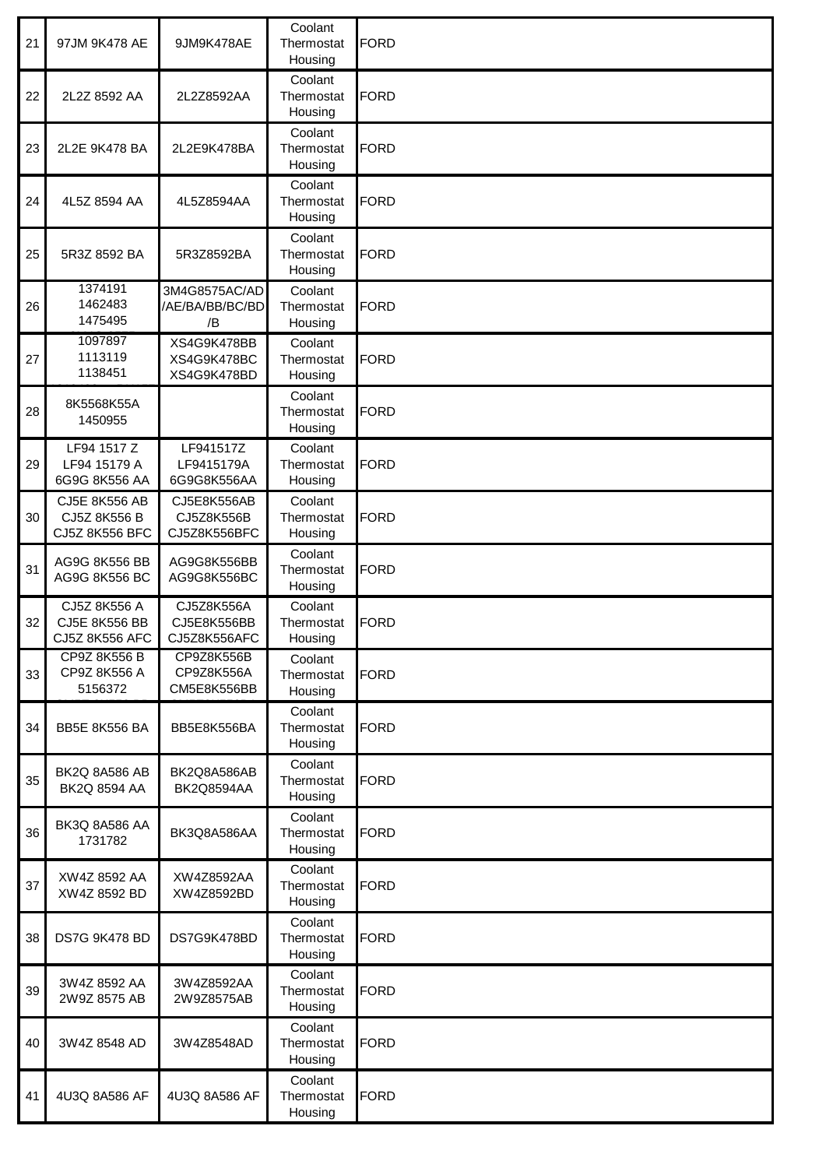| 21 | 97JM 9K478 AE                                          | 9JM9K478AE                                | Coolant<br>Thermostat<br>Housing | <b>FORD</b> |
|----|--------------------------------------------------------|-------------------------------------------|----------------------------------|-------------|
| 22 | 2L2Z 8592 AA                                           | 2L2Z8592AA                                | Coolant<br>Thermostat<br>Housing | <b>FORD</b> |
| 23 | 2L2E 9K478 BA                                          | 2L2E9K478BA                               | Coolant<br>Thermostat<br>Housing | FORD        |
| 24 | 4L5Z 8594 AA                                           | 4L5Z8594AA                                | Coolant<br>Thermostat<br>Housing | <b>FORD</b> |
| 25 | 5R3Z 8592 BA                                           | 5R3Z8592BA                                | Coolant<br>Thermostat<br>Housing | <b>FORD</b> |
| 26 | 1374191<br>1462483<br>1475495                          | 3M4G8575AC/AD<br>/AE/BA/BB/BC/BD<br>/B    | Coolant<br>Thermostat<br>Housing | FORD        |
| 27 | 1097897<br>1113119<br>1138451                          | XS4G9K478BB<br>XS4G9K478BC<br>XS4G9K478BD | Coolant<br>Thermostat<br>Housing | <b>FORD</b> |
| 28 | 8K5568K55A<br>1450955                                  |                                           | Coolant<br>Thermostat<br>Housing | <b>FORD</b> |
| 29 | LF94 1517 Z<br>LF94 15179 A<br>6G9G 8K556 AA           | LF941517Z<br>LF9415179A<br>6G9G8K556AA    | Coolant<br>Thermostat<br>Housing | <b>FORD</b> |
| 30 | <b>CJ5E 8K556 AB</b><br>CJ5Z 8K556 B<br>CJ5Z 8K556 BFC | CJ5E8K556AB<br>CJ5Z8K556B<br>CJ5Z8K556BFC | Coolant<br>Thermostat<br>Housing | <b>FORD</b> |
| 31 | AG9G 8K556 BB<br>AG9G 8K556 BC                         | AG9G8K556BB<br>AG9G8K556BC                | Coolant<br>Thermostat<br>Housing | <b>FORD</b> |
| 32 | CJ5Z 8K556 A<br>CJ5E 8K556 BB<br>CJ5Z 8K556 AFC        | CJ5Z8K556A<br>CJ5E8K556BB<br>CJ5Z8K556AFC | Coolant<br>Thermostat<br>Housing | <b>FORD</b> |
| 33 | CP9Z 8K556 B<br>CP9Z 8K556 A<br>5156372                | CP9Z8K556B<br>CP9Z8K556A<br>CM5E8K556BB   | Coolant<br>Thermostat<br>Housing | <b>FORD</b> |
| 34 | BB5E 8K556 BA                                          | BB5E8K556BA                               | Coolant<br>Thermostat<br>Housing | <b>FORD</b> |
| 35 | BK2Q 8A586 AB<br>BK2Q 8594 AA                          | BK2Q8A586AB<br>BK2Q8594AA                 | Coolant<br>Thermostat<br>Housing | <b>FORD</b> |
| 36 | BK3Q 8A586 AA<br>1731782                               | BK3Q8A586AA                               | Coolant<br>Thermostat<br>Housing | <b>FORD</b> |
| 37 | XW4Z 8592 AA<br>XW4Z 8592 BD                           | XW4Z8592AA<br>XW4Z8592BD                  | Coolant<br>Thermostat<br>Housing | <b>FORD</b> |
| 38 | DS7G 9K478 BD                                          | DS7G9K478BD                               | Coolant<br>Thermostat<br>Housing | <b>FORD</b> |
| 39 | 3W4Z 8592 AA<br>2W9Z 8575 AB                           | 3W4Z8592AA<br>2W9Z8575AB                  | Coolant<br>Thermostat<br>Housing | <b>FORD</b> |
| 40 | 3W4Z 8548 AD                                           | 3W4Z8548AD                                | Coolant<br>Thermostat<br>Housing | <b>FORD</b> |
| 41 | 4U3Q 8A586 AF                                          | 4U3Q 8A586 AF                             | Coolant<br>Thermostat<br>Housing | <b>FORD</b> |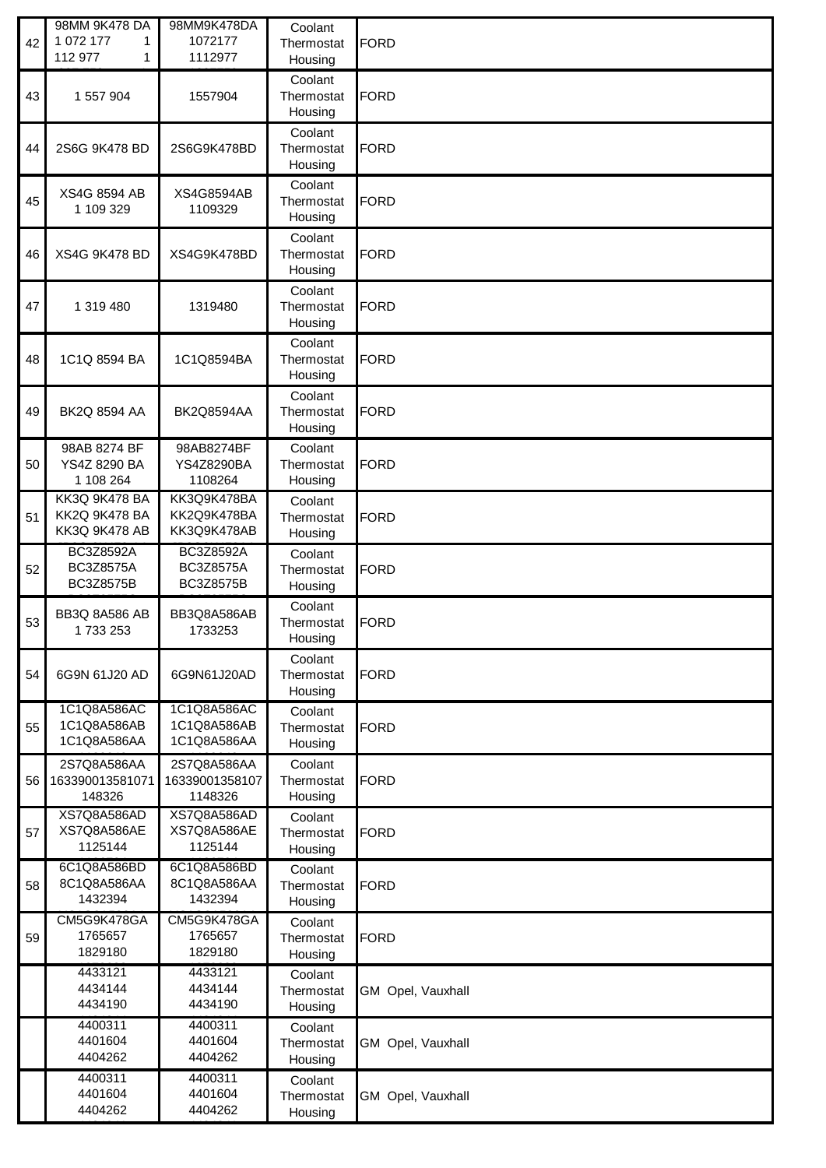| 42 | 98MM 9K478 DA<br>1 072 177<br>1<br>112 977<br>1   | 98MM9K478DA<br>1072177<br>1112977         | Coolant<br>Thermostat<br>Housing | <b>FORD</b>       |
|----|---------------------------------------------------|-------------------------------------------|----------------------------------|-------------------|
| 43 | 1 557 904                                         | 1557904                                   | Coolant<br>Thermostat<br>Housing | <b>FORD</b>       |
| 44 | 2S6G 9K478 BD                                     | 2S6G9K478BD                               | Coolant<br>Thermostat<br>Housing | <b>FORD</b>       |
| 45 | XS4G 8594 AB<br>1 109 329                         | XS4G8594AB<br>1109329                     | Coolant<br>Thermostat<br>Housing | <b>FORD</b>       |
| 46 | XS4G 9K478 BD                                     | XS4G9K478BD                               | Coolant<br>Thermostat<br>Housing | <b>FORD</b>       |
| 47 | 1 319 480                                         | 1319480                                   | Coolant<br>Thermostat<br>Housing | <b>FORD</b>       |
| 48 | 1C1Q 8594 BA                                      | 1C1Q8594BA                                | Coolant<br>Thermostat<br>Housing | <b>FORD</b>       |
| 49 | <b>BK2Q 8594 AA</b>                               | BK2Q8594AA                                | Coolant<br>Thermostat<br>Housing | <b>FORD</b>       |
| 50 | 98AB 8274 BF<br>YS4Z 8290 BA<br>1 108 264         | 98AB8274BF<br>YS4Z8290BA<br>1108264       | Coolant<br>Thermostat<br>Housing | <b>FORD</b>       |
| 51 | KK3Q 9K478 BA<br>KK2Q 9K478 BA<br>KK3Q 9K478 AB   | KK3Q9K478BA<br>KK2Q9K478BA<br>KK3Q9K478AB | Coolant<br>Thermostat<br>Housing | <b>FORD</b>       |
| 52 | BC3Z8592A<br><b>BC3Z8575A</b><br><b>BC3Z8575B</b> | BC3Z8592A<br>BC3Z8575A<br>BC3Z8575B       | Coolant<br>Thermostat<br>Housing | <b>FORD</b>       |
| 53 | BB3Q 8A586 AB<br>1733253                          | BB3Q8A586AB<br>1733253                    | Coolant<br>Thermostat<br>Housing | <b>FORD</b>       |
| 54 | 6G9N 61J20 AD                                     | 6G9N61J20AD                               | Coolant<br>Thermostat<br>Housing | <b>FORD</b>       |
| 55 | 1C1Q8A586AC<br>1C1Q8A586AB<br>1C1Q8A586AA         | 1C1Q8A586AC<br>1C1Q8A586AB<br>1C1Q8A586AA | Coolant<br>Thermostat<br>Housing | <b>FORD</b>       |
| 56 | 2S7Q8A586AA<br>163390013581071<br>148326          | 2S7Q8A586AA<br>16339001358107<br>1148326  | Coolant<br>Thermostat<br>Housing | <b>FORD</b>       |
| 57 | XS7Q8A586AD<br>XS7Q8A586AE<br>1125144             | XS7Q8A586AD<br>XS7Q8A586AE<br>1125144     | Coolant<br>Thermostat<br>Housing | <b>FORD</b>       |
| 58 | 6C1Q8A586BD<br>8C1Q8A586AA<br>1432394             | 6C1Q8A586BD<br>8C1Q8A586AA<br>1432394     | Coolant<br>Thermostat<br>Housing | <b>FORD</b>       |
| 59 | CM5G9K478GA<br>1765657<br>1829180                 | CM5G9K478GA<br>1765657<br>1829180         | Coolant<br>Thermostat<br>Housing | <b>FORD</b>       |
|    | 4433121<br>4434144<br>4434190                     | 4433121<br>4434144<br>4434190             | Coolant<br>Thermostat<br>Housing | GM Opel, Vauxhall |
|    | 4400311<br>4401604<br>4404262                     | 4400311<br>4401604<br>4404262             | Coolant<br>Thermostat<br>Housing | GM Opel, Vauxhall |
|    | 4400311<br>4401604<br>4404262                     | 4400311<br>4401604<br>4404262             | Coolant<br>Thermostat<br>Housing | GM Opel, Vauxhall |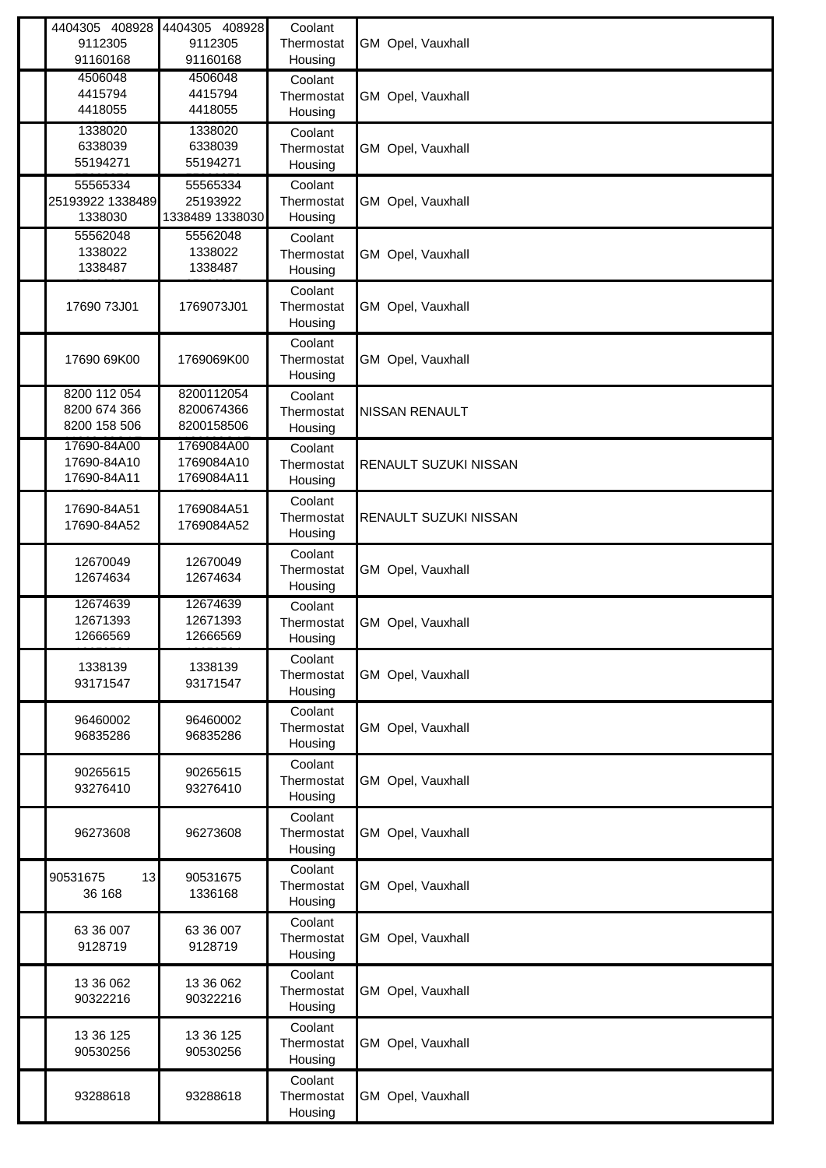| 4404305 408928<br>9112305<br>91160168        | 4404305 408928<br>9112305<br>91160168   | Coolant<br>Thermostat<br>Housing | GM Opel, Vauxhall     |
|----------------------------------------------|-----------------------------------------|----------------------------------|-----------------------|
| 4506048<br>4415794<br>4418055                | 4506048<br>4415794<br>4418055           | Coolant<br>Thermostat<br>Housing | GM Opel, Vauxhall     |
| 1338020<br>6338039<br>55194271               | 1338020<br>6338039<br>55194271          | Coolant<br>Thermostat<br>Housing | GM Opel, Vauxhall     |
| 55565334<br>25193922 1338489<br>1338030      | 55565334<br>25193922<br>1338489 1338030 | Coolant<br>Thermostat<br>Housing | GM Opel, Vauxhall     |
| 55562048<br>1338022<br>1338487               | 55562048<br>1338022<br>1338487          | Coolant<br>Thermostat<br>Housing | GM Opel, Vauxhall     |
| 17690 73J01                                  | 1769073J01                              | Coolant<br>Thermostat<br>Housing | GM Opel, Vauxhall     |
| 17690 69K00                                  | 1769069K00                              | Coolant<br>Thermostat<br>Housing | GM Opel, Vauxhall     |
| 8200 112 054<br>8200 674 366<br>8200 158 506 | 8200112054<br>8200674366<br>8200158506  | Coolant<br>Thermostat<br>Housing | <b>NISSAN RENAULT</b> |
| 17690-84A00<br>17690-84A10<br>17690-84A11    | 1769084A00<br>1769084A10<br>1769084A11  | Coolant<br>Thermostat<br>Housing | RENAULT SUZUKI NISSAN |
| 17690-84A51<br>17690-84A52                   | 1769084A51<br>1769084A52                | Coolant<br>Thermostat<br>Housing | RENAULT SUZUKI NISSAN |
| 12670049<br>12674634                         | 12670049<br>12674634                    | Coolant<br>Thermostat<br>Housing | GM Opel, Vauxhall     |
| 12674639<br>12671393<br>12666569             | 12674639<br>12671393<br>12666569        | Coolant<br>Thermostat<br>Housing | GM Opel, Vauxhall     |
| 1338139<br>93171547                          | 1338139<br>93171547                     | Coolant<br>Thermostat<br>Housing | GM Opel, Vauxhall     |
| 96460002<br>96835286                         | 96460002<br>96835286                    | Coolant<br>Thermostat<br>Housing | GM Opel, Vauxhall     |
| 90265615<br>93276410                         | 90265615<br>93276410                    | Coolant<br>Thermostat<br>Housing | GM Opel, Vauxhall     |
| 96273608                                     | 96273608                                | Coolant<br>Thermostat<br>Housing | GM Opel, Vauxhall     |
| 90531675<br>13<br>36 168                     | 90531675<br>1336168                     | Coolant<br>Thermostat<br>Housing | GM Opel, Vauxhall     |
| 63 36 007<br>9128719                         | 63 36 007<br>9128719                    | Coolant<br>Thermostat<br>Housing | GM Opel, Vauxhall     |
| 13 36 062<br>90322216                        | 13 36 062<br>90322216                   | Coolant<br>Thermostat<br>Housing | GM Opel, Vauxhall     |
| 13 36 125<br>90530256                        | 13 36 125<br>90530256                   | Coolant<br>Thermostat<br>Housing | GM Opel, Vauxhall     |
| 93288618                                     | 93288618                                | Coolant<br>Thermostat<br>Housing | GM Opel, Vauxhall     |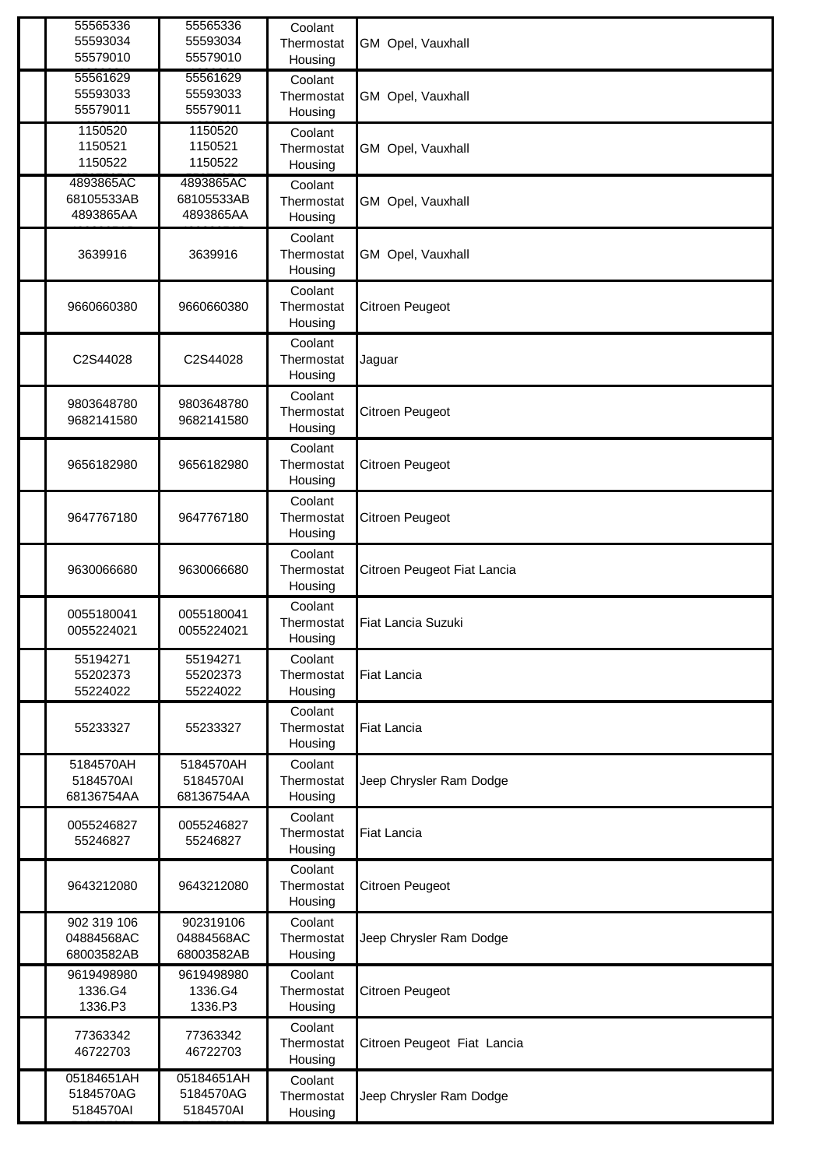| 55565336<br>55593034<br>55579010        | 55565336<br>55593034<br>55579010      | Coolant<br>Thermostat<br>Housing | GM Opel, Vauxhall           |
|-----------------------------------------|---------------------------------------|----------------------------------|-----------------------------|
| 55561629<br>55593033<br>55579011        | 55561629<br>55593033<br>55579011      | Coolant<br>Thermostat<br>Housing | GM Opel, Vauxhall           |
| 1150520<br>1150521<br>1150522           | 1150520<br>1150521<br>1150522         | Coolant<br>Thermostat<br>Housing | GM Opel, Vauxhall           |
| 4893865AC<br>68105533AB<br>4893865AA    | 4893865AC<br>68105533AB<br>4893865AA  | Coolant<br>Thermostat<br>Housing | GM Opel, Vauxhall           |
| 3639916                                 | 3639916                               | Coolant<br>Thermostat<br>Housing | GM Opel, Vauxhall           |
| 9660660380                              | 9660660380                            | Coolant<br>Thermostat<br>Housing | Citroen Peugeot             |
| C2S44028                                | C2S44028                              | Coolant<br>Thermostat<br>Housing | Jaguar                      |
| 9803648780<br>9682141580                | 9803648780<br>9682141580              | Coolant<br>Thermostat<br>Housing | Citroen Peugeot             |
| 9656182980                              | 9656182980                            | Coolant<br>Thermostat<br>Housing | Citroen Peugeot             |
| 9647767180                              | 9647767180                            | Coolant<br>Thermostat<br>Housing | Citroen Peugeot             |
| 9630066680                              | 9630066680                            | Coolant<br>Thermostat<br>Housing | Citroen Peugeot Fiat Lancia |
| 0055180041<br>0055224021                | 0055180041<br>0055224021              | Coolant<br>Thermostat<br>Housing | <b>Fiat Lancia Suzuki</b>   |
| 55194271<br>55202373<br>55224022        | 55194271<br>55202373<br>55224022      | Coolant<br>Thermostat<br>Housing | <b>Fiat Lancia</b>          |
| 55233327                                | 55233327                              | Coolant<br>Thermostat<br>Housing | Fiat Lancia                 |
| 5184570AH<br>5184570AI<br>68136754AA    | 5184570AH<br>5184570AI<br>68136754AA  | Coolant<br>Thermostat<br>Housing | Jeep Chrysler Ram Dodge     |
| 0055246827<br>55246827                  | 0055246827<br>55246827                | Coolant<br>Thermostat<br>Housing | <b>Fiat Lancia</b>          |
| 9643212080                              | 9643212080                            | Coolant<br>Thermostat<br>Housing | Citroen Peugeot             |
| 902 319 106<br>04884568AC<br>68003582AB | 902319106<br>04884568AC<br>68003582AB | Coolant<br>Thermostat<br>Housing | Jeep Chrysler Ram Dodge     |
| 9619498980<br>1336.G4<br>1336.P3        | 9619498980<br>1336.G4<br>1336.P3      | Coolant<br>Thermostat<br>Housing | Citroen Peugeot             |
| 77363342<br>46722703                    | 77363342<br>46722703                  | Coolant<br>Thermostat<br>Housing | Citroen Peugeot Fiat Lancia |
| 05184651AH<br>5184570AG<br>5184570AI    | 05184651AH<br>5184570AG<br>5184570AI  | Coolant<br>Thermostat<br>Housing | Jeep Chrysler Ram Dodge     |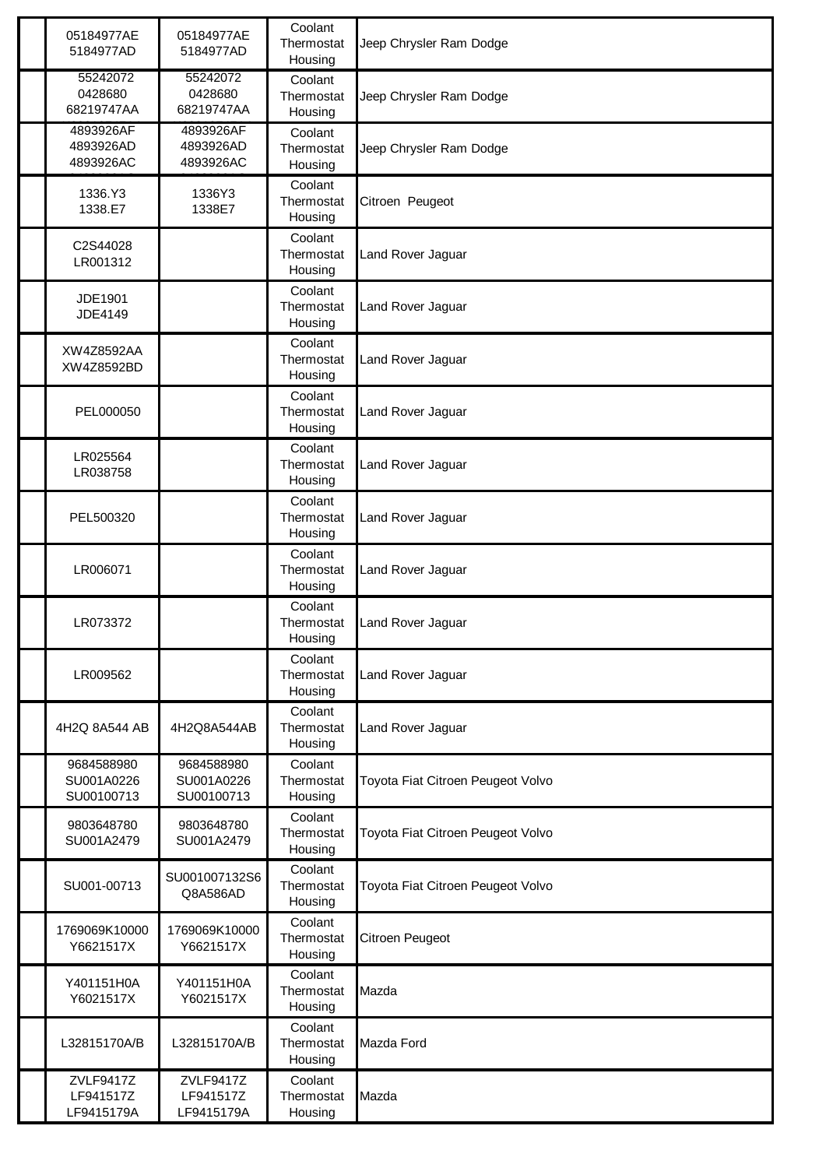| 05184977AE<br>5184977AD                | 05184977AE<br>5184977AD                | Coolant<br>Thermostat<br>Housing | Jeep Chrysler Ram Dodge           |
|----------------------------------------|----------------------------------------|----------------------------------|-----------------------------------|
| 55242072<br>0428680<br>68219747AA      | 55242072<br>0428680<br>68219747AA      | Coolant<br>Thermostat<br>Housing | Jeep Chrysler Ram Dodge           |
| 4893926AF<br>4893926AD<br>4893926AC    | 4893926AF<br>4893926AD<br>4893926AC    | Coolant<br>Thermostat<br>Housing | Jeep Chrysler Ram Dodge           |
| 1336.Y3<br>1338.E7                     | 1336Y3<br>1338E7                       | Coolant<br>Thermostat<br>Housing | Citroen Peugeot                   |
| C2S44028<br>LR001312                   |                                        | Coolant<br>Thermostat<br>Housing | Land Rover Jaguar                 |
| JDE1901<br>JDE4149                     |                                        | Coolant<br>Thermostat<br>Housing | Land Rover Jaguar                 |
| XW4Z8592AA<br>XW4Z8592BD               |                                        | Coolant<br>Thermostat<br>Housing | Land Rover Jaguar                 |
| PEL000050                              |                                        | Coolant<br>Thermostat<br>Housing | Land Rover Jaguar                 |
| LR025564<br>LR038758                   |                                        | Coolant<br>Thermostat<br>Housing | Land Rover Jaguar                 |
| PEL500320                              |                                        | Coolant<br>Thermostat<br>Housing | Land Rover Jaguar                 |
| LR006071                               |                                        | Coolant<br>Thermostat<br>Housing | Land Rover Jaguar                 |
| LR073372                               |                                        | Coolant<br>Thermostat<br>Housing | Land Rover Jaguar                 |
| LR009562                               |                                        | Coolant<br>Thermostat<br>Housing | Land Rover Jaguar                 |
| 4H2Q 8A544 AB                          | 4H2Q8A544AB                            | Coolant<br>Thermostat<br>Housing | Land Rover Jaguar                 |
| 9684588980<br>SU001A0226<br>SU00100713 | 9684588980<br>SU001A0226<br>SU00100713 | Coolant<br>Thermostat<br>Housing | Toyota Fiat Citroen Peugeot Volvo |
| 9803648780<br>SU001A2479               | 9803648780<br>SU001A2479               | Coolant<br>Thermostat<br>Housing | Toyota Fiat Citroen Peugeot Volvo |
| SU001-00713                            | SU001007132S6<br>Q8A586AD              | Coolant<br>Thermostat<br>Housing | Toyota Fiat Citroen Peugeot Volvo |
| 1769069K10000<br>Y6621517X             | 1769069K10000<br>Y6621517X             | Coolant<br>Thermostat<br>Housing | Citroen Peugeot                   |
| Y401151H0A<br>Y6021517X                | Y401151H0A<br>Y6021517X                | Coolant<br>Thermostat<br>Housing | Mazda                             |
| L32815170A/B                           | L32815170A/B                           | Coolant<br>Thermostat<br>Housing | Mazda Ford                        |
| ZVLF9417Z<br>LF941517Z<br>LF9415179A   | ZVLF9417Z<br>LF941517Z<br>LF9415179A   | Coolant<br>Thermostat<br>Housing | Mazda                             |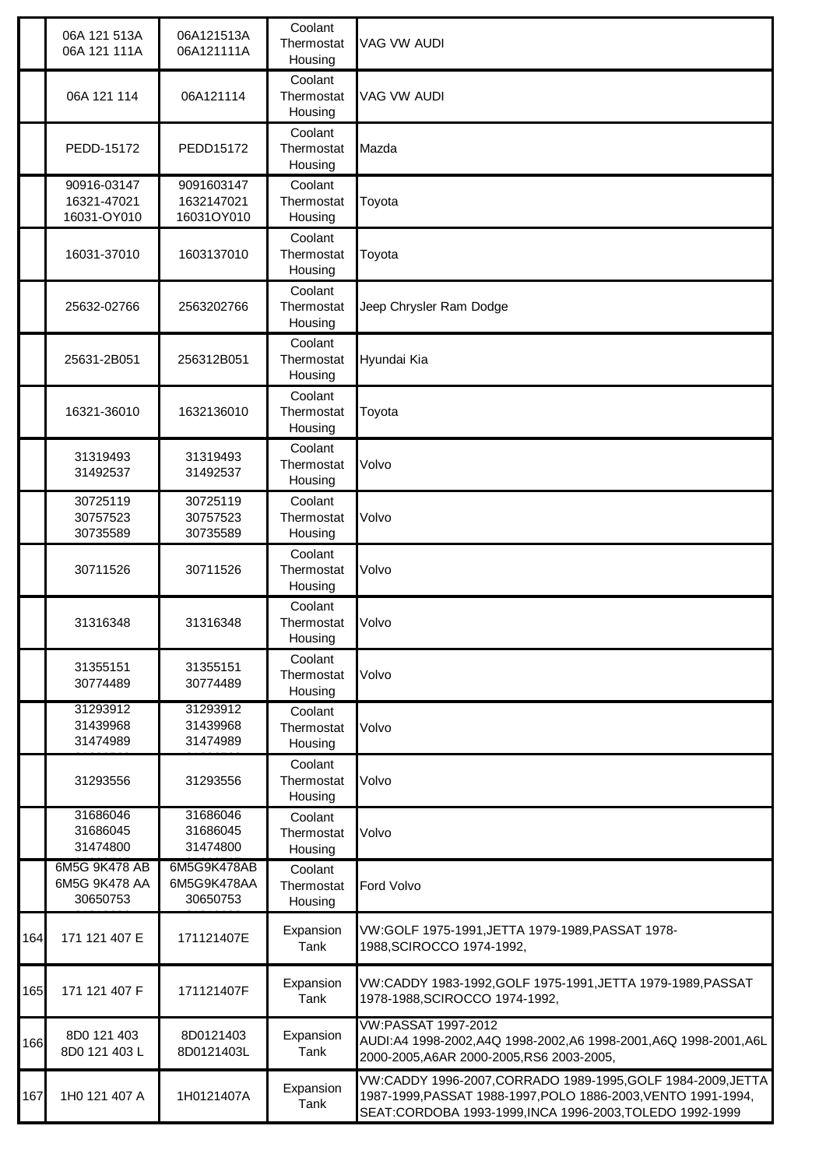|     | 06A 121 513A<br>06A 121 111A               | 06A121513A<br>06A121111A               | Coolant<br>Thermostat<br>Housing | VAG VW AUDI                                                                                                                                                                             |
|-----|--------------------------------------------|----------------------------------------|----------------------------------|-----------------------------------------------------------------------------------------------------------------------------------------------------------------------------------------|
|     | 06A 121 114                                | 06A121114                              | Coolant<br>Thermostat<br>Housing | <b>VAG VW AUDI</b>                                                                                                                                                                      |
|     | PEDD-15172                                 | PEDD15172                              | Coolant<br>Thermostat<br>Housing | Mazda                                                                                                                                                                                   |
|     | 90916-03147<br>16321-47021<br>16031-OY010  | 9091603147<br>1632147021<br>16031OY010 | Coolant<br>Thermostat<br>Housing | Toyota                                                                                                                                                                                  |
|     | 16031-37010                                | 1603137010                             | Coolant<br>Thermostat<br>Housing | Toyota                                                                                                                                                                                  |
|     | 25632-02766                                | 2563202766                             | Coolant<br>Thermostat<br>Housing | Jeep Chrysler Ram Dodge                                                                                                                                                                 |
|     | 25631-2B051                                | 256312B051                             | Coolant<br>Thermostat<br>Housing | Hyundai Kia                                                                                                                                                                             |
|     | 16321-36010                                | 1632136010                             | Coolant<br>Thermostat<br>Housing | Toyota                                                                                                                                                                                  |
|     | 31319493<br>31492537                       | 31319493<br>31492537                   | Coolant<br>Thermostat<br>Housing | Volvo                                                                                                                                                                                   |
|     | 30725119<br>30757523<br>30735589           | 30725119<br>30757523<br>30735589       | Coolant<br>Thermostat<br>Housing | Volvo                                                                                                                                                                                   |
|     | 30711526                                   | 30711526                               | Coolant<br>Thermostat<br>Housing | Volvo                                                                                                                                                                                   |
|     | 31316348                                   | 31316348                               | Coolant<br>Thermostat<br>Housing | Volvo                                                                                                                                                                                   |
|     | 31355151<br>30774489                       | 31355151<br>30774489                   | Coolant<br>Thermostat<br>Housing | Volvo                                                                                                                                                                                   |
|     | 31293912<br>31439968<br>31474989           | 31293912<br>31439968<br>31474989       | Coolant<br>Thermostat<br>Housing | Volvo                                                                                                                                                                                   |
|     | 31293556                                   | 31293556                               | Coolant<br>Thermostat<br>Housing | Volvo                                                                                                                                                                                   |
|     | 31686046<br>31686045<br>31474800           | 31686046<br>31686045<br>31474800       | Coolant<br>Thermostat<br>Housing | Volvo                                                                                                                                                                                   |
|     | 6M5G 9K478 AB<br>6M5G 9K478 AA<br>30650753 | 6M5G9K478AB<br>6M5G9K478AA<br>30650753 | Coolant<br>Thermostat<br>Housing | Ford Volvo                                                                                                                                                                              |
| 164 | 171 121 407 E                              | 171121407E                             | Expansion<br>Tank                | VW:GOLF 1975-1991, JETTA 1979-1989, PASSAT 1978-<br>1988, SCIROCCO 1974-1992,                                                                                                           |
| 165 | 171 121 407 F                              | 171121407F                             | Expansion<br>Tank                | VW:CADDY 1983-1992, GOLF 1975-1991, JETTA 1979-1989, PASSAT<br>1978-1988, SCIROCCO 1974-1992,                                                                                           |
| 166 | 8D0 121 403<br>8D0 121 403 L               | 8D0121403<br>8D0121403L                | Expansion<br>Tank                | <b>VW:PASSAT 1997-2012</b><br>AUDI:A4 1998-2002,A4Q 1998-2002,A6 1998-2001,A6Q 1998-2001,A6L<br>2000-2005, A6AR 2000-2005, RS6 2003-2005,                                               |
| 167 | 1H0 121 407 A                              | 1H0121407A                             | Expansion<br>Tank                | VW:CADDY 1996-2007, CORRADO 1989-1995, GOLF 1984-2009, JETTA<br>1987-1999, PASSAT 1988-1997, POLO 1886-2003, VENTO 1991-1994,<br>SEAT:CORDOBA 1993-1999,INCA 1996-2003,TOLEDO 1992-1999 |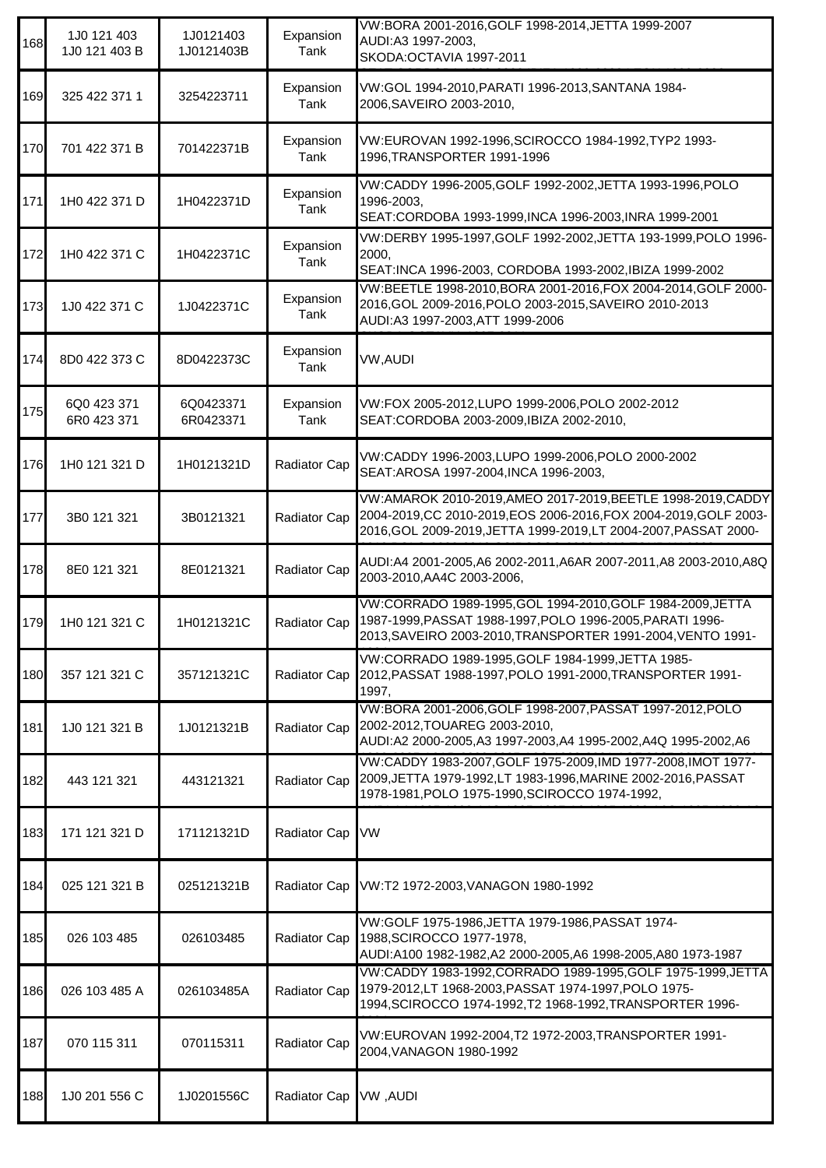| 168 | 1J0 121 403<br>1J0 121 403 B | 1J0121403<br>1J0121403B | Expansion<br>Tank | VW:BORA 2001-2016, GOLF 1998-2014, JETTA 1999-2007<br>AUDI:A3 1997-2003,<br>SKODA: OCTAVIA 1997-2011                                                                                               |
|-----|------------------------------|-------------------------|-------------------|----------------------------------------------------------------------------------------------------------------------------------------------------------------------------------------------------|
| 169 | 325 422 371 1                | 3254223711              | Expansion<br>Tank | VW:GOL 1994-2010, PARATI 1996-2013, SANTANA 1984-<br>2006, SAVEIRO 2003-2010,                                                                                                                      |
| 170 | 701 422 371 B                | 701422371B              | Expansion<br>Tank | VW:EUROVAN 1992-1996, SCIROCCO 1984-1992, TYP2 1993-<br>1996, TRANSPORTER 1991-1996                                                                                                                |
| 171 | 1H0 422 371 D                | 1H0422371D              | Expansion<br>Tank | VW:CADDY 1996-2005, GOLF 1992-2002, JETTA 1993-1996, POLO<br>1996-2003,<br>SEAT:CORDOBA 1993-1999, INCA 1996-2003, INRA 1999-2001                                                                  |
| 172 | 1H0 422 371 C                | 1H0422371C              | Expansion<br>Tank | VW:DERBY 1995-1997, GOLF 1992-2002, JETTA 193-1999, POLO 1996-<br>2000,<br>SEAT:INCA 1996-2003, CORDOBA 1993-2002, IBIZA 1999-2002                                                                 |
| 173 | 1J0 422 371 C                | 1J0422371C              | Expansion<br>Tank | VW:BEETLE 1998-2010, BORA 2001-2016, FOX 2004-2014, GOLF 2000-<br>2016, GOL 2009-2016, POLO 2003-2015, SAVEIRO 2010-2013<br>AUDI:A3 1997-2003, ATT 1999-2006                                       |
| 174 | 8D0 422 373 C                | 8D0422373C              | Expansion<br>Tank | VW, AUDI                                                                                                                                                                                           |
| 175 | 6Q0 423 371<br>6R0 423 371   | 6Q0423371<br>6R0423371  | Expansion<br>Tank | VW:FOX 2005-2012, LUPO 1999-2006, POLO 2002-2012<br>SEAT:CORDOBA 2003-2009, IBIZA 2002-2010,                                                                                                       |
| 176 | 1H0 121 321 D                | 1H0121321D              | Radiator Cap      | VW:CADDY 1996-2003,LUPO 1999-2006,POLO 2000-2002<br>SEAT: AROSA 1997-2004, INCA 1996-2003,                                                                                                         |
| 177 | 3B0 121 321                  | 3B0121321               | Radiator Cap      | VW:AMAROK 2010-2019,AMEO 2017-2019,BEETLE 1998-2019,CADDY<br>2004-2019, CC 2010-2019, EOS 2006-2016, FOX 2004-2019, GOLF 2003-<br>2016, GOL 2009-2019, JETTA 1999-2019, LT 2004-2007, PASSAT 2000- |
| 178 | 8E0 121 321                  | 8E0121321               | Radiator Cap      | AUDI:A4 2001-2005, A6 2002-2011, A6AR 2007-2011, A8 2003-2010, A8Q<br>2003-2010, AA4C 2003-2006,                                                                                                   |
| 179 | 1H0 121 321 C                | 1H0121321C              | Radiator Cap      | VW:CORRADO 1989-1995, GOL 1994-2010, GOLF 1984-2009, JETTA<br>1987-1999, PASSAT 1988-1997, POLO 1996-2005, PARATI 1996-<br>2013, SAVEIRO 2003-2010, TRANSPORTER 1991-2004, VENTO 1991-             |
| 180 | 357 121 321 C                | 357121321C              | Radiator Cap      | VW:CORRADO 1989-1995, GOLF 1984-1999, JETTA 1985-<br>2012, PASSAT 1988-1997, POLO 1991-2000, TRANSPORTER 1991-<br>1997,                                                                            |
| 181 | 1J0 121 321 B                | 1J0121321B              | Radiator Cap      | VW:BORA 2001-2006, GOLF 1998-2007, PASSAT 1997-2012, POLO<br>2002-2012, TOUAREG 2003-2010,<br>AUDI:A2 2000-2005,A3 1997-2003,A4 1995-2002,A4Q 1995-2002,A6                                         |
| 182 | 443 121 321                  | 443121321               | Radiator Cap      | VW:CADDY 1983-2007, GOLF 1975-2009, IMD 1977-2008, IMOT 1977-<br>2009, JETTA 1979-1992, LT 1983-1996, MARINE 2002-2016, PASSAT<br>1978-1981, POLO 1975-1990, SCIROCCO 1974-1992,                   |
| 183 | 171 121 321 D                | 171121321D              | Radiator Cap      | <b>VW</b>                                                                                                                                                                                          |
| 184 | 025 121 321 B                | 025121321B              | Radiator Cap      | VW:T2 1972-2003, VANAGON 1980-1992                                                                                                                                                                 |
| 185 | 026 103 485                  | 026103485               | Radiator Cap      | VW:GOLF 1975-1986, JETTA 1979-1986, PASSAT 1974-<br>1988, SCIROCCO 1977-1978,<br>AUDI:A100 1982-1982,A2 2000-2005,A6 1998-2005,A80 1973-1987                                                       |
| 186 | 026 103 485 A                | 026103485A              | Radiator Cap      | VW:CADDY 1983-1992, CORRADO 1989-1995, GOLF 1975-1999, JETTA<br>1979-2012,LT 1968-2003, PASSAT 1974-1997, POLO 1975-<br>1994, SCIROCCO 1974-1992, T2 1968-1992, TRANSPORTER 1996-                  |
| 187 | 070 115 311                  | 070115311               | Radiator Cap      | VW:EUROVAN 1992-2004, T2 1972-2003, TRANSPORTER 1991-<br>2004, VANAGON 1980-1992                                                                                                                   |
| 188 | 1J0 201 556 C                | 1J0201556C              | Radiator Cap      | <b>VW, AUDI</b>                                                                                                                                                                                    |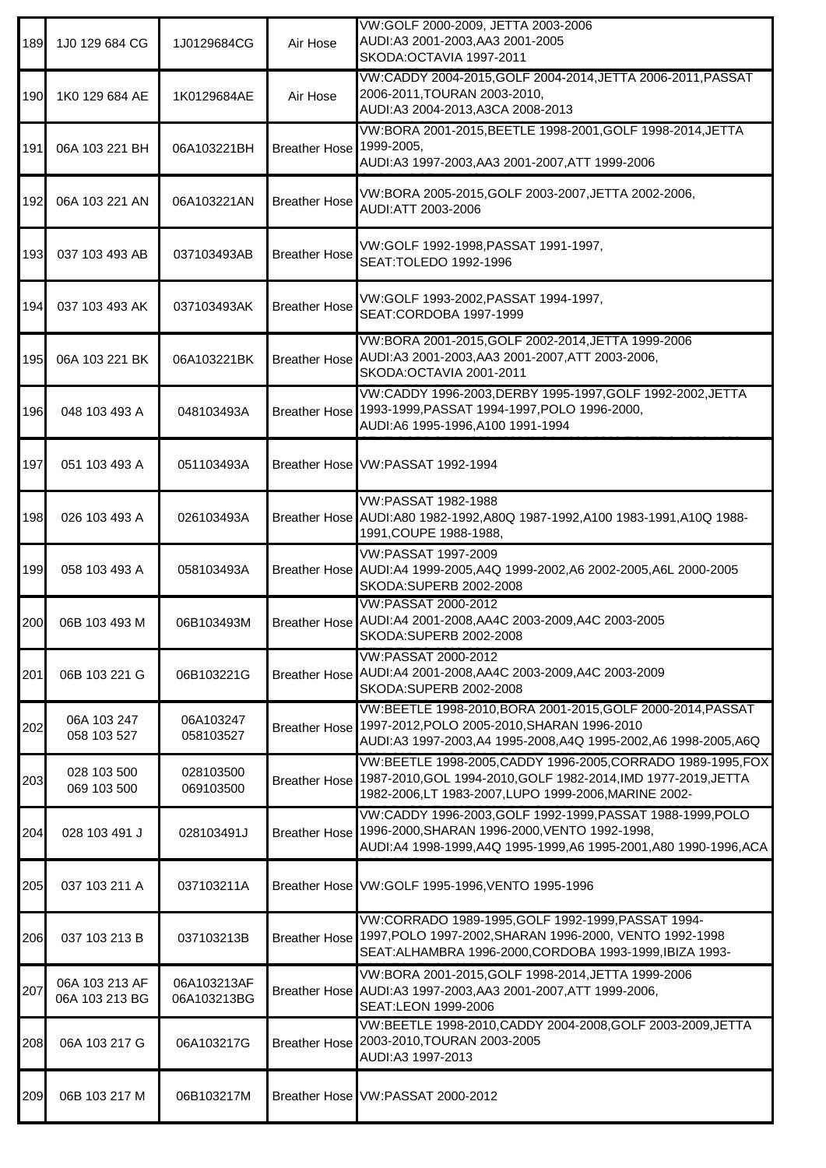| 189 | 1J0 129 684 CG                   | 1J0129684CG                | Air Hose                 | VW:GOLF 2000-2009, JETTA 2003-2006<br>AUDI:A3 2001-2003,AA3 2001-2005<br>SKODA: OCTAVIA 1997-2011                                                                                           |
|-----|----------------------------------|----------------------------|--------------------------|---------------------------------------------------------------------------------------------------------------------------------------------------------------------------------------------|
| 190 | 1K0 129 684 AE                   | 1K0129684AE                | Air Hose                 | VW:CADDY 2004-2015, GOLF 2004-2014, JETTA 2006-2011, PASSAT<br>2006-2011, TOURAN 2003-2010,<br>AUDI:A3 2004-2013, A3CA 2008-2013                                                            |
| 191 | 06A 103 221 BH                   | 06A103221BH                | Breather Hose 1999-2005, | VW:BORA 2001-2015, BEETLE 1998-2001, GOLF 1998-2014, JETTA<br>AUDI:A3 1997-2003, AA3 2001-2007, ATT 1999-2006                                                                               |
| 192 | 06A 103 221 AN                   | 06A103221AN                | <b>Breather Hose</b>     | VW:BORA 2005-2015, GOLF 2003-2007, JETTA 2002-2006,<br>AUDI:ATT 2003-2006                                                                                                                   |
| 193 | 037 103 493 AB                   | 037103493AB                | <b>Breather Hose</b>     | VW:GOLF 1992-1998, PASSAT 1991-1997,<br>SEAT: TOLEDO 1992-1996                                                                                                                              |
| 194 | 037 103 493 AK                   | 037103493AK                | <b>Breather Hose</b>     | VW:GOLF 1993-2002, PASSAT 1994-1997,<br>SEAT:CORDOBA 1997-1999                                                                                                                              |
| 195 | 06A 103 221 BK                   | 06A103221BK                |                          | VW:BORA 2001-2015, GOLF 2002-2014, JETTA 1999-2006<br>Breather Hose AUDI:A3 2001-2003, AA3 2001-2007, ATT 2003-2006,<br>SKODA:OCTAVIA 2001-2011                                             |
| 196 | 048 103 493 A                    | 048103493A                 |                          | VW:CADDY 1996-2003,DERBY 1995-1997,GOLF 1992-2002,JETTA<br>Breather Hose 1993-1999, PASSAT 1994-1997, POLO 1996-2000,<br>AUDI:A6 1995-1996,A100 1991-1994                                   |
| 197 | 051 103 493 A                    | 051103493A                 |                          | Breather Hose VW:PASSAT 1992-1994                                                                                                                                                           |
| 198 | 026 103 493 A                    | 026103493A                 |                          | VW:PASSAT 1982-1988<br>Breather Hose AUDI:A80 1982-1992, A80Q 1987-1992, A100 1983-1991, A10Q 1988-<br>1991, COUPE 1988-1988,                                                               |
| 199 | 058 103 493 A                    | 058103493A                 |                          | VW:PASSAT 1997-2009<br>Breather Hose AUDI:A4 1999-2005, A4Q 1999-2002, A6 2002-2005, A6L 2000-2005<br>SKODA:SUPERB 2002-2008                                                                |
| 200 | 06B 103 493 M                    | 06B103493M                 |                          | VW:PASSAT 2000-2012<br>Breather Hose AUDI:A4 2001-2008, AA4C 2003-2009, A4C 2003-2005<br>SKODA:SUPERB 2002-2008                                                                             |
| 201 | 06B 103 221 G                    | 06B103221G                 |                          | VW:PASSAT 2000-2012<br>Breather Hose AUDI:A4 2001-2008, AA4C 2003-2009, A4C 2003-2009<br>SKODA:SUPERB 2002-2008                                                                             |
| 202 | 06A 103 247<br>058 103 527       | 06A103247<br>058103527     |                          | VW:BEETLE 1998-2010, BORA 2001-2015, GOLF 2000-2014, PASSAT<br>Breather Hose 1997-2012, POLO 2005-2010, SHARAN 1996-2010<br>AUDI:A3 1997-2003,A4 1995-2008,A4Q 1995-2002,A6 1998-2005,A6Q   |
| 203 | 028 103 500<br>069 103 500       | 028103500<br>069103500     | <b>Breather Hose</b>     | VW:BEETLE 1998-2005,CADDY 1996-2005,CORRADO 1989-1995,FOX<br>1987-2010, GOL 1994-2010, GOLF 1982-2014, IMD 1977-2019, JETTA<br>1982-2006,LT 1983-2007,LUPO 1999-2006,MARINE 2002-           |
| 204 | 028 103 491 J                    | 028103491J                 |                          | VW:CADDY 1996-2003, GOLF 1992-1999, PASSAT 1988-1999, POLO<br>Breather Hose 1996-2000, SHARAN 1996-2000, VENTO 1992-1998.<br>AUDI:A4 1998-1999,A4Q 1995-1999,A6 1995-2001,A80 1990-1996,ACA |
| 205 | 037 103 211 A                    | 037103211A                 |                          | Breather Hose VW:GOLF 1995-1996, VENTO 1995-1996                                                                                                                                            |
| 206 | 037 103 213 B                    | 037103213B                 |                          | VW:CORRADO 1989-1995, GOLF 1992-1999, PASSAT 1994-<br>Breather Hose 1997, POLO 1997-2002, SHARAN 1996-2000, VENTO 1992-1998<br>SEAT: ALHAMBRA 1996-2000, CORDOBA 1993-1999, IBIZA 1993-     |
| 207 | 06A 103 213 AF<br>06A 103 213 BG | 06A103213AF<br>06A103213BG |                          | VW:BORA 2001-2015, GOLF 1998-2014, JETTA 1999-2006<br>Breather Hose AUDI:A3 1997-2003, AA3 2001-2007, ATT 1999-2006,<br>SEAT:LEON 1999-2006                                                 |
| 208 | 06A 103 217 G                    | 06A103217G                 |                          | VW:BEETLE 1998-2010, CADDY 2004-2008, GOLF 2003-2009, JETTA<br>Breather Hose 2003-2010, TOURAN 2003-2005<br>AUDI:A3 1997-2013                                                               |
| 209 | 06B 103 217 M                    | 06B103217M                 |                          | Breather Hose VW:PASSAT 2000-2012                                                                                                                                                           |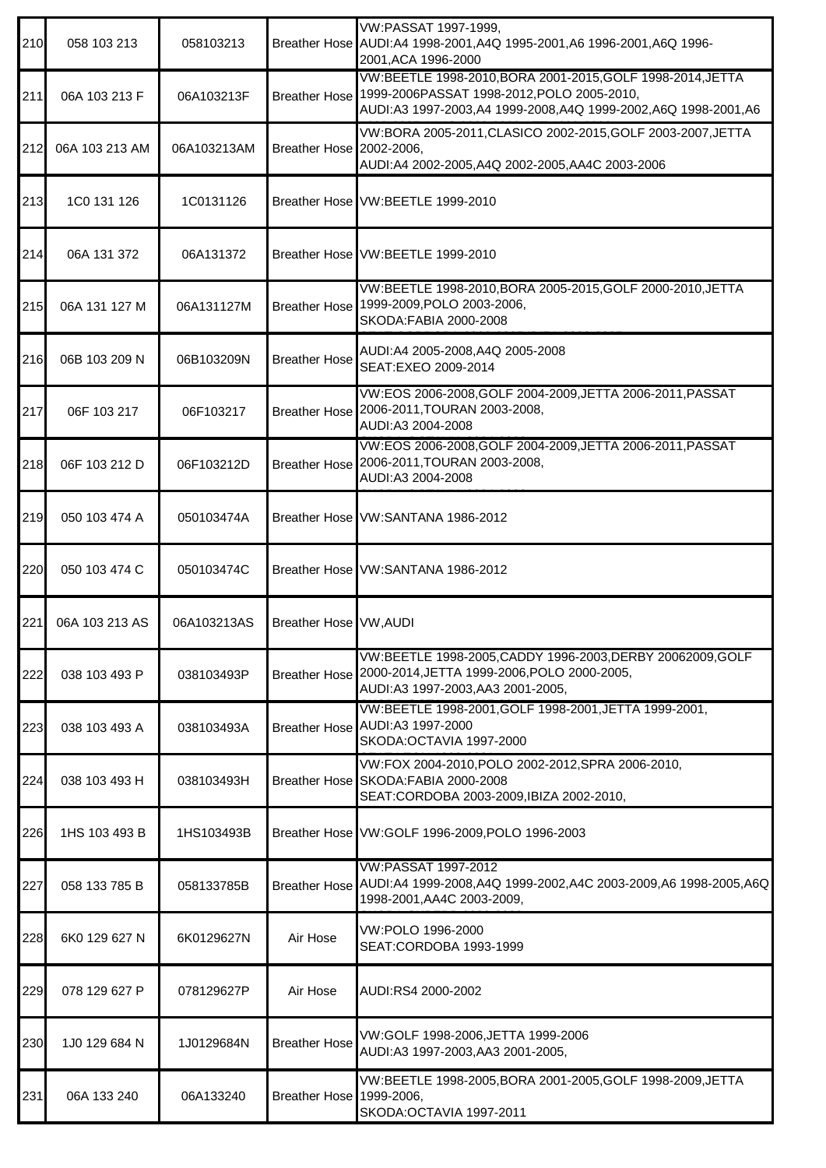| 210 | 058 103 213    | 058103213   |                          | VW:PASSAT 1997-1999,<br>Breather Hose AUDI:A4 1998-2001, A4Q 1995-2001, A6 1996-2001, A6Q 1996-<br>2001, ACA 1996-2000                                                    |
|-----|----------------|-------------|--------------------------|---------------------------------------------------------------------------------------------------------------------------------------------------------------------------|
| 211 | 06A 103 213 F  | 06A103213F  | <b>Breather Hose</b>     | VW:BEETLE 1998-2010, BORA 2001-2015, GOLF 1998-2014, JETTA<br>1999-2006PASSAT 1998-2012, POLO 2005-2010,<br>AUDI:A3 1997-2003,A4 1999-2008,A4Q 1999-2002,A6Q 1998-2001,A6 |
| 212 | 06A 103 213 AM | 06A103213AM | Breather Hose 2002-2006, | VW:BORA 2005-2011, CLASICO 2002-2015, GOLF 2003-2007, JETTA<br>AUDI:A4 2002-2005, A4Q 2002-2005, AA4C 2003-2006                                                           |
| 213 | 1C0 131 126    | 1C0131126   |                          | Breather Hose VW:BEETLE 1999-2010                                                                                                                                         |
| 214 | 06A 131 372    | 06A131372   |                          | Breather Hose VW:BEETLE 1999-2010                                                                                                                                         |
| 215 | 06A 131 127 M  | 06A131127M  | <b>Breather Hose</b>     | VW:BEETLE 1998-2010, BORA 2005-2015, GOLF 2000-2010, JETTA<br>1999-2009, POLO 2003-2006,<br>SKODA:FABIA 2000-2008                                                         |
| 216 | 06B 103 209 N  | 06B103209N  | <b>Breather Hose</b>     | AUDI:A4 2005-2008,A4Q 2005-2008<br>SEAT:EXEO 2009-2014                                                                                                                    |
| 217 | 06F 103 217    | 06F103217   |                          | VW:EOS 2006-2008, GOLF 2004-2009, JETTA 2006-2011, PASSAT<br>Breather Hose 2006-2011, TOURAN 2003-2008,<br>AUDI:A3 2004-2008                                              |
| 218 | 06F 103 212 D  | 06F103212D  |                          | VW:EOS 2006-2008, GOLF 2004-2009, JETTA 2006-2011, PASSAT<br>Breather Hose 2006-2011, TOURAN 2003-2008,<br>AUDI:A3 2004-2008                                              |
| 219 | 050 103 474 A  | 050103474A  |                          | Breather Hose VW:SANTANA 1986-2012                                                                                                                                        |
| 220 | 050 103 474 C  | 050103474C  |                          | Breather Hose VW:SANTANA 1986-2012                                                                                                                                        |
| 221 | 06A 103 213 AS | 06A103213AS | Breather Hose VW, AUDI   |                                                                                                                                                                           |
| 222 | 038 103 493 P  | 038103493P  |                          | VW:BEETLE 1998-2005, CADDY 1996-2003, DERBY 20062009, GOLF<br>Breather Hose 2000-2014, JETTA 1999-2006, POLO 2000-2005,<br>AUDI:A3 1997-2003,AA3 2001-2005,               |
| 223 | 038 103 493 A  | 038103493A  |                          | VW:BEETLE 1998-2001, GOLF 1998-2001, JETTA 1999-2001,<br>Breather Hose AUDI:A3 1997-2000<br>SKODA: OCTAVIA 1997-2000                                                      |
| 224 | 038 103 493 H  | 038103493H  |                          | VW:FOX 2004-2010, POLO 2002-2012, SPRA 2006-2010,<br>Breather Hose SKODA: FABIA 2000-2008<br>SEAT:CORDOBA 2003-2009, IBIZA 2002-2010,                                     |
| 226 | 1HS 103 493 B  | 1HS103493B  |                          | Breather Hose VW:GOLF 1996-2009, POLO 1996-2003                                                                                                                           |
| 227 | 058 133 785 B  | 058133785B  | <b>Breather Hose</b>     | VW:PASSAT 1997-2012<br>AUDI:A4 1999-2008,A4Q 1999-2002,A4C 2003-2009,A6 1998-2005,A6Q<br>1998-2001, AA4C 2003-2009,                                                       |
| 228 | 6K0 129 627 N  | 6K0129627N  | Air Hose                 | VW:POLO 1996-2000<br>SEAT:CORDOBA 1993-1999                                                                                                                               |
| 229 | 078 129 627 P  | 078129627P  | Air Hose                 | AUDI:RS4 2000-2002                                                                                                                                                        |
| 230 | 1J0 129 684 N  | 1J0129684N  | <b>Breather Hose</b>     | VW:GOLF 1998-2006, JETTA 1999-2006<br>AUDI:A3 1997-2003, AA3 2001-2005,                                                                                                   |
| 231 | 06A 133 240    | 06A133240   | Breather Hose 1999-2006, | VW:BEETLE 1998-2005, BORA 2001-2005, GOLF 1998-2009, JETTA<br>SKODA: OCTAVIA 1997-2011                                                                                    |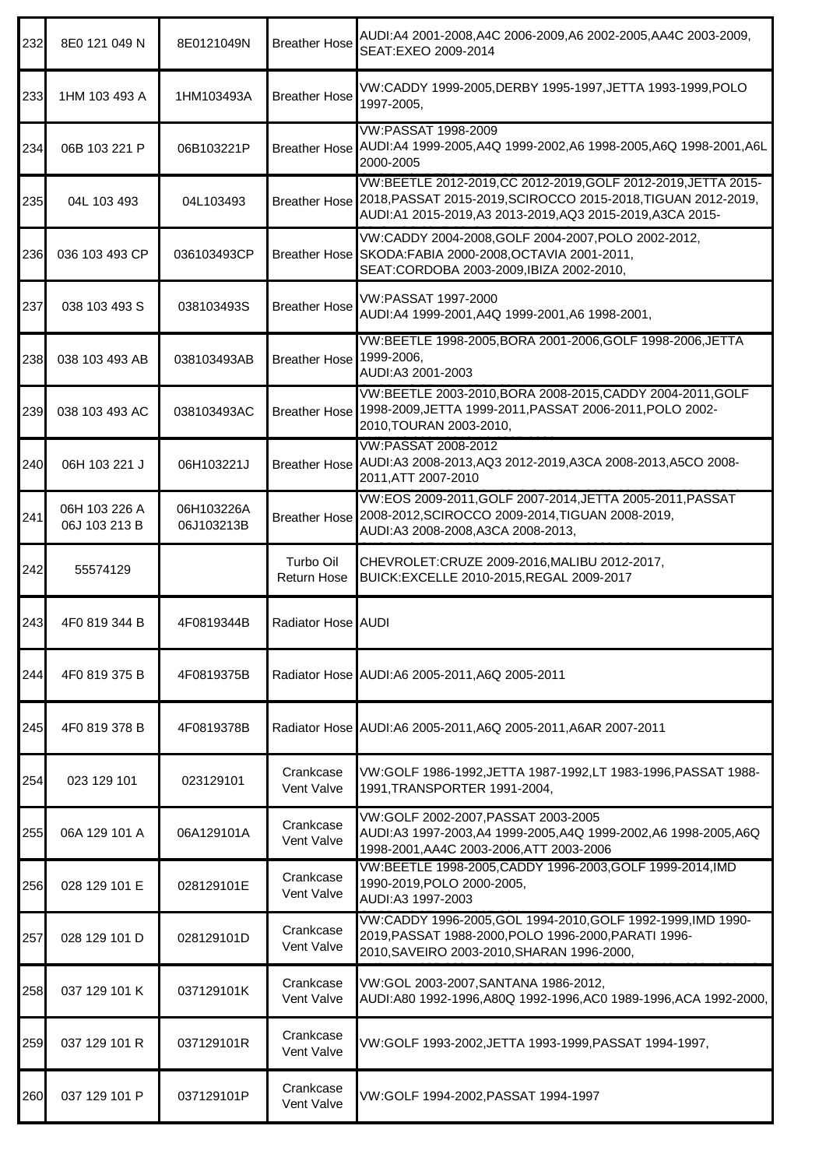| 232 | 8E0 121 049 N                  | 8E0121049N               | <b>Breather Hose</b>     | AUDI:A4 2001-2008,A4C 2006-2009,A6 2002-2005,AA4C 2003-2009,<br>SEAT:EXEO 2009-2014                                                                                                                      |
|-----|--------------------------------|--------------------------|--------------------------|----------------------------------------------------------------------------------------------------------------------------------------------------------------------------------------------------------|
| 233 | 1HM 103 493 A                  | 1HM103493A               | <b>Breather Hose</b>     | VW:CADDY 1999-2005,DERBY 1995-1997,JETTA 1993-1999,POLO<br>1997-2005,                                                                                                                                    |
| 234 | 06B 103 221 P                  | 06B103221P               |                          | VW:PASSAT 1998-2009<br>Breather Hose AUDI:A4 1999-2005,A4Q 1999-2002,A6 1998-2005,A6Q 1998-2001,A6L<br>2000-2005                                                                                         |
| 235 | 04L 103 493                    | 04L103493                |                          | VW:BEETLE 2012-2019, CC 2012-2019, GOLF 2012-2019, JETTA 2015-<br>Breather Hose 2018, PASSAT 2015-2019, SCIROCCO 2015-2018, TIGUAN 2012-2019,<br>AUDI:A1 2015-2019,A3 2013-2019,AQ3 2015-2019,A3CA 2015- |
| 236 | 036 103 493 CP                 | 036103493CP              |                          | VW:CADDY 2004-2008, GOLF 2004-2007, POLO 2002-2012,<br>Breather Hose SKODA: FABIA 2000-2008, OCTAVIA 2001-2011,<br>SEAT:CORDOBA 2003-2009, IBIZA 2002-2010,                                              |
| 237 | 038 103 493 S                  | 038103493S               | <b>Breather Hose</b>     | VW:PASSAT 1997-2000<br>AUDI:A4 1999-2001,A4Q 1999-2001,A6 1998-2001,                                                                                                                                     |
| 238 | 038 103 493 AB                 | 038103493AB              | Breather Hose 1999-2006, | VW:BEETLE 1998-2005, BORA 2001-2006, GOLF 1998-2006, JETTA<br>AUDI:A3 2001-2003                                                                                                                          |
| 239 | 038 103 493 AC                 | 038103493AC              |                          | VW:BEETLE 2003-2010, BORA 2008-2015, CADDY 2004-2011, GOLF<br>Breather Hose 1998-2009, JETTA 1999-2011, PASSAT 2006-2011, POLO 2002-<br>2010, TOURAN 2003-2010,                                          |
| 240 | 06H 103 221 J                  | 06H103221J               |                          | VW:PASSAT 2008-2012<br>Breather Hose AUDI:A3 2008-2013, AQ3 2012-2019, A3CA 2008-2013, A5CO 2008-<br>2011, ATT 2007-2010                                                                                 |
| 241 | 06H 103 226 A<br>06J 103 213 B | 06H103226A<br>06J103213B |                          | VW:EOS 2009-2011, GOLF 2007-2014, JETTA 2005-2011, PASSAT<br>Breather Hose 2008-2012, SCIROCCO 2009-2014, TIGUAN 2008-2019,<br>AUDI:A3 2008-2008, A3CA 2008-2013,                                        |
| 242 | 55574129                       |                          | Turbo Oil<br>Return Hose | CHEVROLET: CRUZE 2009-2016, MALIBU 2012-2017,<br>BUICK:EXCELLE 2010-2015, REGAL 2009-2017                                                                                                                |
| 243 | 4F0 819 344 B                  | 4F0819344B               | Radiator Hose AUDI       |                                                                                                                                                                                                          |
| 244 | 4F0 819 375 B                  | 4F0819375B               |                          | Radiator Hose AUDI:A6 2005-2011, A6Q 2005-2011                                                                                                                                                           |
| 245 | 4F0 819 378 B                  | 4F0819378B               |                          | Radiator Hose AUDI:A6 2005-2011,A6Q 2005-2011,A6AR 2007-2011                                                                                                                                             |
| 254 | 023 129 101                    | 023129101                | Crankcase<br>Vent Valve  | VW:GOLF 1986-1992, JETTA 1987-1992, LT 1983-1996, PASSAT 1988-<br>1991, TRANSPORTER 1991-2004,                                                                                                           |
| 255 | 06A 129 101 A                  | 06A129101A               | Crankcase<br>Vent Valve  | VW:GOLF 2002-2007, PASSAT 2003-2005<br>AUDI:A3 1997-2003,A4 1999-2005,A4Q 1999-2002,A6 1998-2005,A6Q<br>1998-2001, AA4C 2003-2006, ATT 2003-2006                                                         |
| 256 | 028 129 101 E                  | 028129101E               | Crankcase<br>Vent Valve  | VW:BEETLE 1998-2005, CADDY 1996-2003, GOLF 1999-2014, IMD<br>1990-2019, POLO 2000-2005,<br>AUDI:A3 1997-2003                                                                                             |
| 257 | 028 129 101 D                  | 028129101D               | Crankcase<br>Vent Valve  | VW:CADDY 1996-2005, GOL 1994-2010, GOLF 1992-1999, IMD 1990-<br>2019, PASSAT 1988-2000, POLO 1996-2000, PARATI 1996-<br>2010, SAVEIRO 2003-2010, SHARAN 1996-2000,                                       |
| 258 | 037 129 101 K                  | 037129101K               | Crankcase<br>Vent Valve  | VW:GOL 2003-2007, SANTANA 1986-2012,<br>AUDI:A80 1992-1996,A80Q 1992-1996,AC0 1989-1996,ACA 1992-2000,                                                                                                   |
| 259 | 037 129 101 R                  | 037129101R               | Crankcase<br>Vent Valve  | VW:GOLF 1993-2002,JETTA 1993-1999,PASSAT 1994-1997,                                                                                                                                                      |
| 260 | 037 129 101 P                  | 037129101P               | Crankcase<br>Vent Valve  | VW:GOLF 1994-2002, PASSAT 1994-1997                                                                                                                                                                      |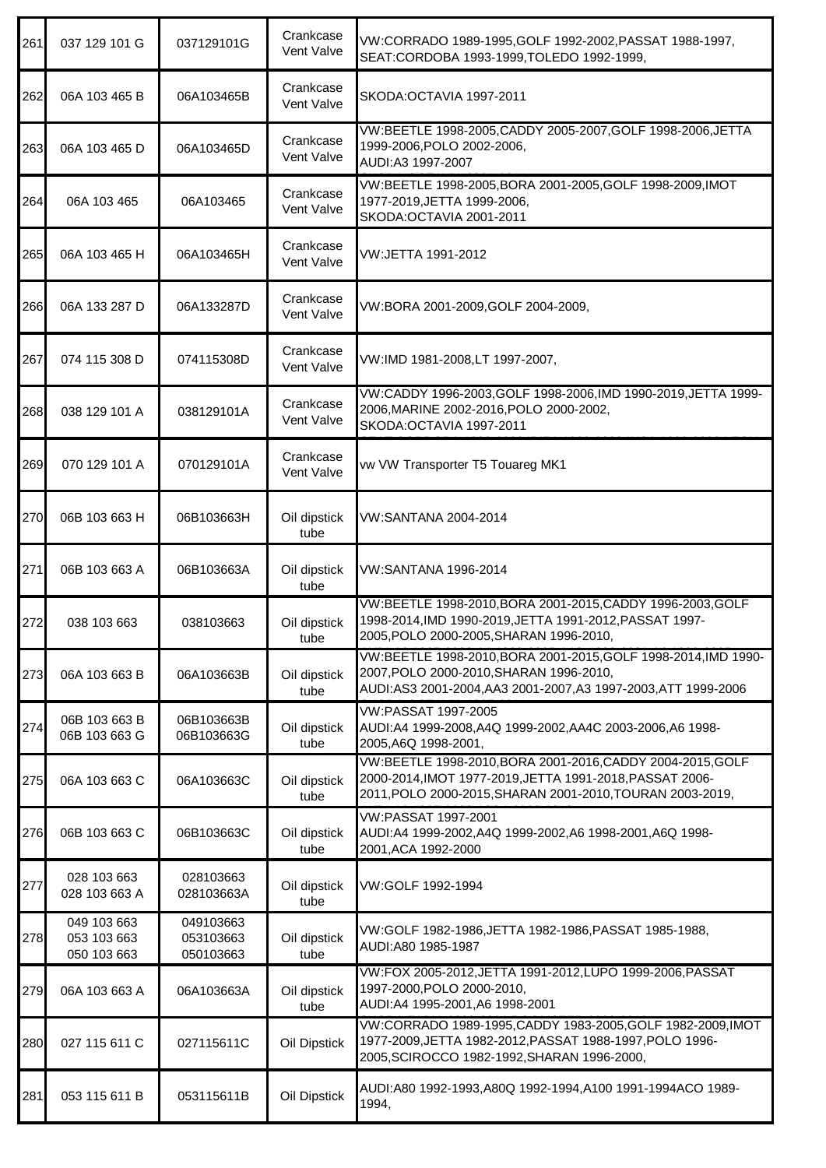| 261 | 037 129 101 G                             | 037129101G                          | Crankcase<br>Vent Valve | VW:CORRADO 1989-1995, GOLF 1992-2002, PASSAT 1988-1997,<br>SEAT:CORDOBA 1993-1999, TOLEDO 1992-1999,                                                                                |
|-----|-------------------------------------------|-------------------------------------|-------------------------|-------------------------------------------------------------------------------------------------------------------------------------------------------------------------------------|
| 262 | 06A 103 465 B                             | 06A103465B                          | Crankcase<br>Vent Valve | SKODA: OCTAVIA 1997-2011                                                                                                                                                            |
| 263 | 06A 103 465 D                             | 06A103465D                          | Crankcase<br>Vent Valve | VW:BEETLE 1998-2005, CADDY 2005-2007, GOLF 1998-2006, JETTA<br>1999-2006, POLO 2002-2006,<br>AUDI:A3 1997-2007                                                                      |
| 264 | 06A 103 465                               | 06A103465                           | Crankcase<br>Vent Valve | VW:BEETLE 1998-2005, BORA 2001-2005, GOLF 1998-2009, IMOT<br>1977-2019, JETTA 1999-2006,<br>SKODA: OCTAVIA 2001-2011                                                                |
| 265 | 06A 103 465 H                             | 06A103465H                          | Crankcase<br>Vent Valve | VW:JETTA 1991-2012                                                                                                                                                                  |
| 266 | 06A 133 287 D                             | 06A133287D                          | Crankcase<br>Vent Valve | VW:BORA 2001-2009, GOLF 2004-2009,                                                                                                                                                  |
| 267 | 074 115 308 D                             | 074115308D                          | Crankcase<br>Vent Valve | VW:IMD 1981-2008,LT 1997-2007,                                                                                                                                                      |
| 268 | 038 129 101 A                             | 038129101A                          | Crankcase<br>Vent Valve | VW:CADDY 1996-2003, GOLF 1998-2006, IMD 1990-2019, JETTA 1999-<br>2006, MARINE 2002-2016, POLO 2000-2002,<br>SKODA: OCTAVIA 1997-2011                                               |
| 269 | 070 129 101 A                             | 070129101A                          | Crankcase<br>Vent Valve | vw VW Transporter T5 Touareg MK1                                                                                                                                                    |
| 270 | 06B 103 663 H                             | 06B103663H                          | Oil dipstick<br>tube    | VW:SANTANA 2004-2014                                                                                                                                                                |
| 271 | 06B 103 663 A                             | 06B103663A                          | Oil dipstick<br>tube    | VW:SANTANA 1996-2014                                                                                                                                                                |
| 272 | 038 103 663                               | 038103663                           | Oil dipstick<br>tube    | VW:BEETLE 1998-2010, BORA 2001-2015, CADDY 1996-2003, GOLF<br>1998-2014, IMD 1990-2019, JETTA 1991-2012, PASSAT 1997-<br>2005, POLO 2000-2005, SHARAN 1996-2010,                    |
| 273 | 06A 103 663 B                             | 06A103663B                          | Oil dipstick<br>tube    | VW:BEETLE 1998-2010, BORA 2001-2015, GOLF 1998-2014, IMD 1990-<br>2007, POLO 2000-2010, SHARAN 1996-2010,<br>AUDI:AS3 2001-2004,AA3 2001-2007,A3 1997-2003,ATT 1999-2006            |
| 274 | 06B 103 663 B<br>06B 103 663 G            | 06B103663B<br>06B103663G            | Oil dipstick<br>tube    | VW:PASSAT 1997-2005<br>AUDI:A4 1999-2008,A4Q 1999-2002,AA4C 2003-2006,A6 1998-<br>2005, A6Q 1998-2001,                                                                              |
| 275 | 06A 103 663 C                             | 06A103663C                          | Oil dipstick<br>tube    | VW:BEETLE 1998-2010, BORA 2001-2016, CADDY 2004-2015, GOLF<br>2000-2014, IMOT 1977-2019, JETTA 1991-2018, PASSAT 2006-<br>2011, POLO 2000-2015, SHARAN 2001-2010, TOURAN 2003-2019, |
| 276 | 06B 103 663 C                             | 06B103663C                          | Oil dipstick<br>tube    | VW:PASSAT 1997-2001<br>AUDI:A4 1999-2002,A4Q 1999-2002,A6 1998-2001,A6Q 1998-<br>2001, ACA 1992-2000                                                                                |
| 277 | 028 103 663<br>028 103 663 A              | 028103663<br>028103663A             | Oil dipstick<br>tube    | VW:GOLF 1992-1994                                                                                                                                                                   |
| 278 | 049 103 663<br>053 103 663<br>050 103 663 | 049103663<br>053103663<br>050103663 | Oil dipstick<br>tube    | VW:GOLF 1982-1986, JETTA 1982-1986, PASSAT 1985-1988,<br>AUDI:A80 1985-1987                                                                                                         |
| 279 | 06A 103 663 A                             | 06A103663A                          | Oil dipstick<br>tube    | VW:FOX 2005-2012, JETTA 1991-2012, LUPO 1999-2006, PASSAT<br>1997-2000, POLO 2000-2010,<br>AUDI:A4 1995-2001,A6 1998-2001                                                           |
| 280 | 027 115 611 C                             | 027115611C                          | Oil Dipstick            | VW:CORRADO 1989-1995, CADDY 1983-2005, GOLF 1982-2009, IMOT<br>1977-2009, JETTA 1982-2012, PASSAT 1988-1997, POLO 1996-<br>2005, SCIROCCO 1982-1992, SHARAN 1996-2000,              |
| 281 | 053 115 611 B                             | 053115611B                          | Oil Dipstick            | AUDI:A80 1992-1993,A80Q 1992-1994,A100 1991-1994ACO 1989-<br>1994,                                                                                                                  |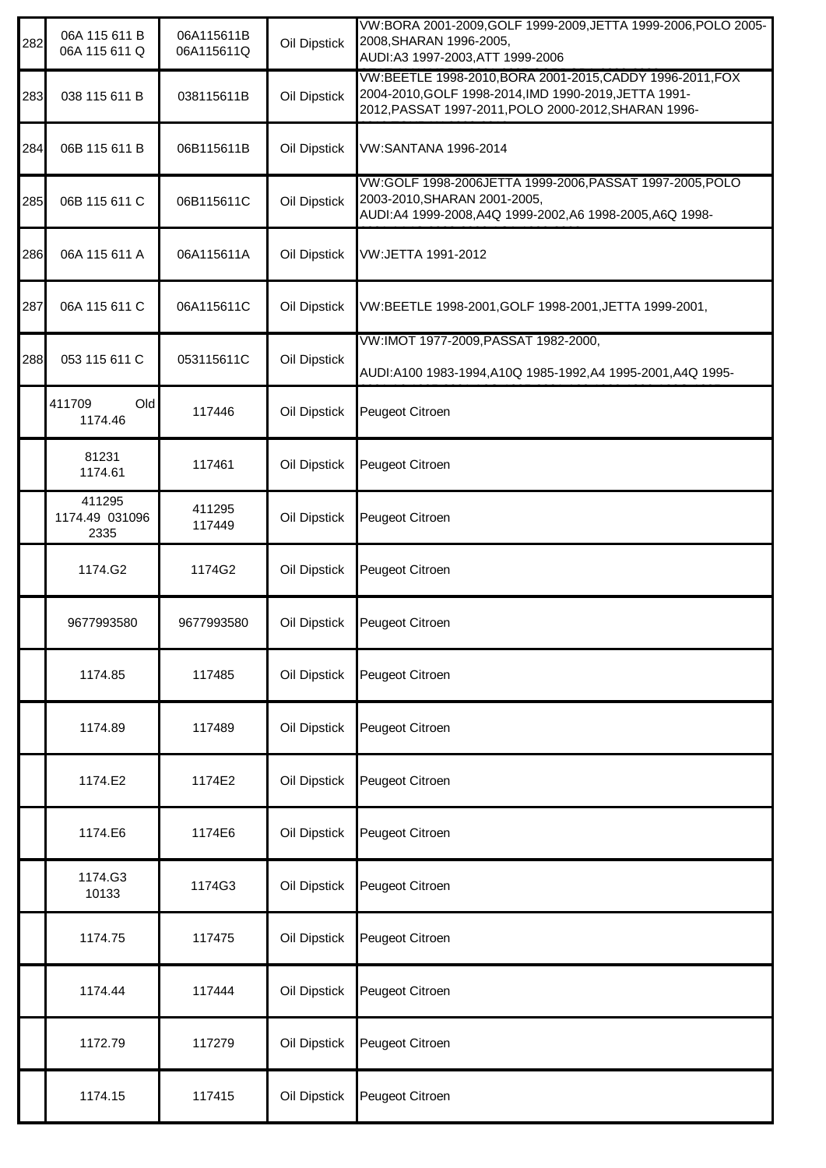| 282 | 06A 115 611 B<br>06A 115 611 Q   | 06A115611B<br>06A115611Q | Oil Dipstick | VW:BORA 2001-2009, GOLF 1999-2009, JETTA 1999-2006, POLO 2005-<br>2008, SHARAN 1996-2005,<br>AUDI:A3 1997-2003, ATT 1999-2006                                              |
|-----|----------------------------------|--------------------------|--------------|----------------------------------------------------------------------------------------------------------------------------------------------------------------------------|
| 283 | 038 115 611 B                    | 038115611B               | Oil Dipstick | VW:BEETLE 1998-2010, BORA 2001-2015, CADDY 1996-2011, FOX<br>2004-2010, GOLF 1998-2014, IMD 1990-2019, JETTA 1991-<br>2012, PASSAT 1997-2011, POLO 2000-2012, SHARAN 1996- |
| 284 | 06B 115 611 B                    | 06B115611B               | Oil Dipstick | VW:SANTANA 1996-2014                                                                                                                                                       |
| 285 | 06B 115 611 C                    | 06B115611C               | Oil Dipstick | VW:GOLF 1998-2006JETTA 1999-2006, PASSAT 1997-2005, POLO<br>2003-2010, SHARAN 2001-2005,<br>AUDI:A4 1999-2008,A4Q 1999-2002,A6 1998-2005,A6Q 1998-                         |
| 286 | 06A 115 611 A                    | 06A115611A               | Oil Dipstick | VW:JETTA 1991-2012                                                                                                                                                         |
| 287 | 06A 115 611 C                    | 06A115611C               | Oil Dipstick | VW:BEETLE 1998-2001, GOLF 1998-2001, JETTA 1999-2001,                                                                                                                      |
| 288 | 053 115 611 C                    | 053115611C               | Oil Dipstick | VW:IMOT 1977-2009, PASSAT 1982-2000,<br>AUDI:A100 1983-1994,A10Q 1985-1992,A4 1995-2001,A4Q 1995-                                                                          |
|     | 411709<br>Old<br>1174.46         | 117446                   | Oil Dipstick | Peugeot Citroen                                                                                                                                                            |
|     | 81231<br>1174.61                 | 117461                   | Oil Dipstick | Peugeot Citroen                                                                                                                                                            |
|     | 411295<br>1174.49 031096<br>2335 | 411295<br>117449         | Oil Dipstick | Peugeot Citroen                                                                                                                                                            |
|     | 1174.G2                          | 1174G2                   | Oil Dipstick | Peugeot Citroen                                                                                                                                                            |
|     | 9677993580                       | 9677993580               | Oil Dipstick | Peugeot Citroen                                                                                                                                                            |
|     | 1174.85                          | 117485                   | Oil Dipstick | Peugeot Citroen                                                                                                                                                            |
|     | 1174.89                          | 117489                   | Oil Dipstick | Peugeot Citroen                                                                                                                                                            |
|     | 1174.E2                          | 1174E2                   | Oil Dipstick | Peugeot Citroen                                                                                                                                                            |
|     | 1174.E6                          | 1174E6                   | Oil Dipstick | Peugeot Citroen                                                                                                                                                            |
|     | 1174.G3<br>10133                 | 1174G3                   | Oil Dipstick | Peugeot Citroen                                                                                                                                                            |
|     | 1174.75                          | 117475                   | Oil Dipstick | Peugeot Citroen                                                                                                                                                            |
|     | 1174.44                          | 117444                   | Oil Dipstick | Peugeot Citroen                                                                                                                                                            |
|     | 1172.79                          | 117279                   | Oil Dipstick | Peugeot Citroen                                                                                                                                                            |
|     | 1174.15                          | 117415                   | Oil Dipstick | Peugeot Citroen                                                                                                                                                            |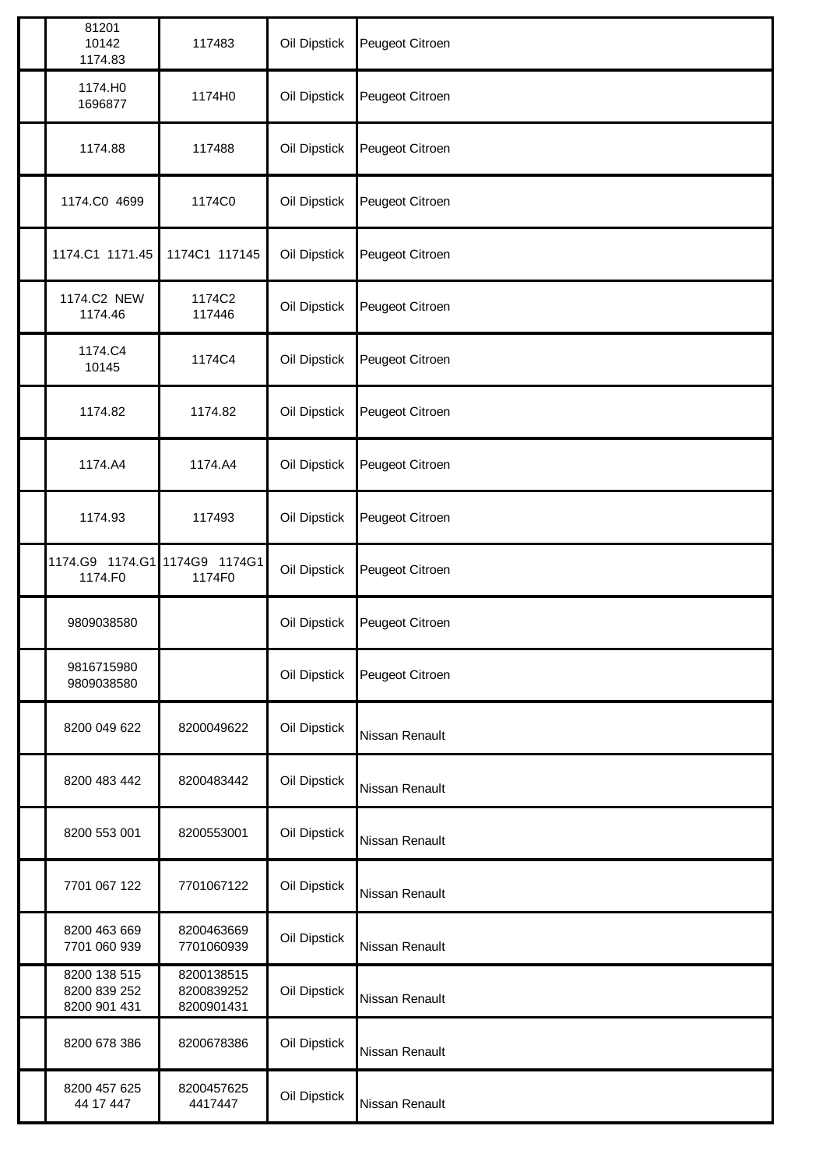| 81201<br>10142<br>1174.83                    | 117483                                 | Oil Dipstick | Peugeot Citroen |
|----------------------------------------------|----------------------------------------|--------------|-----------------|
| 1174.HO<br>1696877                           | 1174H0                                 | Oil Dipstick | Peugeot Citroen |
| 1174.88                                      | 117488                                 | Oil Dipstick | Peugeot Citroen |
| 1174.C0 4699                                 | 1174C0                                 | Oil Dipstick | Peugeot Citroen |
| 1174.C1 1171.45                              | 1174C1 117145                          | Oil Dipstick | Peugeot Citroen |
| 1174.C2 NEW<br>1174.46                       | 1174C2<br>117446                       | Oil Dipstick | Peugeot Citroen |
| 1174.C4<br>10145                             | 1174C4                                 | Oil Dipstick | Peugeot Citroen |
| 1174.82                                      | 1174.82                                | Oil Dipstick | Peugeot Citroen |
| 1174.A4                                      | 1174.A4                                | Oil Dipstick | Peugeot Citroen |
| 1174.93                                      | 117493                                 | Oil Dipstick | Peugeot Citroen |
| 1174.G9  1174.G1  1174G9  1174G1<br>1174.F0  | 1174F0                                 | Oil Dipstick | Peugeot Citroen |
| 9809038580                                   |                                        | Oil Dipstick | Peugeot Citroen |
| 9816715980<br>9809038580                     |                                        | Oil Dipstick | Peugeot Citroen |
| 8200 049 622                                 | 8200049622                             | Oil Dipstick | Nissan Renault  |
| 8200 483 442                                 | 8200483442                             | Oil Dipstick | Nissan Renault  |
| 8200 553 001                                 | 8200553001                             | Oil Dipstick | Nissan Renault  |
| 7701 067 122                                 | 7701067122                             | Oil Dipstick | Nissan Renault  |
| 8200 463 669<br>7701 060 939                 | 8200463669<br>7701060939               | Oil Dipstick | Nissan Renault  |
| 8200 138 515<br>8200 839 252<br>8200 901 431 | 8200138515<br>8200839252<br>8200901431 | Oil Dipstick | Nissan Renault  |
| 8200 678 386                                 | 8200678386                             | Oil Dipstick | Nissan Renault  |
| 8200 457 625<br>44 17 447                    | 8200457625<br>4417447                  | Oil Dipstick | Nissan Renault  |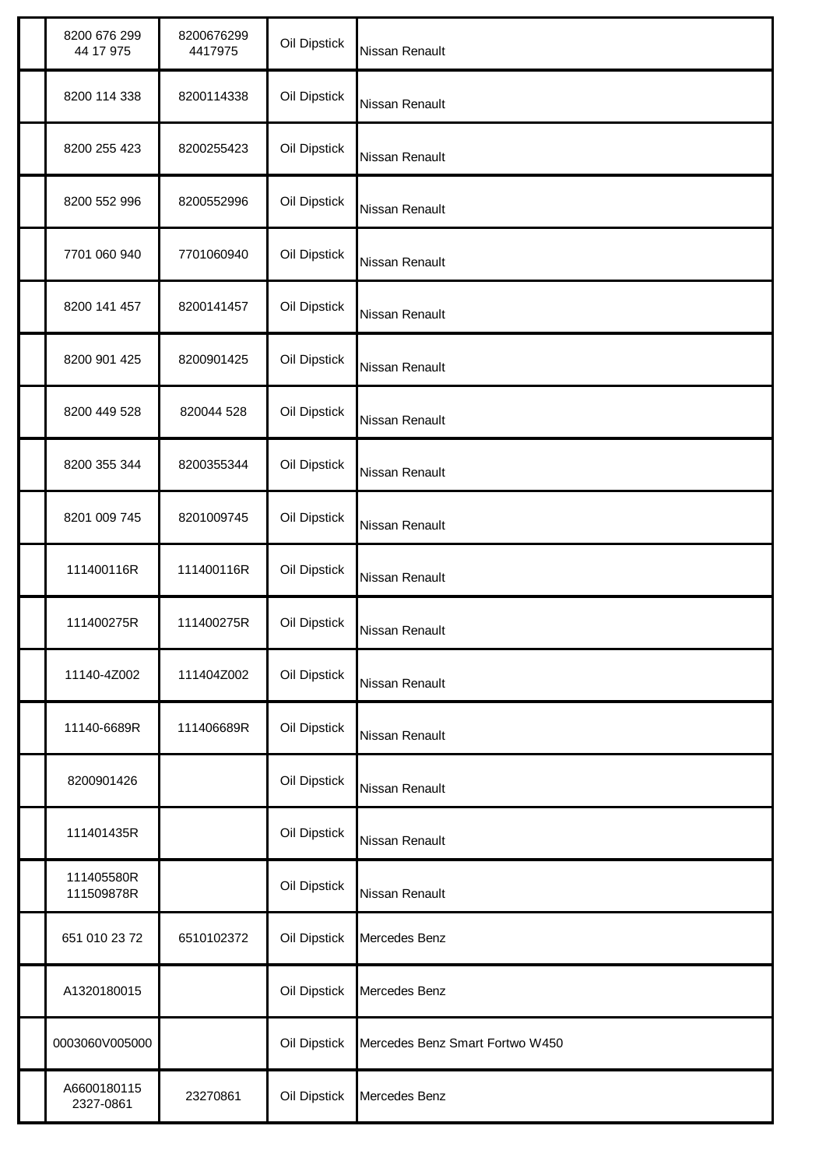| 8200 676 299<br>44 17 975 | 8200676299<br>4417975 | Oil Dipstick | Nissan Renault                  |
|---------------------------|-----------------------|--------------|---------------------------------|
| 8200 114 338              | 8200114338            | Oil Dipstick | <b>Nissan Renault</b>           |
| 8200 255 423              | 8200255423            | Oil Dipstick | Nissan Renault                  |
| 8200 552 996              | 8200552996            | Oil Dipstick | Nissan Renault                  |
| 7701 060 940              | 7701060940            | Oil Dipstick | Nissan Renault                  |
| 8200 141 457              | 8200141457            | Oil Dipstick | Nissan Renault                  |
| 8200 901 425              | 8200901425            | Oil Dipstick | Nissan Renault                  |
| 8200 449 528              | 820044 528            | Oil Dipstick | Nissan Renault                  |
| 8200 355 344              | 8200355344            | Oil Dipstick | Nissan Renault                  |
| 8201 009 745              | 8201009745            | Oil Dipstick | Nissan Renault                  |
| 111400116R                | 111400116R            | Oil Dipstick | Nissan Renault                  |
| 111400275R                | 111400275R            | Oil Dipstick | Nissan Renault                  |
| 11140-4Z002               | 111404Z002            | Oil Dipstick | Nissan Renault                  |
| 11140-6689R               | 111406689R            | Oil Dipstick | Nissan Renault                  |
| 8200901426                |                       | Oil Dipstick | Nissan Renault                  |
| 111401435R                |                       | Oil Dipstick | Nissan Renault                  |
| 111405580R<br>111509878R  |                       | Oil Dipstick | Nissan Renault                  |
| 651 010 23 72             | 6510102372            | Oil Dipstick | Mercedes Benz                   |
| A1320180015               |                       | Oil Dipstick | Mercedes Benz                   |
| 0003060V005000            |                       | Oil Dipstick | Mercedes Benz Smart Fortwo W450 |
| A6600180115<br>2327-0861  | 23270861              | Oil Dipstick | Mercedes Benz                   |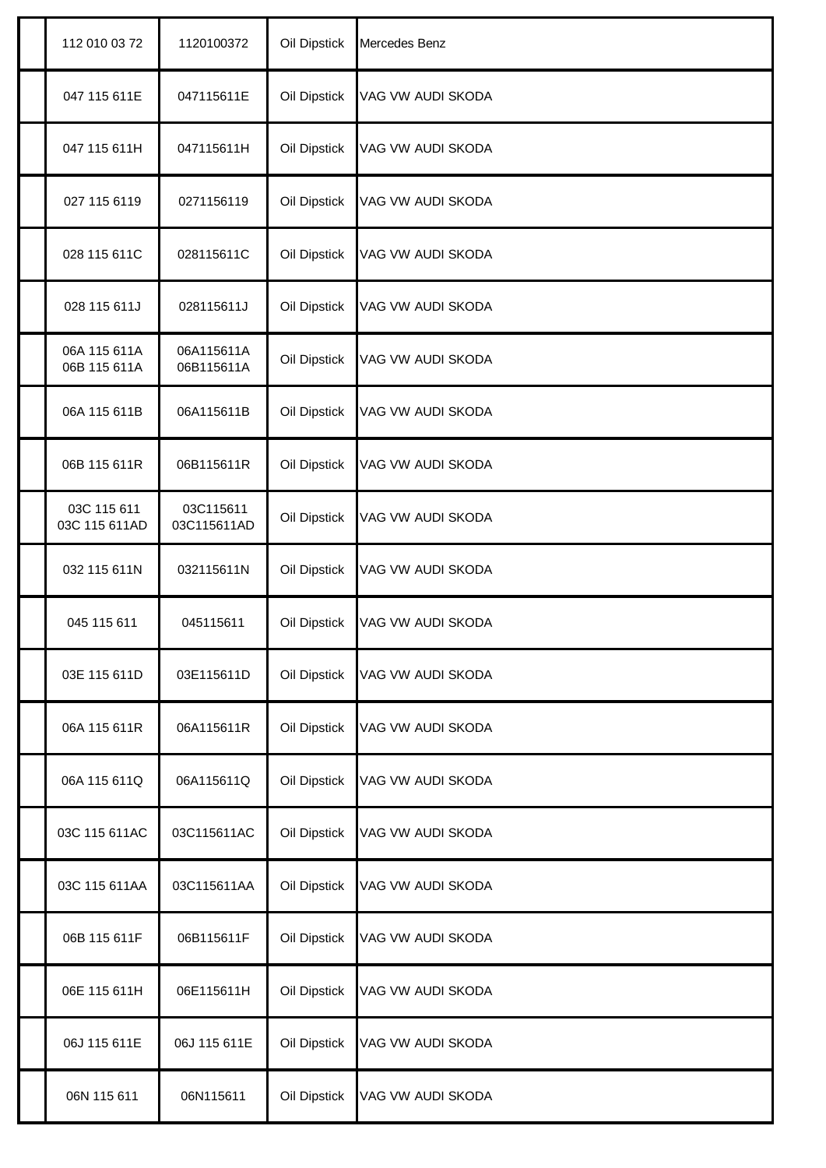| 112 010 03 72                | 1120100372               | Oil Dipstick | Mercedes Benz     |
|------------------------------|--------------------------|--------------|-------------------|
| 047 115 611E                 | 047115611E               | Oil Dipstick | VAG VW AUDI SKODA |
| 047 115 611H                 | 047115611H               | Oil Dipstick | VAG VW AUDI SKODA |
| 027 115 6119                 | 0271156119               | Oil Dipstick | VAG VW AUDI SKODA |
| 028 115 611C                 | 028115611C               | Oil Dipstick | VAG VW AUDI SKODA |
| 028 115 611J                 | 028115611J               | Oil Dipstick | VAG VW AUDI SKODA |
| 06A 115 611A<br>06B 115 611A | 06A115611A<br>06B115611A | Oil Dipstick | VAG VW AUDI SKODA |
| 06A 115 611B                 | 06A115611B               | Oil Dipstick | VAG VW AUDI SKODA |
| 06B 115 611R                 | 06B115611R               | Oil Dipstick | VAG VW AUDI SKODA |
| 03C 115 611<br>03C 115 611AD | 03C115611<br>03C115611AD | Oil Dipstick | VAG VW AUDI SKODA |
| 032 115 611N                 | 032115611N               | Oil Dipstick | VAG VW AUDI SKODA |
| 045 115 611                  | 045115611                | Oil Dipstick | VAG VW AUDI SKODA |
| 03E 115 611D                 | 03E115611D               | Oil Dipstick | VAG VW AUDI SKODA |
| 06A 115 611R                 | 06A115611R               | Oil Dipstick | VAG VW AUDI SKODA |
| 06A 115 611Q                 | 06A115611Q               | Oil Dipstick | VAG VW AUDI SKODA |
| 03C 115 611AC                | 03C115611AC              | Oil Dipstick | VAG VW AUDI SKODA |
| 03C 115 611AA                | 03C115611AA              | Oil Dipstick | VAG VW AUDI SKODA |
| 06B 115 611F                 | 06B115611F               | Oil Dipstick | VAG VW AUDI SKODA |
| 06E 115 611H                 | 06E115611H               | Oil Dipstick | VAG VW AUDI SKODA |
| 06J 115 611E                 | 06J 115 611E             | Oil Dipstick | VAG VW AUDI SKODA |
| 06N 115 611                  | 06N115611                | Oil Dipstick | VAG VW AUDI SKODA |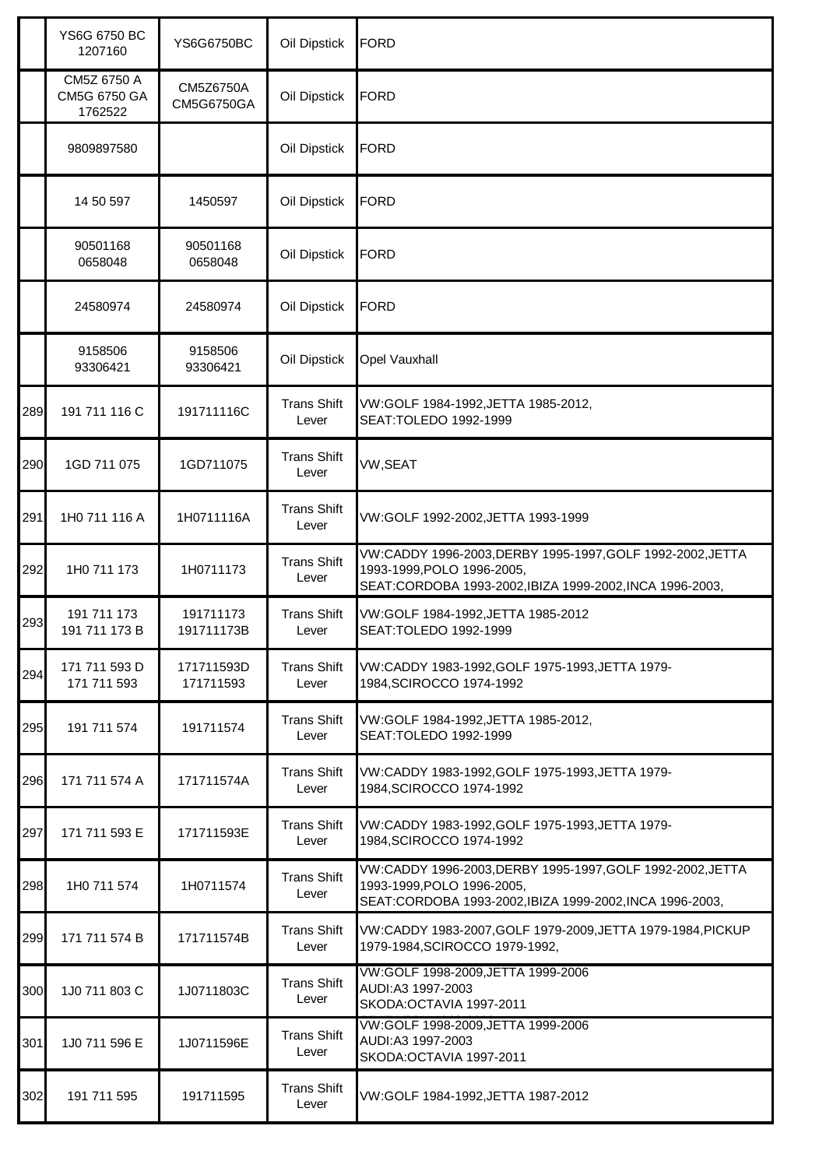|     | YS6G 6750 BC<br>1207160                | <b>YS6G6750BC</b>       | Oil Dipstick                | <b>FORD</b>                                                                                                                                          |
|-----|----------------------------------------|-------------------------|-----------------------------|------------------------------------------------------------------------------------------------------------------------------------------------------|
|     | CM5Z 6750 A<br>CM5G 6750 GA<br>1762522 | CM5Z6750A<br>CM5G6750GA | Oil Dipstick                | <b>FORD</b>                                                                                                                                          |
|     | 9809897580                             |                         | Oil Dipstick                | <b>FORD</b>                                                                                                                                          |
|     | 14 50 597                              | 1450597                 | Oil Dipstick                | <b>FORD</b>                                                                                                                                          |
|     | 90501168<br>0658048                    | 90501168<br>0658048     | Oil Dipstick                | <b>FORD</b>                                                                                                                                          |
|     | 24580974                               | 24580974                | Oil Dipstick                | <b>FORD</b>                                                                                                                                          |
|     | 9158506<br>93306421                    | 9158506<br>93306421     | Oil Dipstick                | Opel Vauxhall                                                                                                                                        |
| 289 | 191 711 116 C                          | 191711116C              | <b>Trans Shift</b><br>Lever | VW:GOLF 1984-1992, JETTA 1985-2012,<br>SEAT: TOLEDO 1992-1999                                                                                        |
| 290 | 1GD 711 075                            | 1GD711075               | <b>Trans Shift</b><br>Lever | VW,SEAT                                                                                                                                              |
| 291 | 1H0 711 116 A                          | 1H0711116A              | <b>Trans Shift</b><br>Lever | VW:GOLF 1992-2002, JETTA 1993-1999                                                                                                                   |
| 292 | 1H0 711 173                            | 1H0711173               | <b>Trans Shift</b><br>Lever | VW:CADDY 1996-2003,DERBY 1995-1997,GOLF 1992-2002,JETTA<br>1993-1999, POLO 1996-2005,<br>SEAT:CORDOBA 1993-2002, IBIZA 1999-2002, INCA 1996-2003,    |
| 293 | 191 711 173<br>191 711 173 B           | 191711173<br>191711173B | <b>Trans Shift</b><br>Lever | VW:GOLF 1984-1992, JETTA 1985-2012<br>SEAT: TOLEDO 1992-1999                                                                                         |
| 294 | 171 711 593 D<br>171 711 593           | 171711593D<br>171711593 | <b>Trans Shift</b><br>Lever | VW:CADDY 1983-1992, GOLF 1975-1993, JETTA 1979-<br>1984, SCIROCCO 1974-1992                                                                          |
| 295 | 191 711 574                            | 191711574               | <b>Trans Shift</b><br>Lever | VW:GOLF 1984-1992, JETTA 1985-2012,<br>SEAT: TOLEDO 1992-1999                                                                                        |
| 296 | 171 711 574 A                          | 171711574A              | <b>Trans Shift</b><br>Lever | VW:CADDY 1983-1992, GOLF 1975-1993, JETTA 1979-<br>1984, SCIROCCO 1974-1992                                                                          |
| 297 | 171 711 593 E                          | 171711593E              | <b>Trans Shift</b><br>Lever | VW:CADDY 1983-1992, GOLF 1975-1993, JETTA 1979-<br>1984, SCIROCCO 1974-1992                                                                          |
| 298 | 1H0 711 574                            | 1H0711574               | <b>Trans Shift</b><br>Lever | VW:CADDY 1996-2003, DERBY 1995-1997, GOLF 1992-2002, JETTA<br>1993-1999, POLO 1996-2005,<br>SEAT:CORDOBA 1993-2002, IBIZA 1999-2002, INCA 1996-2003, |
| 299 | 171 711 574 B                          | 171711574B              | <b>Trans Shift</b><br>Lever | VW:CADDY 1983-2007, GOLF 1979-2009, JETTA 1979-1984, PICKUP<br>1979-1984, SCIROCCO 1979-1992,                                                        |
| 300 | 1J0 711 803 C                          | 1J0711803C              | <b>Trans Shift</b><br>Lever | VW:GOLF 1998-2009, JETTA 1999-2006<br>AUDI:A3 1997-2003<br>SKODA: OCTAVIA 1997-2011                                                                  |
| 301 | 1J0 711 596 E                          | 1J0711596E              | <b>Trans Shift</b><br>Lever | VW:GOLF 1998-2009, JETTA 1999-2006<br>AUDI:A3 1997-2003<br>SKODA: OCTAVIA 1997-2011                                                                  |
| 302 | 191 711 595                            | 191711595               | <b>Trans Shift</b><br>Lever | VW:GOLF 1984-1992,JETTA 1987-2012                                                                                                                    |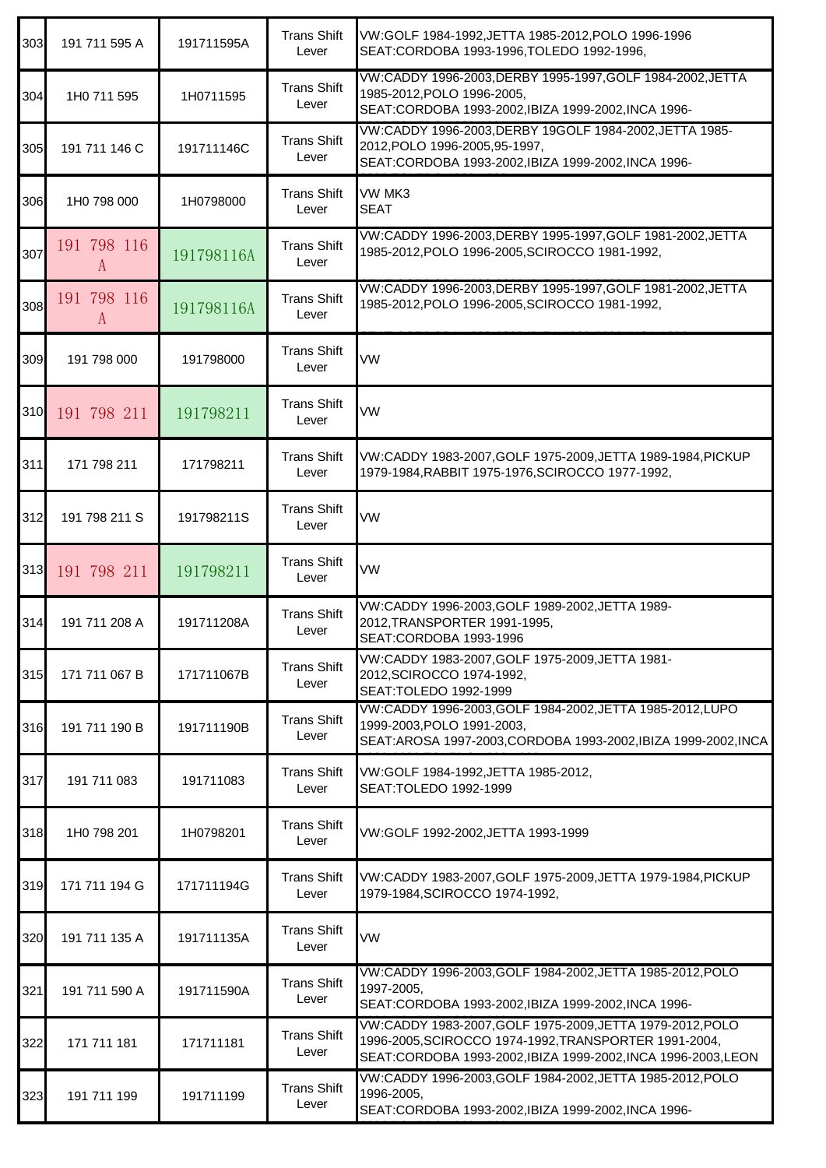| 303 | 191 711 595 A    | 191711595A | <b>Trans Shift</b><br>Lever | VW:GOLF 1984-1992, JETTA 1985-2012, POLO 1996-1996<br>SEAT: CORDOBA 1993-1996, TOLEDO 1992-1996,                                                                                    |
|-----|------------------|------------|-----------------------------|-------------------------------------------------------------------------------------------------------------------------------------------------------------------------------------|
| 304 | 1H0 711 595      | 1H0711595  | <b>Trans Shift</b><br>Lever | VW:CADDY 1996-2003, DERBY 1995-1997, GOLF 1984-2002, JETTA<br>1985-2012, POLO 1996-2005,<br>SEAT:CORDOBA 1993-2002, IBIZA 1999-2002, INCA 1996-                                     |
| 305 | 191 711 146 C    | 191711146C | <b>Trans Shift</b><br>Lever | VW:CADDY 1996-2003, DERBY 19GOLF 1984-2002, JETTA 1985-<br>2012, POLO 1996-2005, 95-1997,<br>SEAT:CORDOBA 1993-2002, IBIZA 1999-2002, INCA 1996-                                    |
| 306 | 1H0 798 000      | 1H0798000  | <b>Trans Shift</b><br>Lever | VW MK3<br><b>SEAT</b>                                                                                                                                                               |
| 307 | 191 798 116<br>A | 191798116A | <b>Trans Shift</b><br>Lever | VW:CADDY 1996-2003, DERBY 1995-1997, GOLF 1981-2002, JETTA<br>1985-2012, POLO 1996-2005, SCIROCCO 1981-1992,                                                                        |
| 308 | 191 798 116<br>A | 191798116A | <b>Trans Shift</b><br>Lever | VW:CADDY 1996-2003, DERBY 1995-1997, GOLF 1981-2002, JETTA<br>1985-2012, POLO 1996-2005, SCIROCCO 1981-1992,                                                                        |
| 309 | 191 798 000      | 191798000  | <b>Trans Shift</b><br>Lever | VW                                                                                                                                                                                  |
| 310 | 191 798 211      | 191798211  | <b>Trans Shift</b><br>Lever | VW                                                                                                                                                                                  |
| 311 | 171 798 211      | 171798211  | <b>Trans Shift</b><br>Lever | VW:CADDY 1983-2007, GOLF 1975-2009, JETTA 1989-1984, PICKUP<br>1979-1984, RABBIT 1975-1976, SCIROCCO 1977-1992,                                                                     |
| 312 | 191 798 211 S    | 191798211S | <b>Trans Shift</b><br>Lever | VW                                                                                                                                                                                  |
| 313 | 191 798 211      | 191798211  | <b>Trans Shift</b><br>Lever | VW                                                                                                                                                                                  |
| 314 | 191 711 208 A    | 191711208A | <b>Trans Shift</b><br>Lever | VW:CADDY 1996-2003, GOLF 1989-2002, JETTA 1989-<br>2012, TRANSPORTER 1991-1995,<br>SEAT:CORDOBA 1993-1996                                                                           |
| 315 | 171 711 067 B    | 171711067B | <b>Trans Shift</b><br>Lever | VW:CADDY 1983-2007, GOLF 1975-2009, JETTA 1981-<br>2012, SCIROCCO 1974-1992,<br>SEAT: TOLEDO 1992-1999                                                                              |
| 316 | 191 711 190 B    | 191711190B | <b>Trans Shift</b><br>Lever | VW:CADDY 1996-2003, GOLF 1984-2002, JETTA 1985-2012, LUPO<br>1999-2003, POLO 1991-2003,<br>SEAT: AROSA 1997-2003, CORDOBA 1993-2002, IBIZA 1999-2002, INCA                          |
| 317 | 191 711 083      | 191711083  | <b>Trans Shift</b><br>Lever | VW:GOLF 1984-1992, JETTA 1985-2012,<br>SEAT:TOLEDO 1992-1999                                                                                                                        |
| 318 | 1H0 798 201      | 1H0798201  | <b>Trans Shift</b><br>Lever | VW:GOLF 1992-2002,JETTA 1993-1999                                                                                                                                                   |
| 319 | 171 711 194 G    | 171711194G | <b>Trans Shift</b><br>Lever | VW:CADDY 1983-2007, GOLF 1975-2009, JETTA 1979-1984, PICKUP<br>1979-1984, SCIROCCO 1974-1992,                                                                                       |
| 320 | 191 711 135 A    | 191711135A | <b>Trans Shift</b><br>Lever | VW                                                                                                                                                                                  |
| 321 | 191 711 590 A    | 191711590A | <b>Trans Shift</b><br>Lever | VW:CADDY 1996-2003, GOLF 1984-2002, JETTA 1985-2012, POLO<br>1997-2005,<br>SEAT:CORDOBA 1993-2002, IBIZA 1999-2002, INCA 1996-                                                      |
| 322 | 171 711 181      | 171711181  | <b>Trans Shift</b><br>Lever | VW:CADDY 1983-2007, GOLF 1975-2009, JETTA 1979-2012, POLO<br>1996-2005, SCIROCCO 1974-1992, TRANSPORTER 1991-2004,<br>SEAT:CORDOBA 1993-2002, IBIZA 1999-2002, INCA 1996-2003, LEON |
| 323 | 191 711 199      | 191711199  | <b>Trans Shift</b><br>Lever | VW:CADDY 1996-2003, GOLF 1984-2002, JETTA 1985-2012, POLO<br>1996-2005,<br>SEAT:CORDOBA 1993-2002, IBIZA 1999-2002, INCA 1996-                                                      |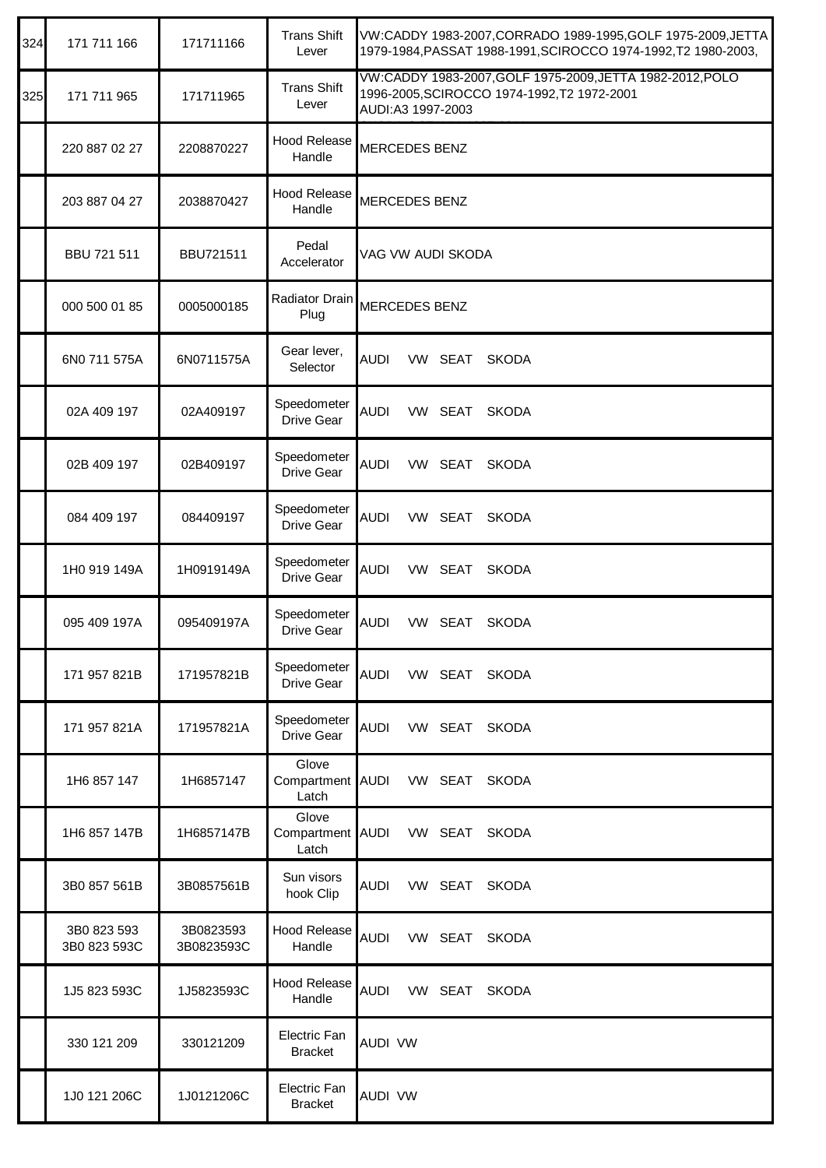| 324 | 171 711 166                 | 171711166               | <b>Trans Shift</b><br>Lever        | VW:CADDY 1983-2007, CORRADO 1989-1995, GOLF 1975-2009, JETTA<br>1979-1984, PASSAT 1988-1991, SCIROCCO 1974-1992, T2 1980-2003, |
|-----|-----------------------------|-------------------------|------------------------------------|--------------------------------------------------------------------------------------------------------------------------------|
| 325 | 171 711 965                 | 171711965               | <b>Trans Shift</b><br>Lever        | VW:CADDY 1983-2007, GOLF 1975-2009, JETTA 1982-2012, POLO<br>1996-2005, SCIROCCO 1974-1992, T2 1972-2001<br>AUDI:A3 1997-2003  |
|     | 220 887 02 27               | 2208870227              | <b>Hood Release</b><br>Handle      | <b>MERCEDES BENZ</b>                                                                                                           |
|     | 203 887 04 27               | 2038870427              | <b>Hood Release</b><br>Handle      | <b>MERCEDES BENZ</b>                                                                                                           |
|     | BBU 721 511                 | BBU721511               | Pedal<br>Accelerator               | VAG VW AUDI SKODA                                                                                                              |
|     | 000 500 01 85               | 0005000185              | Radiator Drain<br>Plug             | <b>MERCEDES BENZ</b>                                                                                                           |
|     | 6N0 711 575A                | 6N0711575A              | Gear lever,<br>Selector            | <b>AUDI</b><br>VW SEAT<br><b>SKODA</b>                                                                                         |
|     | 02A 409 197                 | 02A409197               | Speedometer<br>Drive Gear          | <b>AUDI</b><br>VW SEAT<br><b>SKODA</b>                                                                                         |
|     | 02B 409 197                 | 02B409197               | Speedometer<br>Drive Gear          | <b>AUDI</b><br>VW SEAT<br><b>SKODA</b>                                                                                         |
|     | 084 409 197                 | 084409197               | Speedometer<br>Drive Gear          | <b>AUDI</b><br>VW SEAT<br><b>SKODA</b>                                                                                         |
|     | 1H0 919 149A                | 1H0919149A              | Speedometer<br>Drive Gear          | AUDI<br>VW SEAT<br><b>SKODA</b>                                                                                                |
|     | 095 409 197A                | 095409197A              | Speedometer<br>Drive Gear          | <b>AUDI</b><br>VW SEAT<br><b>SKODA</b>                                                                                         |
|     | 171 957 821B                | 171957821B              | Speedometer<br>Drive Gear          | <b>AUDI</b><br>VW SEAT SKODA                                                                                                   |
|     | 171 957 821A                | 171957821A              | Speedometer<br>Drive Gear          | <b>AUDI</b><br>VW SEAT<br><b>SKODA</b>                                                                                         |
|     | 1H6 857 147                 | 1H6857147               | Glove<br>Compartment AUDI<br>Latch | VW SEAT<br><b>SKODA</b>                                                                                                        |
|     | 1H6 857 147B                | 1H6857147B              | Glove<br>Compartment AUDI<br>Latch | VW SEAT<br><b>SKODA</b>                                                                                                        |
|     | 3B0 857 561B                | 3B0857561B              | Sun visors<br>hook Clip            | VW SEAT SKODA<br>AUDI                                                                                                          |
|     | 3B0 823 593<br>3B0 823 593C | 3B0823593<br>3B0823593C | <b>Hood Release</b><br>Handle      | <b>AUDI</b><br>VW SEAT<br><b>SKODA</b>                                                                                         |
|     | 1J5 823 593C                | 1J5823593C              | <b>Hood Release</b><br>Handle      | <b>AUDI</b><br>VW SEAT<br><b>SKODA</b>                                                                                         |
|     | 330 121 209                 | 330121209               | Electric Fan<br><b>Bracket</b>     | <b>AUDI VW</b>                                                                                                                 |
|     | 1J0 121 206C                | 1J0121206C              | Electric Fan<br><b>Bracket</b>     | <b>AUDI VW</b>                                                                                                                 |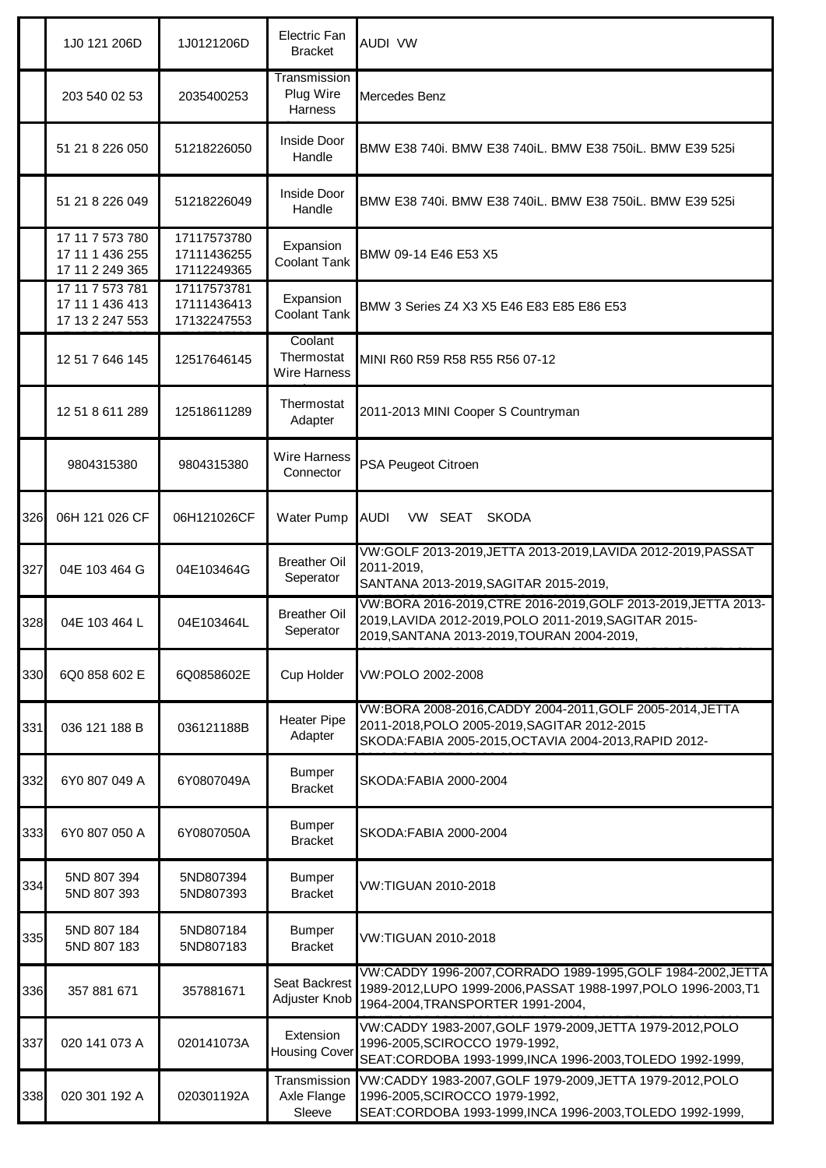|     | 1J0 121 206D                                          | 1J0121206D                                | Electric Fan<br><b>Bracket</b>               | AUDI VW                                                                                                                                                               |
|-----|-------------------------------------------------------|-------------------------------------------|----------------------------------------------|-----------------------------------------------------------------------------------------------------------------------------------------------------------------------|
|     | 203 540 02 53                                         | 2035400253                                | Transmission<br>Plug Wire<br>Harness         | Mercedes Benz                                                                                                                                                         |
|     | 51 21 8 226 050                                       | 51218226050                               | Inside Door<br>Handle                        | BMW E38 740i. BMW E38 740iL. BMW E38 750iL. BMW E39 525i                                                                                                              |
|     | 51 21 8 226 049                                       | 51218226049                               | Inside Door<br>Handle                        | BMW E38 740i. BMW E38 740iL. BMW E38 750iL. BMW E39 525i                                                                                                              |
|     | 17 11 7 573 780<br>17 11 1 436 255<br>17 11 2 249 365 | 17117573780<br>17111436255<br>17112249365 | Expansion<br><b>Coolant Tank</b>             | BMW 09-14 E46 E53 X5                                                                                                                                                  |
|     | 17 11 7 573 781<br>17 11 1 436 413<br>17 13 2 247 553 | 17117573781<br>17111436413<br>17132247553 | Expansion<br><b>Coolant Tank</b>             | BMW 3 Series Z4 X3 X5 E46 E83 E85 E86 E53                                                                                                                             |
|     | 12 51 7 646 145                                       | 12517646145                               | Coolant<br>Thermostat<br><b>Wire Harness</b> | MINI R60 R59 R58 R55 R56 07-12                                                                                                                                        |
|     | 12 51 8 611 289                                       | 12518611289                               | Thermostat<br>Adapter                        | 2011-2013 MINI Cooper S Countryman                                                                                                                                    |
|     | 9804315380                                            | 9804315380                                | <b>Wire Harness</b><br>Connector             | PSA Peugeot Citroen                                                                                                                                                   |
| 326 | 06H 121 026 CF                                        | 06H121026CF                               | Water Pump                                   | <b>AUDI</b><br>VW SEAT<br><b>SKODA</b>                                                                                                                                |
| 327 | 04E 103 464 G                                         | 04E103464G                                | <b>Breather Oil</b><br>Seperator             | VW:GOLF 2013-2019, JETTA 2013-2019, LAVIDA 2012-2019, PASSAT<br>2011-2019,<br>SANTANA 2013-2019, SAGITAR 2015-2019,                                                   |
| 328 | 04E 103 464 L                                         | 04E103464L                                | <b>Breather Oil</b><br>Seperator             | VW:BORA 2016-2019, CTRE 2016-2019, GOLF 2013-2019, JETTA 2013-<br>2019, LAVIDA 2012-2019, POLO 2011-2019, SAGITAR 2015-<br>2019, SANTANA 2013-2019, TOURAN 2004-2019, |
| 330 | 6Q0 858 602 E                                         | 6Q0858602E                                | Cup Holder                                   | VW:POLO 2002-2008                                                                                                                                                     |
| 331 | 036 121 188 B                                         | 036121188B                                | <b>Heater Pipe</b><br>Adapter                | VW:BORA 2008-2016, CADDY 2004-2011, GOLF 2005-2014, JETTA<br>2011-2018, POLO 2005-2019, SAGITAR 2012-2015<br>SKODA:FABIA 2005-2015, OCTAVIA 2004-2013, RAPID 2012-    |
| 332 | 6Y0 807 049 A                                         | 6Y0807049A                                | <b>Bumper</b><br><b>Bracket</b>              | SKODA: FABIA 2000-2004                                                                                                                                                |
| 333 | 6Y0 807 050 A                                         | 6Y0807050A                                | <b>Bumper</b><br><b>Bracket</b>              | SKODA: FABIA 2000-2004                                                                                                                                                |
| 334 | 5ND 807 394<br>5ND 807 393                            | 5ND807394<br>5ND807393                    | <b>Bumper</b><br><b>Bracket</b>              | VW:TIGUAN 2010-2018                                                                                                                                                   |
| 335 | 5ND 807 184<br>5ND 807 183                            | 5ND807184<br>5ND807183                    | <b>Bumper</b><br><b>Bracket</b>              | VW:TIGUAN 2010-2018                                                                                                                                                   |
| 336 | 357 881 671                                           | 357881671                                 | Seat Backrest<br>Adjuster Knob               | VW:CADDY 1996-2007,CORRADO 1989-1995,GOLF 1984-2002,JETTA<br>1989-2012, LUPO 1999-2006, PASSAT 1988-1997, POLO 1996-2003, T1<br>1964-2004, TRANSPORTER 1991-2004,     |
| 337 | 020 141 073 A                                         | 020141073A                                | Extension<br><b>Housing Cover</b>            | VW:CADDY 1983-2007, GOLF 1979-2009, JETTA 1979-2012, POLO<br>1996-2005, SCIROCCO 1979-1992,<br>SEAT:CORDOBA 1993-1999,INCA 1996-2003,TOLEDO 1992-1999,                |
| 338 | 020 301 192 A                                         | 020301192A                                | Transmission<br>Axle Flange<br>Sleeve        | VW:CADDY 1983-2007, GOLF 1979-2009, JETTA 1979-2012, POLO<br>1996-2005, SCIROCCO 1979-1992,<br>SEAT:CORDOBA 1993-1999,INCA 1996-2003,TOLEDO 1992-1999,                |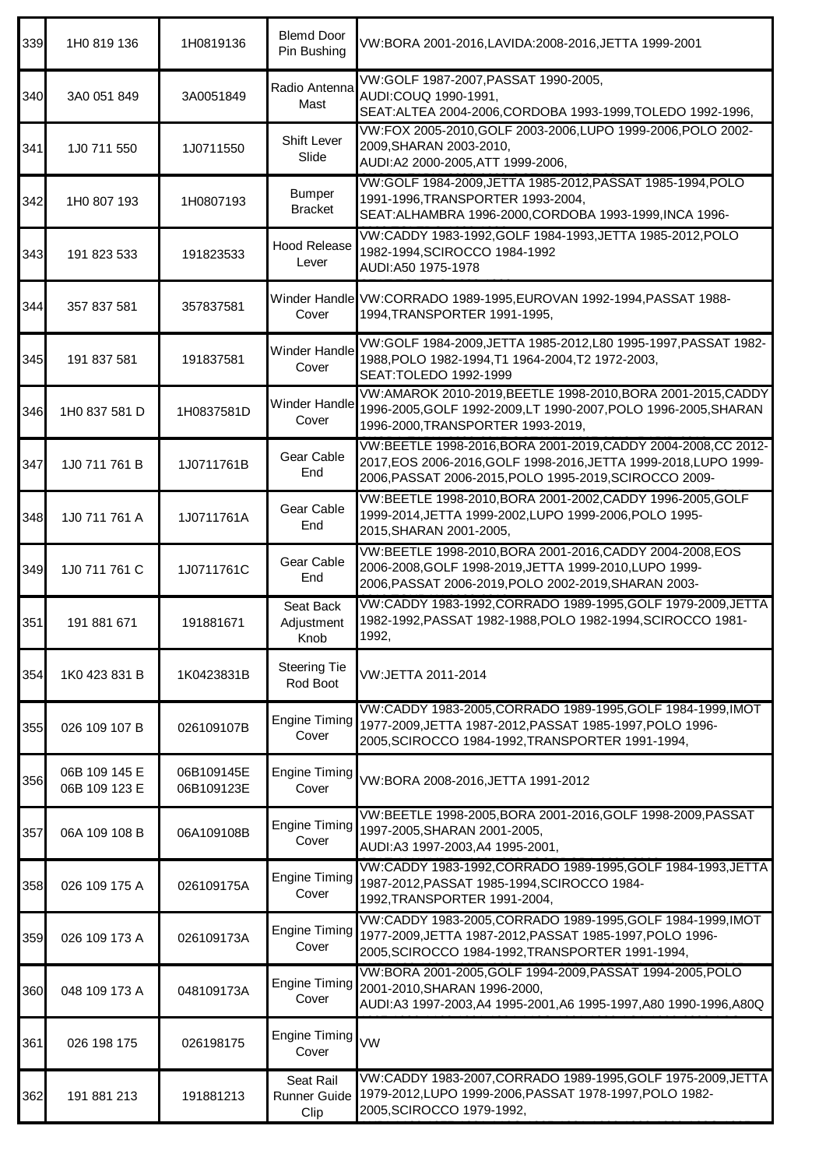| 339 | 1H0 819 136                    | 1H0819136                | <b>Blemd Door</b><br>Pin Bushing  | VW:BORA 2001-2016,LAVIDA:2008-2016,JETTA 1999-2001                                                                                                                                           |
|-----|--------------------------------|--------------------------|-----------------------------------|----------------------------------------------------------------------------------------------------------------------------------------------------------------------------------------------|
| 340 | 3A0 051 849                    | 3A0051849                | Radio Antenna<br>Mast             | VW:GOLF 1987-2007, PASSAT 1990-2005,<br>AUDI:COUQ 1990-1991,<br>SEAT: ALTEA 2004-2006, CORDOBA 1993-1999, TOLEDO 1992-1996,                                                                  |
| 341 | 1J0 711 550                    | 1J0711550                | <b>Shift Lever</b><br>Slide       | VW:FOX 2005-2010, GOLF 2003-2006, LUPO 1999-2006, POLO 2002-<br>2009, SHARAN 2003-2010,<br>AUDI:A2 2000-2005, ATT 1999-2006,                                                                 |
| 342 | 1H0 807 193                    | 1H0807193                | <b>Bumper</b><br><b>Bracket</b>   | VW:GOLF 1984-2009, JETTA 1985-2012, PASSAT 1985-1994, POLO<br>1991-1996, TRANSPORTER 1993-2004,<br>SEAT: ALHAMBRA 1996-2000, CORDOBA 1993-1999, INCA 1996-                                   |
| 343 | 191 823 533                    | 191823533                | <b>Hood Release</b><br>Lever      | VW:CADDY 1983-1992, GOLF 1984-1993, JETTA 1985-2012, POLO<br>1982-1994, SCIROCCO 1984-1992<br>AUDI:A50 1975-1978                                                                             |
| 344 | 357 837 581                    | 357837581                | Cover                             | Winder Handle VW:CORRADO 1989-1995, EUROVAN 1992-1994, PASSAT 1988-<br>1994, TRANSPORTER 1991-1995,                                                                                          |
| 345 | 191 837 581                    | 191837581                | <b>Winder Handle</b><br>Cover     | VW:GOLF 1984-2009, JETTA 1985-2012, L80 1995-1997, PASSAT 1982-<br>1988, POLO 1982-1994, T1 1964-2004, T2 1972-2003,<br>SEAT: TOLEDO 1992-1999                                               |
| 346 | 1H0 837 581 D                  | 1H0837581D               | Winder Handle<br>Cover            | VW:AMAROK 2010-2019, BEETLE 1998-2010, BORA 2001-2015, CADDY<br>1996-2005, GOLF 1992-2009, LT 1990-2007, POLO 1996-2005, SHARAN<br>1996-2000, TRANSPORTER 1993-2019,                         |
| 347 | 1J0 711 761 B                  | 1J0711761B               | Gear Cable<br>End                 | VW:BEETLE 1998-2016, BORA 2001-2019, CADDY 2004-2008, CC 2012-<br>2017, EOS 2006-2016, GOLF 1998-2016, JETTA 1999-2018, LUPO 1999-<br>2006, PASSAT 2006-2015, POLO 1995-2019, SCIROCCO 2009- |
| 348 | 1J0 711 761 A                  | 1J0711761A               | Gear Cable<br>End                 | VW:BEETLE 1998-2010, BORA 2001-2002, CADDY 1996-2005, GOLF<br>1999-2014, JETTA 1999-2002, LUPO 1999-2006, POLO 1995-<br>2015, SHARAN 2001-2005,                                              |
| 349 | 1J0 711 761 C                  | 1J0711761C               | Gear Cable<br>End                 | VW:BEETLE 1998-2010, BORA 2001-2016, CADDY 2004-2008, EOS<br>2006-2008, GOLF 1998-2019, JETTA 1999-2010, LUPO 1999-<br>2006, PASSAT 2006-2019, POLO 2002-2019, SHARAN 2003-                  |
| 351 | 191 881 671                    | 191881671                | Seat Back<br>Adjustment<br>Knob   | VW:CADDY 1983-1992, CORRADO 1989-1995, GOLF 1979-2009, JETTA<br>1982-1992, PASSAT 1982-1988, POLO 1982-1994, SCIROCCO 1981-<br>1992,                                                         |
| 354 | 1K0 423 831 B                  | 1K0423831B               | <b>Steering Tie</b><br>Rod Boot   | VW:JETTA 2011-2014                                                                                                                                                                           |
| 355 | 026 109 107 B                  | 026109107B               | <b>Engine Timing</b><br>Cover     | VW:CADDY 1983-2005, CORRADO 1989-1995, GOLF 1984-1999, IMOT<br>1977-2009, JETTA 1987-2012, PASSAT 1985-1997, POLO 1996-<br>2005, SCIROCCO 1984-1992, TRANSPORTER 1991-1994,                  |
| 356 | 06B 109 145 E<br>06B 109 123 E | 06B109145E<br>06B109123E | <b>Engine Timing</b><br>Cover     | VW:BORA 2008-2016, JETTA 1991-2012                                                                                                                                                           |
| 357 | 06A 109 108 B                  | 06A109108B               | <b>Engine Timing</b><br>Cover     | VW:BEETLE 1998-2005, BORA 2001-2016, GOLF 1998-2009, PASSAT<br>1997-2005, SHARAN 2001-2005,<br>AUDI:A3 1997-2003,A4 1995-2001,                                                               |
| 358 | 026 109 175 A                  | 026109175A               | <b>Engine Timing</b><br>Cover     | VW:CADDY 1983-1992, CORRADO 1989-1995, GOLF 1984-1993, JETTA<br>1987-2012, PASSAT 1985-1994, SCIROCCO 1984-<br>1992, TRANSPORTER 1991-2004,                                                  |
| 359 | 026 109 173 A                  | 026109173A               | <b>Engine Timing</b><br>Cover     | VW:CADDY 1983-2005, CORRADO 1989-1995, GOLF 1984-1999, IMOT<br>1977-2009, JETTA 1987-2012, PASSAT 1985-1997, POLO 1996-<br>2005, SCIROCCO 1984-1992, TRANSPORTER 1991-1994,                  |
| 360 | 048 109 173 A                  | 048109173A               | <b>Engine Timing</b><br>Cover     | VW:BORA 2001-2005, GOLF 1994-2009, PASSAT 1994-2005, POLO<br>2001-2010, SHARAN 1996-2000,<br>AUDI:A3 1997-2003,A4 1995-2001,A6 1995-1997,A80 1990-1996,A80Q                                  |
| 361 | 026 198 175                    | 026198175                | <b>Engine Timing</b><br>Cover     | <b>VW</b>                                                                                                                                                                                    |
| 362 | 191 881 213                    | 191881213                | Seat Rail<br>Runner Guide<br>Clip | VW:CADDY 1983-2007, CORRADO 1989-1995, GOLF 1975-2009, JETTA<br>1979-2012, LUPO 1999-2006, PASSAT 1978-1997, POLO 1982-<br>2005, SCIROCCO 1979-1992,                                         |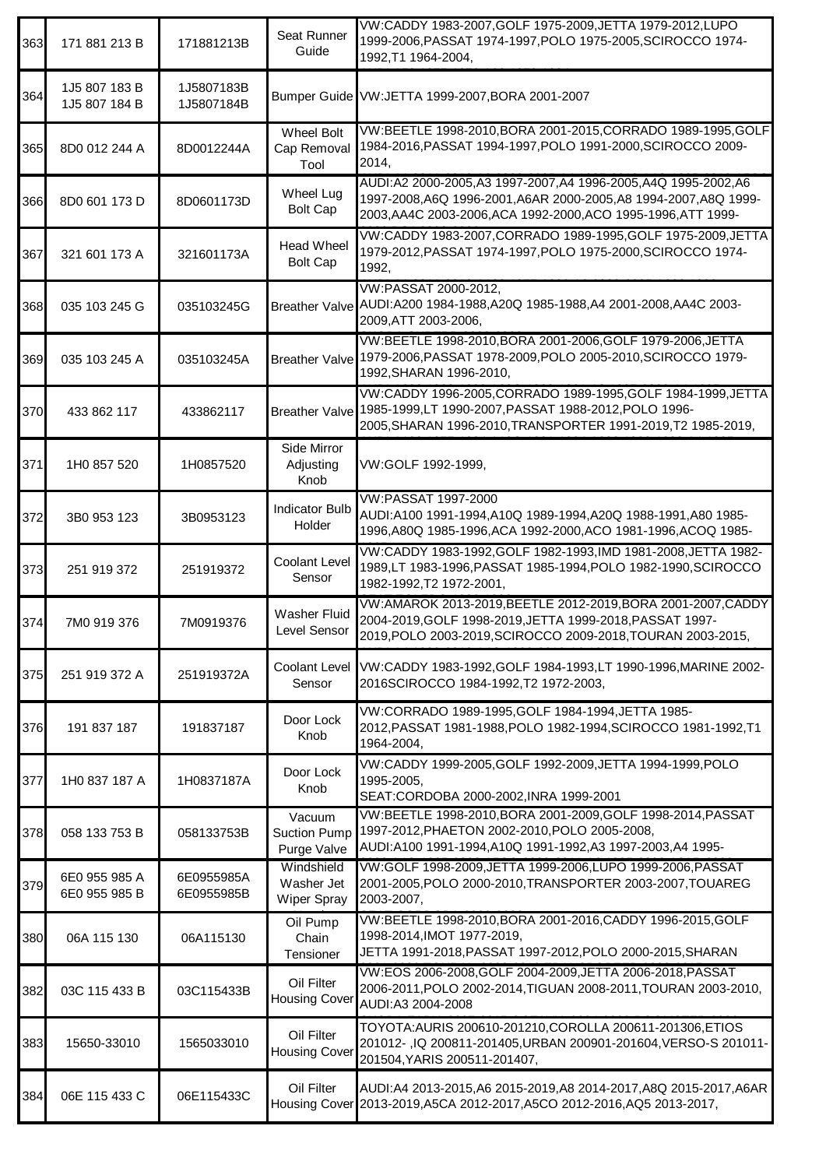| 363 | 171 881 213 B                  | 171881213B               | Seat Runner<br>Guide                         | VW:CADDY 1983-2007, GOLF 1975-2009, JETTA 1979-2012, LUPO<br>1999-2006, PASSAT 1974-1997, POLO 1975-2005, SCIROCCO 1974-<br>1992, T1 1964-2004,                                                    |
|-----|--------------------------------|--------------------------|----------------------------------------------|----------------------------------------------------------------------------------------------------------------------------------------------------------------------------------------------------|
| 364 | 1J5 807 183 B<br>1J5 807 184 B | 1J5807183B<br>1J5807184B |                                              | Bumper Guide VW:JETTA 1999-2007, BORA 2001-2007                                                                                                                                                    |
| 365 | 8D0 012 244 A                  | 8D0012244A               | <b>Wheel Bolt</b><br>Cap Removal<br>Tool     | VW:BEETLE 1998-2010, BORA 2001-2015, CORRADO 1989-1995, GOLF<br>1984-2016, PASSAT 1994-1997, POLO 1991-2000, SCIROCCO 2009-<br>2014,                                                               |
| 366 | 8D0 601 173 D                  | 8D0601173D               | Wheel Lug<br><b>Bolt Cap</b>                 | AUDI:A2 2000-2005,A3 1997-2007,A4 1996-2005,A4Q 1995-2002,A6<br>1997-2008, A6Q 1996-2001, A6AR 2000-2005, A8 1994-2007, A8Q 1999-<br>2003, AA4C 2003-2006, ACA 1992-2000, ACO 1995-1996, ATT 1999- |
| 367 | 321 601 173 A                  | 321601173A               | <b>Head Wheel</b><br><b>Bolt Cap</b>         | VW:CADDY 1983-2007, CORRADO 1989-1995, GOLF 1975-2009, JETTA<br>1979-2012, PASSAT 1974-1997, POLO 1975-2000, SCIROCCO 1974-<br>1992,                                                               |
| 368 | 035 103 245 G                  | 035103245G               |                                              | VW:PASSAT 2000-2012,<br>Breather Valve AUDI:A200 1984-1988,A20Q 1985-1988,A4 2001-2008,AA4C 2003-<br>2009, ATT 2003-2006,                                                                          |
| 369 | 035 103 245 A                  | 035103245A               |                                              | VW:BEETLE 1998-2010, BORA 2001-2006, GOLF 1979-2006, JETTA<br>Breather Valve 1979-2006, PASSAT 1978-2009, POLO 2005-2010, SCIROCCO 1979-<br>1992, SHARAN 1996-2010,                                |
| 370 | 433 862 117                    | 433862117                | <b>Breather Valve</b>                        | VW:CADDY 1996-2005, CORRADO 1989-1995, GOLF 1984-1999, JETTA<br>1985-1999,LT 1990-2007, PASSAT 1988-2012, POLO 1996-<br>2005, SHARAN 1996-2010, TRANSPORTER 1991-2019, T2 1985-2019,               |
| 371 | 1H0 857 520                    | 1H0857520                | Side Mirror<br>Adjusting<br>Knob             | VW:GOLF 1992-1999,                                                                                                                                                                                 |
| 372 | 3B0 953 123                    | 3B0953123                | <b>Indicator Bulb</b><br>Holder              | VW:PASSAT 1997-2000<br>AUDI:A100 1991-1994,A10Q 1989-1994,A20Q 1988-1991,A80 1985-<br>1996, A80Q 1985-1996, ACA 1992-2000, ACO 1981-1996, ACOQ 1985-                                               |
| 373 | 251 919 372                    | 251919372                | Coolant Level<br>Sensor                      | VW:CADDY 1983-1992, GOLF 1982-1993, IMD 1981-2008, JETTA 1982-<br>1989,LT 1983-1996, PASSAT 1985-1994, POLO 1982-1990, SCIROCCO<br>1982-1992, T2 1972-2001,                                        |
| 374 | 7M0 919 376                    | 7M0919376                | <b>Washer Fluid</b><br>Level Sensor          | VW:AMAROK 2013-2019, BEETLE 2012-2019, BORA 2001-2007, CADDY<br>2004-2019, GOLF 1998-2019, JETTA 1999-2018, PASSAT 1997-<br>2019.POLO 2003-2019.SCIROCCO 2009-2018,TOURAN 2003-2015,               |
| 375 | 251 919 372 A                  | 251919372A               | <b>Coolant Level</b><br>Sensor               | VW:CADDY 1983-1992, GOLF 1984-1993, LT 1990-1996, MARINE 2002-<br>2016SCIROCCO 1984-1992, T2 1972-2003,                                                                                            |
| 376 | 191 837 187                    | 191837187                | Door Lock<br>Knob                            | VW:CORRADO 1989-1995, GOLF 1984-1994, JETTA 1985-<br>2012, PASSAT 1981-1988, POLO 1982-1994, SCIROCCO 1981-1992, T1<br>1964-2004,                                                                  |
| 377 | 1H0 837 187 A                  | 1H0837187A               | Door Lock<br>Knob                            | VW:CADDY 1999-2005, GOLF 1992-2009, JETTA 1994-1999, POLO<br>1995-2005,<br>SEAT:CORDOBA 2000-2002, INRA 1999-2001                                                                                  |
| 378 | 058 133 753 B                  | 058133753B               | Vacuum<br><b>Suction Pump</b><br>Purge Valve | VW:BEETLE 1998-2010, BORA 2001-2009, GOLF 1998-2014, PASSAT<br>1997-2012, PHAETON 2002-2010, POLO 2005-2008,<br>AUDI:A100 1991-1994,A10Q 1991-1992,A3 1997-2003,A4 1995-                           |
| 379 | 6E0 955 985 A<br>6E0 955 985 B | 6E0955985A<br>6E0955985B | Windshield<br>Washer Jet<br>Wiper Spray      | VW:GOLF 1998-2009, JETTA 1999-2006, LUPO 1999-2006, PASSAT<br>2001-2005, POLO 2000-2010, TRANSPORTER 2003-2007, TOUAREG<br>2003-2007,                                                              |
| 380 | 06A 115 130                    | 06A115130                | Oil Pump<br>Chain<br>Tensioner               | VW:BEETLE 1998-2010, BORA 2001-2016, CADDY 1996-2015, GOLF<br>1998-2014, IMOT 1977-2019,<br>JETTA 1991-2018, PASSAT 1997-2012, POLO 2000-2015, SHARAN                                              |
| 382 | 03C 115 433 B                  | 03C115433B               | Oil Filter<br><b>Housing Cover</b>           | VW:EOS 2006-2008, GOLF 2004-2009, JETTA 2006-2018, PASSAT<br>2006-2011, POLO 2002-2014, TIGUAN 2008-2011, TOURAN 2003-2010,<br>AUDI:A3 2004-2008                                                   |
| 383 | 15650-33010                    | 1565033010               | Oil Filter<br><b>Housing Cover</b>           | TOYOTA:AURIS 200610-201210,COROLLA 200611-201306,ETIOS<br>201012-, IQ 200811-201405, URBAN 200901-201604, VERSO-S 201011-<br>201504, YARIS 200511-201407,                                          |
| 384 | 06E 115 433 C                  | 06E115433C               | Oil Filter                                   | AUDI:A4 2013-2015, A6 2015-2019, A8 2014-2017, A8Q 2015-2017, A6AR<br>Housing Cover 2013-2019, A5CA 2012-2017, A5CO 2012-2016, AQ5 2013-2017,                                                      |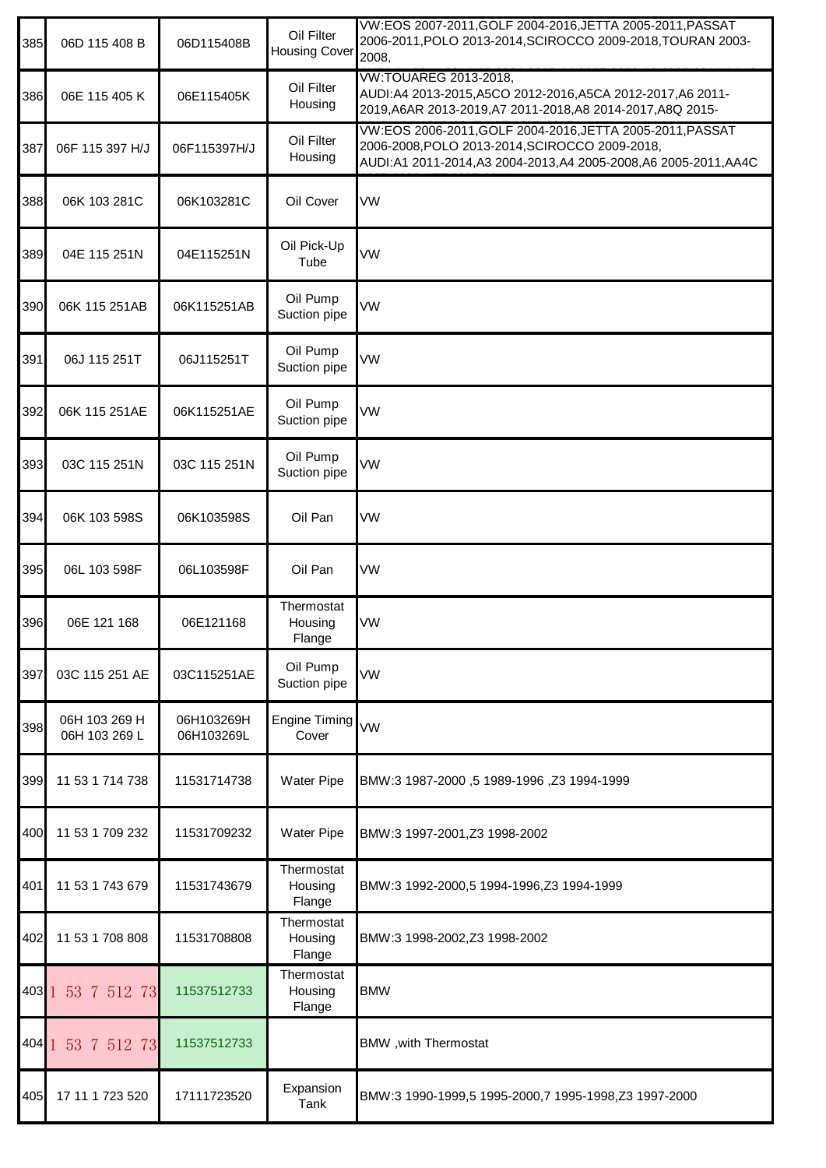| 385         | 06D 115 408 B                  | 06D115408B               | Oil Filter<br><b>Housing Cover</b> | VW:EOS 2007-2011, GOLF 2004-2016, JETTA 2005-2011, PASSAT<br>2006-2011, POLO 2013-2014, SCIROCCO 2009-2018, TOURAN 2003-<br>2008,                                            |
|-------------|--------------------------------|--------------------------|------------------------------------|------------------------------------------------------------------------------------------------------------------------------------------------------------------------------|
| 386         | 06E 115 405 K                  | 06E115405K               | Oil Filter<br>Housing              | <b>VW:TOUAREG 2013-2018,</b><br>AUDI:A4 2013-2015, A5CO 2012-2016, A5CA 2012-2017, A6 2011-<br>2019, A6AR 2013-2019, A7 2011-2018, A8 2014-2017, A8Q 2015-                   |
| 387         | 06F 115 397 H/J                | 06F115397H/J             | Oil Filter<br>Housing              | VW:EOS 2006-2011, GOLF 2004-2016, JETTA 2005-2011, PASSAT<br>2006-2008, POLO 2013-2014, SCIROCCO 2009-2018,<br>AUDI:A1 2011-2014,A3 2004-2013,A4 2005-2008,A6 2005-2011,AA4C |
| 388         | 06K 103 281C                   | 06K103281C               | Oil Cover                          | VW                                                                                                                                                                           |
| 389         | 04E 115 251N                   | 04E115251N               | Oil Pick-Up<br>Tube                | VW                                                                                                                                                                           |
| 390         | 06K 115 251AB                  | 06K115251AB              | Oil Pump<br>Suction pipe           | VW                                                                                                                                                                           |
| 391         | 06J 115 251T                   | 06J115251T               | Oil Pump<br>Suction pipe           | VW                                                                                                                                                                           |
| 392         | 06K 115 251AE                  | 06K115251AE              | Oil Pump<br>Suction pipe           | VW                                                                                                                                                                           |
| 393         | 03C 115 251N                   | 03C 115 251N             | Oil Pump<br>Suction pipe           | VW                                                                                                                                                                           |
| 394         | 06K 103 598S                   | 06K103598S               | Oil Pan                            | VW                                                                                                                                                                           |
| 395         | 06L 103 598F                   | 06L103598F               | Oil Pan                            | VW                                                                                                                                                                           |
| 396         | 06E 121 168                    | 06E121168                | Thermostat<br>Housing<br>Flange    | VW                                                                                                                                                                           |
| 397         | 03C 115 251 AE                 | 03C115251AE              | Oil Pump<br>Suction pipe           | VW                                                                                                                                                                           |
| 398         | 06H 103 269 H<br>06H 103 269 L | 06H103269H<br>06H103269L | <b>Engine Timing</b><br>Cover      | <b>VW</b>                                                                                                                                                                    |
| 399         | 11 53 1 714 738                | 11531714738              | <b>Water Pipe</b>                  | BMW:3 1987-2000, 5 1989-1996, Z3 1994-1999                                                                                                                                   |
| 400         | 11 53 1 709 232                | 11531709232              | Water Pipe                         | BMW:3 1997-2001, Z3 1998-2002                                                                                                                                                |
| 401         | 11 53 1 743 679                | 11531743679              | Thermostat<br>Housing<br>Flange    | BMW:3 1992-2000,5 1994-1996,Z3 1994-1999                                                                                                                                     |
| 402         | 11 53 1 708 808                | 11531708808              | Thermostat<br>Housing<br>Flange    | BMW:3 1998-2002, Z3 1998-2002                                                                                                                                                |
| $403$   $1$ | 53 7 512 73                    | 11537512733              | Thermostat<br>Housing<br>Flange    | <b>BMW</b>                                                                                                                                                                   |
|             | 404 1 53 7 512 73              | 11537512733              |                                    | BMW, with Thermostat                                                                                                                                                         |
| 405         | 17 11 1 723 520                | 17111723520              | Expansion<br>Tank                  | BMW:3 1990-1999,5 1995-2000,7 1995-1998,Z3 1997-2000                                                                                                                         |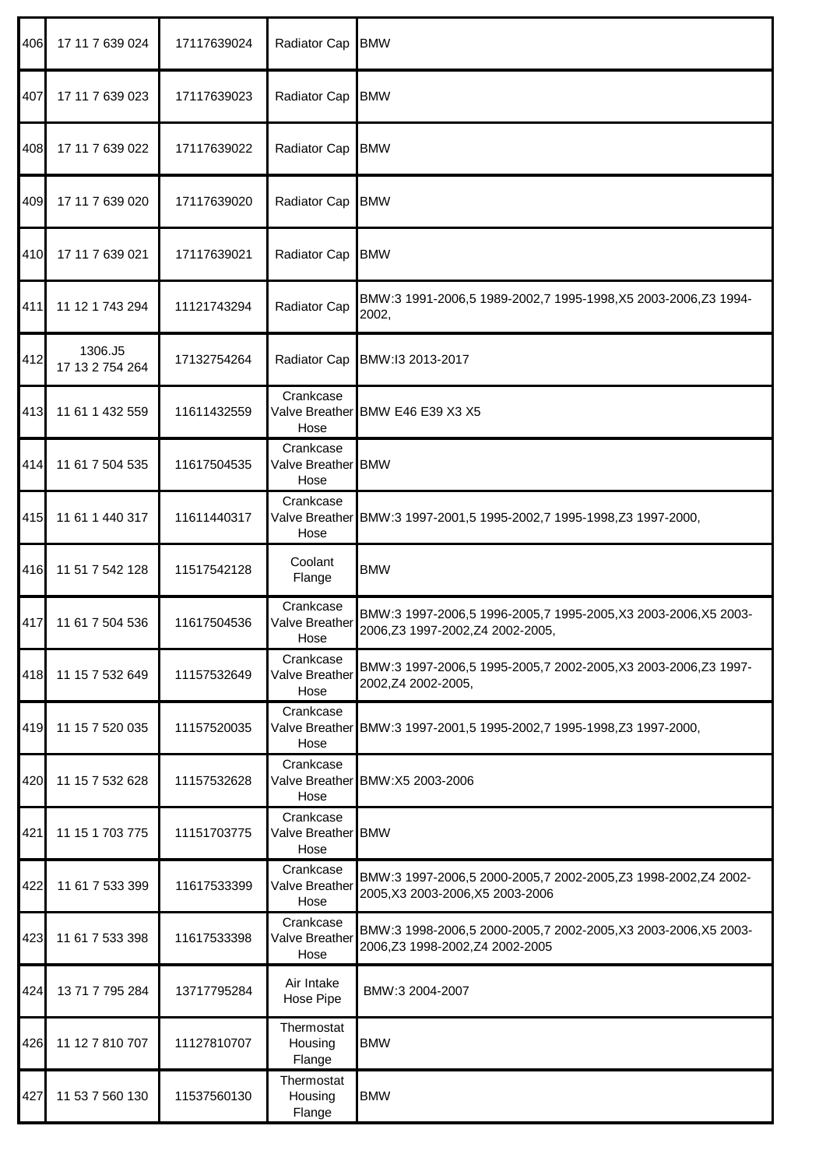| 406 | 17 11 7 639 024            | 17117639024 | Radiator Cap                            | <b>BMW</b>                                                                                        |
|-----|----------------------------|-------------|-----------------------------------------|---------------------------------------------------------------------------------------------------|
| 407 | 17 11 7 639 023            | 17117639023 | Radiator Cap                            | <b>BMW</b>                                                                                        |
| 408 | 17 11 7 639 022            | 17117639022 | Radiator Cap BMW                        |                                                                                                   |
| 409 | 17 11 7 639 020            | 17117639020 | Radiator Cap                            | <b>BMW</b>                                                                                        |
| 410 | 17 11 7 639 021            | 17117639021 | Radiator Cap                            | <b>BMW</b>                                                                                        |
| 411 | 11 12 1 743 294            | 11121743294 | Radiator Cap                            | BMW:3 1991-2006,5 1989-2002,7 1995-1998,X5 2003-2006,Z3 1994-<br>2002,                            |
| 412 | 1306.J5<br>17 13 2 754 264 | 17132754264 | Radiator Cap                            | BMW:I3 2013-2017                                                                                  |
| 413 | 11 61 1 432 559            | 11611432559 | Crankcase<br>Hose                       | Valve Breather BMW E46 E39 X3 X5                                                                  |
| 414 | 11 61 7 504 535            | 11617504535 | Crankcase<br>Valve Breather BMW<br>Hose |                                                                                                   |
| 415 | 11 61 1 440 317            | 11611440317 | Crankcase<br>Hose                       | Valve Breather BMW:3 1997-2001,5 1995-2002,7 1995-1998,Z3 1997-2000,                              |
| 416 | 11 51 7 542 128            | 11517542128 | Coolant<br>Flange                       | <b>BMW</b>                                                                                        |
| 417 | 11 61 7 504 536            | 11617504536 | Crankcase<br>Valve Breather<br>Hose     | BMW:3 1997-2006,5 1996-2005,7 1995-2005,X3 2003-2006,X5 2003-<br>2006,Z3 1997-2002,Z4 2002-2005,  |
| 418 | 11 15 7 532 649            | 11157532649 | Crankcase<br>Valve Breather<br>Hose     | BMW:3 1997-2006,5 1995-2005,7 2002-2005,X3 2003-2006,Z3 1997-<br>2002, Z4 2002-2005,              |
| 419 | 11 15 7 520 035            | 11157520035 | Crankcase<br>Hose                       | Valve Breather BMW:3 1997-2001,5 1995-2002,7 1995-1998,Z3 1997-2000,                              |
| 420 | 11 15 7 532 628            | 11157532628 | Crankcase<br>Hose                       | Valve Breather BMW:X5 2003-2006                                                                   |
| 421 | 11 15 1 703 775            | 11151703775 | Crankcase<br>Valve Breather BMW<br>Hose |                                                                                                   |
| 422 | 11 61 7 533 399            | 11617533399 | Crankcase<br>Valve Breather<br>Hose     | BMW:3 1997-2006,5 2000-2005,7 2002-2005,Z3 1998-2002,Z4 2002-<br>2005, X3 2003-2006, X5 2003-2006 |
| 423 | 11 61 7 533 398            | 11617533398 | Crankcase<br>Valve Breather<br>Hose     | BMW:3 1998-2006,5 2000-2005,7 2002-2005, X3 2003-2006, X5 2003-<br>2006,Z3 1998-2002,Z4 2002-2005 |
| 424 | 13 71 7 795 284            | 13717795284 | Air Intake<br>Hose Pipe                 | BMW:3 2004-2007                                                                                   |
| 426 | 11 12 7 810 707            | 11127810707 | Thermostat<br>Housing<br>Flange         | <b>BMW</b>                                                                                        |
| 427 | 11 53 7 560 130            | 11537560130 | Thermostat<br>Housing<br>Flange         | <b>BMW</b>                                                                                        |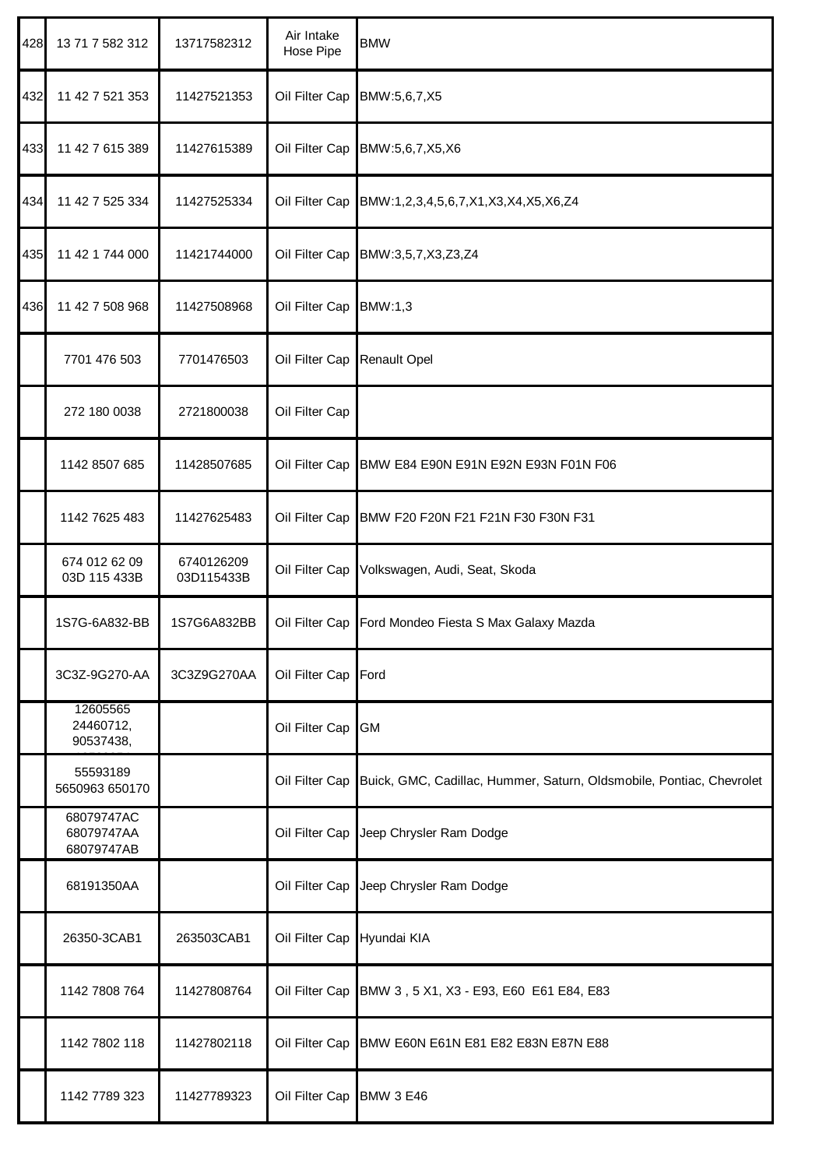| 428 | 13 71 7 582 312                        | 13717582312              | Air Intake<br>Hose Pipe | <b>BMW</b>                                                           |
|-----|----------------------------------------|--------------------------|-------------------------|----------------------------------------------------------------------|
| 432 | 11 42 7 521 353                        | 11427521353              | Oil Filter Cap          | BMW:5,6,7,X5                                                         |
| 433 | 11 42 7 615 389                        | 11427615389              | Oil Filter Cap          | BMW:5,6,7,X5,X6                                                      |
| 434 | 11 42 7 525 334                        | 11427525334              | Oil Filter Cap          | BMW:1,2,3,4,5,6,7,X1,X3,X4,X5,X6,Z4                                  |
| 435 | 11 42 1 744 000                        | 11421744000              | Oil Filter Cap          | BMW:3,5,7,X3,Z3,Z4                                                   |
| 436 | 11 42 7 508 968                        | 11427508968              | Oil Filter Cap          | BMW:1,3                                                              |
|     | 7701 476 503                           | 7701476503               | Oil Filter Cap          | <b>Renault Opel</b>                                                  |
|     | 272 180 0038                           | 2721800038               | Oil Filter Cap          |                                                                      |
|     | 1142 8507 685                          | 11428507685              | Oil Filter Cap          | BMW E84 E90N E91N E92N E93N F01N F06                                 |
|     | 1142 7625 483                          | 11427625483              | Oil Filter Cap          | BMW F20 F20N F21 F21N F30 F30N F31                                   |
|     | 674 012 62 09<br>03D 115 433B          | 6740126209<br>03D115433B | Oil Filter Cap          | Volkswagen, Audi, Seat, Skoda                                        |
|     | 1S7G-6A832-BB                          | 1S7G6A832BB              | Oil Filter Cap          | Ford Mondeo Fiesta S Max Galaxy Mazda                                |
|     | 3C3Z-9G270-AA                          | 3C3Z9G270AA              | Oil Filter Cap          | Ford                                                                 |
|     | 12605565<br>24460712,<br>90537438,     |                          | Oil Filter Cap          | <b>GM</b>                                                            |
|     | 55593189<br>5650963 650170             |                          | Oil Filter Cap          | Buick, GMC, Cadillac, Hummer, Saturn, Oldsmobile, Pontiac, Chevrolet |
|     | 68079747AC<br>68079747AA<br>68079747AB |                          | Oil Filter Cap          | Jeep Chrysler Ram Dodge                                              |
|     | 68191350AA                             |                          | Oil Filter Cap          | Jeep Chrysler Ram Dodge                                              |
|     | 26350-3CAB1                            | 263503CAB1               | Oil Filter Cap          | Hyundai KIA                                                          |
|     | 1142 7808 764                          | 11427808764              | Oil Filter Cap          | BMW 3, 5 X1, X3 - E93, E60 E61 E84, E83                              |
|     | 1142 7802 118                          | 11427802118              | Oil Filter Cap          | BMW E60N E61N E81 E82 E83N E87N E88                                  |
|     | 1142 7789 323                          | 11427789323              | Oil Filter Cap          | <b>BMW 3 E46</b>                                                     |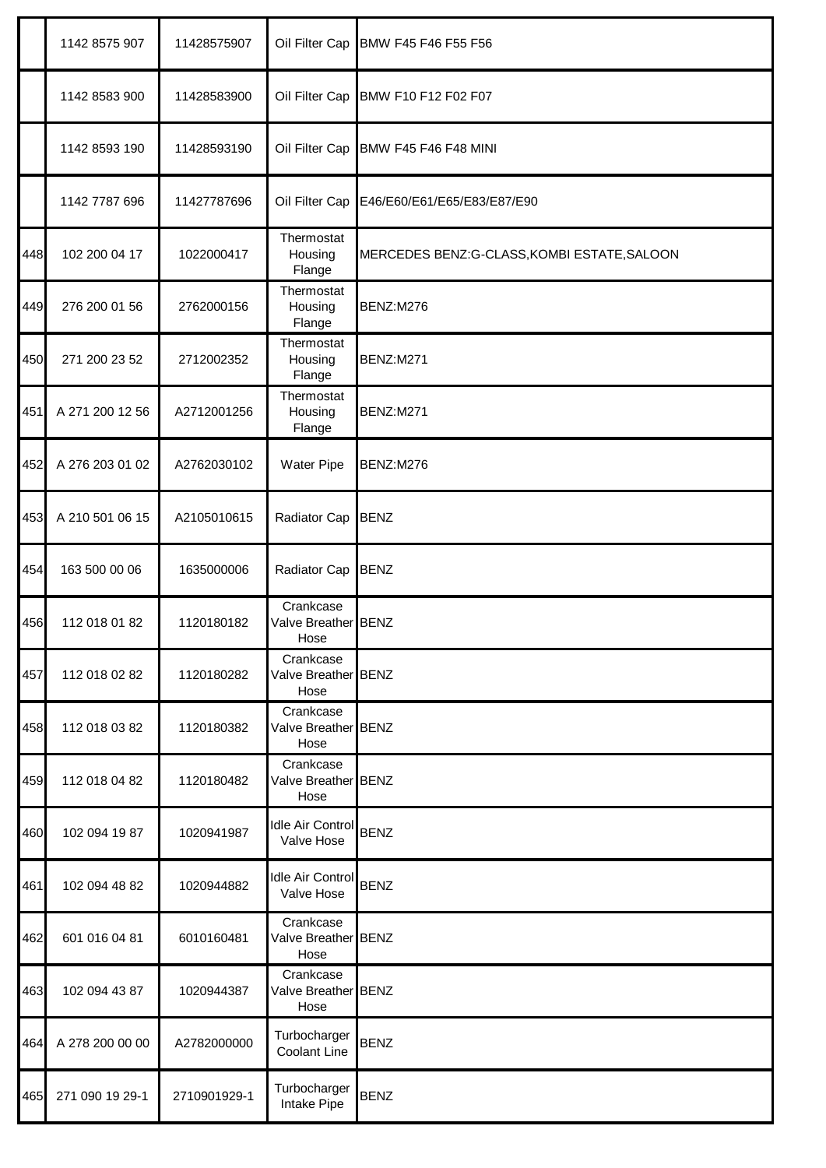|     | 1142 8575 907   | 11428575907  | Oil Filter Cap                           | BMW F45 F46 F55 F56                         |
|-----|-----------------|--------------|------------------------------------------|---------------------------------------------|
|     | 1142 8583 900   | 11428583900  | Oil Filter Cap                           | BMW F10 F12 F02 F07                         |
|     | 1142 8593 190   | 11428593190  | Oil Filter Cap                           | <b>BMW F45 F46 F48 MINI</b>                 |
|     | 1142 7787 696   | 11427787696  | Oil Filter Cap                           | E46/E60/E61/E65/E83/E87/E90                 |
| 448 | 102 200 04 17   | 1022000417   | Thermostat<br>Housing<br>Flange          | MERCEDES BENZ:G-CLASS, KOMBI ESTATE, SALOON |
| 449 | 276 200 01 56   | 2762000156   | Thermostat<br>Housing<br>Flange          | BENZ:M276                                   |
| 450 | 271 200 23 52   | 2712002352   | Thermostat<br>Housing<br>Flange          | BENZ:M271                                   |
| 451 | A 271 200 12 56 | A2712001256  | Thermostat<br>Housing<br>Flange          | BENZ:M271                                   |
| 452 | A 276 203 01 02 | A2762030102  | <b>Water Pipe</b>                        | BENZ:M276                                   |
| 453 | A 210 501 06 15 | A2105010615  | Radiator Cap                             | <b>BENZ</b>                                 |
| 454 | 163 500 00 06   | 1635000006   | Radiator Cap                             | <b>BENZ</b>                                 |
| 456 | 112 018 01 82   | 1120180182   | Crankcase<br>Valve Breather BENZ<br>Hose |                                             |
| 457 | 112 018 02 82   | 1120180282   | Crankcase<br>Valve Breather BENZ<br>Hose |                                             |
| 458 | 112 018 03 82   | 1120180382   | Crankcase<br>Valve Breather BENZ<br>Hose |                                             |
| 459 | 112 018 04 82   | 1120180482   | Crankcase<br>Valve Breather BENZ<br>Hose |                                             |
| 460 | 102 094 19 87   | 1020941987   | Idle Air Control<br>Valve Hose           | <b>BENZ</b>                                 |
| 461 | 102 094 48 82   | 1020944882   | Idle Air Control BENZ<br>Valve Hose      |                                             |
| 462 | 601 016 04 81   | 6010160481   | Crankcase<br>Valve Breather BENZ<br>Hose |                                             |
| 463 | 102 094 43 87   | 1020944387   | Crankcase<br>Valve Breather BENZ<br>Hose |                                             |
| 464 | A 278 200 00 00 | A2782000000  | Turbocharger<br>Coolant Line             | <b>BENZ</b>                                 |
| 465 | 271 090 19 29-1 | 2710901929-1 | Turbocharger<br>Intake Pipe              | <b>BENZ</b>                                 |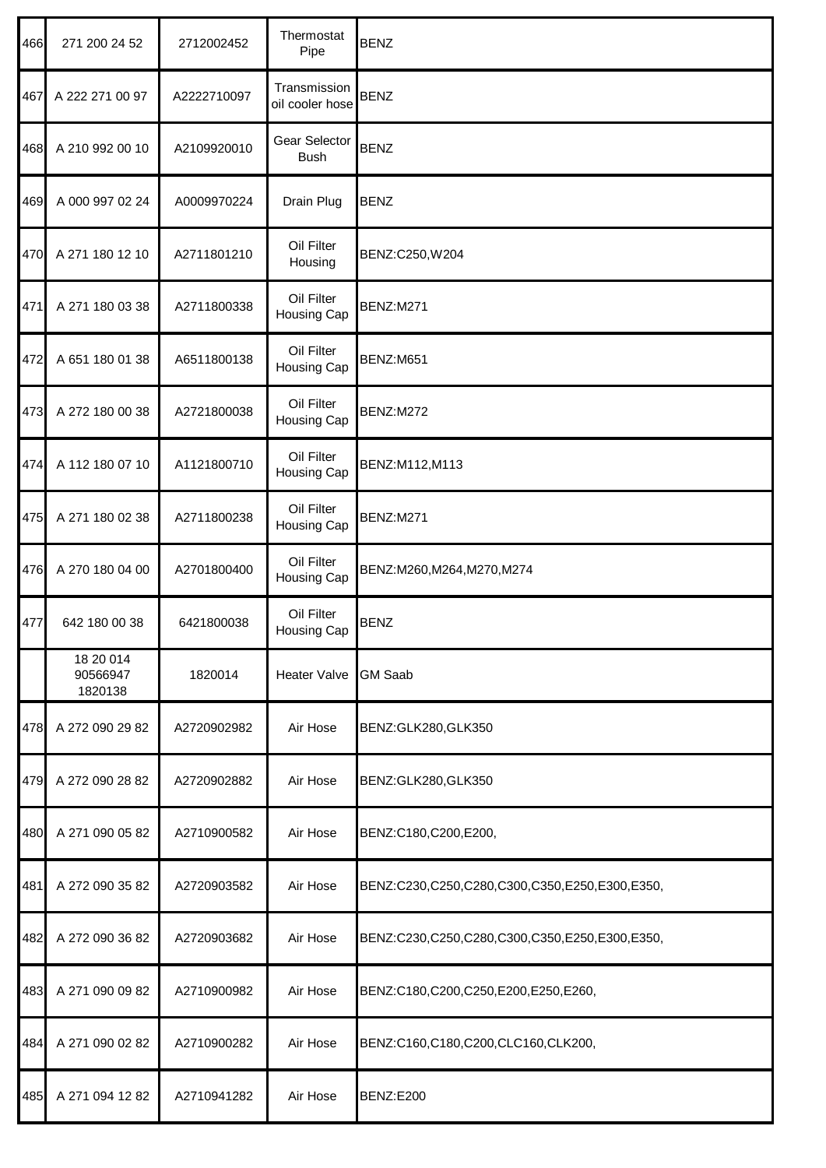| 466 | 271 200 24 52                    | 2712002452  | Thermostat<br>Pipe               | <b>BENZ</b>                                   |
|-----|----------------------------------|-------------|----------------------------------|-----------------------------------------------|
| 467 | A 222 271 00 97                  | A2222710097 | Transmission<br>oil cooler hose  | <b>BENZ</b>                                   |
| 468 | A 210 992 00 10                  | A2109920010 | Gear Selector<br><b>Bush</b>     | <b>BENZ</b>                                   |
| 469 | A 000 997 02 24                  | A0009970224 | Drain Plug                       | <b>BENZ</b>                                   |
| 470 | A 271 180 12 10                  | A2711801210 | Oil Filter<br>Housing            | BENZ:C250, W204                               |
| 471 | A 271 180 03 38                  | A2711800338 | Oil Filter<br><b>Housing Cap</b> | <b>BENZ:M271</b>                              |
| 472 | A 651 180 01 38                  | A6511800138 | Oil Filter<br><b>Housing Cap</b> | BENZ:M651                                     |
| 473 | A 272 180 00 38                  | A2721800038 | Oil Filter<br><b>Housing Cap</b> | <b>BENZ:M272</b>                              |
| 474 | A 112 180 07 10                  | A1121800710 | Oil Filter<br>Housing Cap        | BENZ:M112,M113                                |
| 475 | A 271 180 02 38                  | A2711800238 | Oil Filter<br><b>Housing Cap</b> | <b>BENZ:M271</b>                              |
| 476 | A 270 180 04 00                  | A2701800400 | Oil Filter<br><b>Housing Cap</b> | BENZ:M260,M264,M270,M274                      |
| 477 | 642 180 00 38                    | 6421800038  | Oil Filter<br>Housing Cap        | <b>BENZ</b>                                   |
|     | 18 20 014<br>90566947<br>1820138 | 1820014     | <b>Heater Valve</b>              | <b>GM Saab</b>                                |
| 478 | A 272 090 29 82                  | A2720902982 | Air Hose                         | BENZ:GLK280,GLK350                            |
| 479 | A 272 090 28 82                  | A2720902882 | Air Hose                         | BENZ:GLK280,GLK350                            |
| 480 | A 271 090 05 82                  | A2710900582 | Air Hose                         | BENZ:C180,C200,E200,                          |
| 481 | A 272 090 35 82                  | A2720903582 | Air Hose                         | BENZ:C230,C250,C280,C300,C350,E250,E300,E350, |
| 482 | A 272 090 36 82                  | A2720903682 | Air Hose                         | BENZ:C230,C250,C280,C300,C350,E250,E300,E350, |
| 483 | A 271 090 09 82                  | A2710900982 | Air Hose                         | BENZ:C180,C200,C250,E200,E250,E260,           |
| 484 | A 271 090 02 82                  | A2710900282 | Air Hose                         | BENZ:C160,C180,C200,CLC160,CLK200,            |
| 485 | A 271 094 12 82                  | A2710941282 | Air Hose                         | BENZ:E200                                     |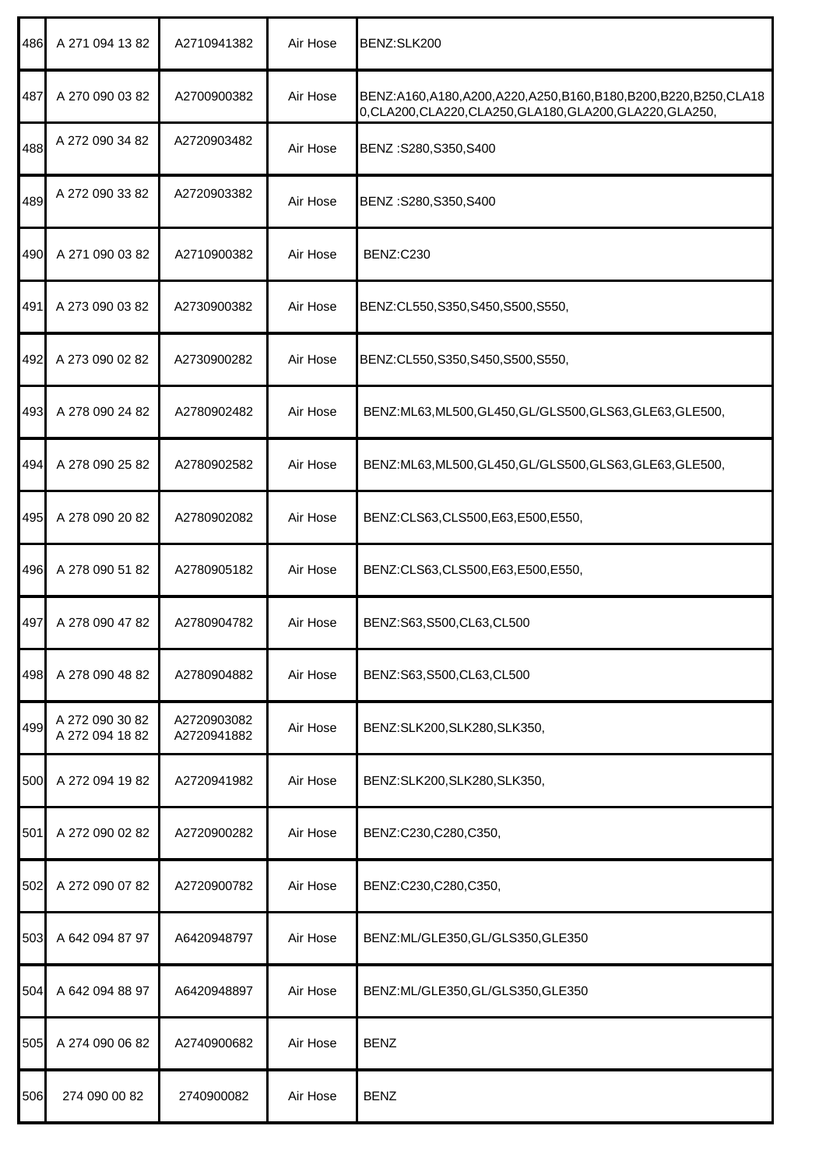| 486 | A 271 094 13 82                    | A2710941382                | Air Hose | BENZ:SLK200                                                                                                                |
|-----|------------------------------------|----------------------------|----------|----------------------------------------------------------------------------------------------------------------------------|
| 487 | A 270 090 03 82                    | A2700900382                | Air Hose | BENZ:A160,A180,A200,A220,A250,B160,B180,B200,B220,B250,CLA18<br>0, CLA200, CLA220, CLA250, GLA180, GLA200, GLA220, GLA250, |
| 488 | A 272 090 34 82                    | A2720903482                | Air Hose | BENZ: S280, S350, S400                                                                                                     |
| 489 | A 272 090 33 82                    | A2720903382                | Air Hose | BENZ:S280,S350,S400                                                                                                        |
| 490 | A 271 090 03 82                    | A2710900382                | Air Hose | BENZ:C230                                                                                                                  |
| 491 | A 273 090 03 82                    | A2730900382                | Air Hose | BENZ:CL550,S350,S450,S500,S550,                                                                                            |
| 492 | A 273 090 02 82                    | A2730900282                | Air Hose | BENZ:CL550,S350,S450,S500,S550,                                                                                            |
| 493 | A 278 090 24 82                    | A2780902482                | Air Hose | BENZ:ML63,ML500,GL450,GL/GLS500,GLS63,GLE63,GLE500,                                                                        |
| 494 | A 278 090 25 82                    | A2780902582                | Air Hose | BENZ:ML63,ML500,GL450,GL/GLS500,GLS63,GLE63,GLE500,                                                                        |
| 495 | A 278 090 20 82                    | A2780902082                | Air Hose | BENZ:CLS63,CLS500,E63,E500,E550,                                                                                           |
| 496 | A 278 090 51 82                    | A2780905182                | Air Hose | BENZ:CLS63,CLS500,E63,E500,E550,                                                                                           |
| 497 | A 278 090 47 82                    | A2780904782                | Air Hose | BENZ:S63,S500,CL63,CL500                                                                                                   |
| 498 | A 278 090 48 82                    | A2780904882                | Air Hose | BENZ:S63,S500,CL63,CL500                                                                                                   |
| 499 | A 272 090 30 82<br>A 272 094 18 82 | A2720903082<br>A2720941882 | Air Hose | BENZ:SLK200,SLK280,SLK350,                                                                                                 |
| 500 | A 272 094 19 82                    | A2720941982                | Air Hose | BENZ:SLK200,SLK280,SLK350,                                                                                                 |
| 501 | A 272 090 02 82                    | A2720900282                | Air Hose | BENZ:C230,C280,C350,                                                                                                       |
| 502 | A 272 090 07 82                    | A2720900782                | Air Hose | BENZ:C230,C280,C350,                                                                                                       |
| 503 | A 642 094 87 97                    | A6420948797                | Air Hose | BENZ:ML/GLE350,GL/GLS350,GLE350                                                                                            |
| 504 | A 642 094 88 97                    | A6420948897                | Air Hose | BENZ:ML/GLE350,GL/GLS350,GLE350                                                                                            |
| 505 | A 274 090 06 82                    | A2740900682                | Air Hose | <b>BENZ</b>                                                                                                                |
| 506 | 274 090 00 82                      | 2740900082                 | Air Hose | <b>BENZ</b>                                                                                                                |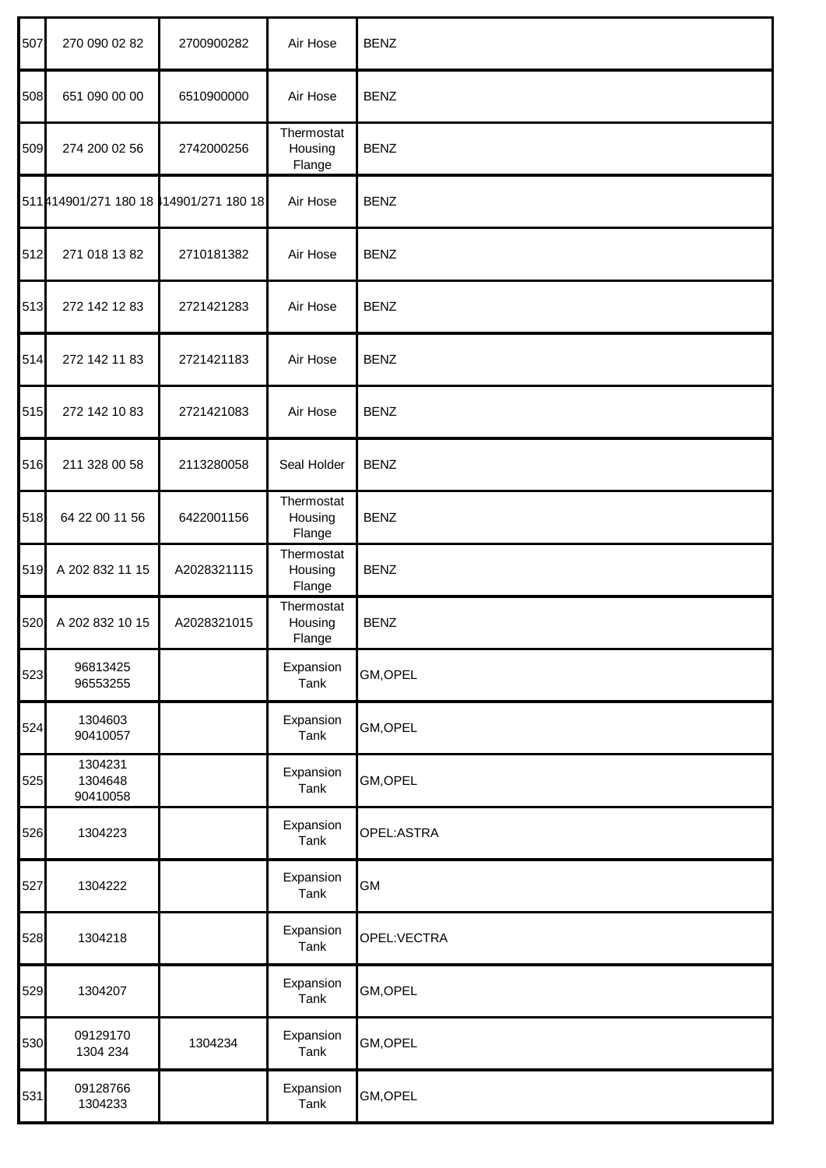| 507 | 270 090 02 82                          | 2700900282  | Air Hose                        | <b>BENZ</b>  |
|-----|----------------------------------------|-------------|---------------------------------|--------------|
| 508 | 651 090 00 00                          | 6510900000  | Air Hose                        | <b>BENZ</b>  |
| 509 | 274 200 02 56                          | 2742000256  | Thermostat<br>Housing<br>Flange | <b>BENZ</b>  |
|     | 511 414901/271 180 18 14901/271 180 18 |             | Air Hose                        | <b>BENZ</b>  |
| 512 | 271 018 13 82                          | 2710181382  | Air Hose                        | <b>BENZ</b>  |
| 513 | 272 142 12 83                          | 2721421283  | Air Hose                        | <b>BENZ</b>  |
| 514 | 272 142 11 83                          | 2721421183  | Air Hose                        | <b>BENZ</b>  |
| 515 | 272 142 10 83                          | 2721421083  | Air Hose                        | <b>BENZ</b>  |
| 516 | 211 328 00 58                          | 2113280058  | Seal Holder                     | <b>BENZ</b>  |
| 518 | 64 22 00 11 56                         | 6422001156  | Thermostat<br>Housing<br>Flange | <b>BENZ</b>  |
| 519 | A 202 832 11 15                        | A2028321115 | Thermostat<br>Housing<br>Flange | <b>BENZ</b>  |
| 520 | A 202 832 10 15                        | A2028321015 | Thermostat<br>Housing<br>Flange | <b>BENZ</b>  |
| 523 | 96813425<br>96553255                   |             | Expansion<br>Tank               | GM, OPEL     |
| 524 | 1304603<br>90410057                    |             | Expansion<br>Tank               | GM, OPEL     |
| 525 | 1304231<br>1304648<br>90410058         |             | Expansion<br>Tank               | GM, OPEL     |
| 526 | 1304223                                |             | Expansion<br>Tank               | OPEL: ASTRA  |
| 527 | 1304222                                |             | Expansion<br>Tank               | <b>GM</b>    |
| 528 | 1304218                                |             | Expansion<br>Tank               | OPEL: VECTRA |
| 529 | 1304207                                |             | Expansion<br>Tank               | GM, OPEL     |
| 530 | 09129170<br>1304 234                   | 1304234     | Expansion<br>Tank               | GM, OPEL     |
| 531 | 09128766<br>1304233                    |             | Expansion<br>Tank               | GM, OPEL     |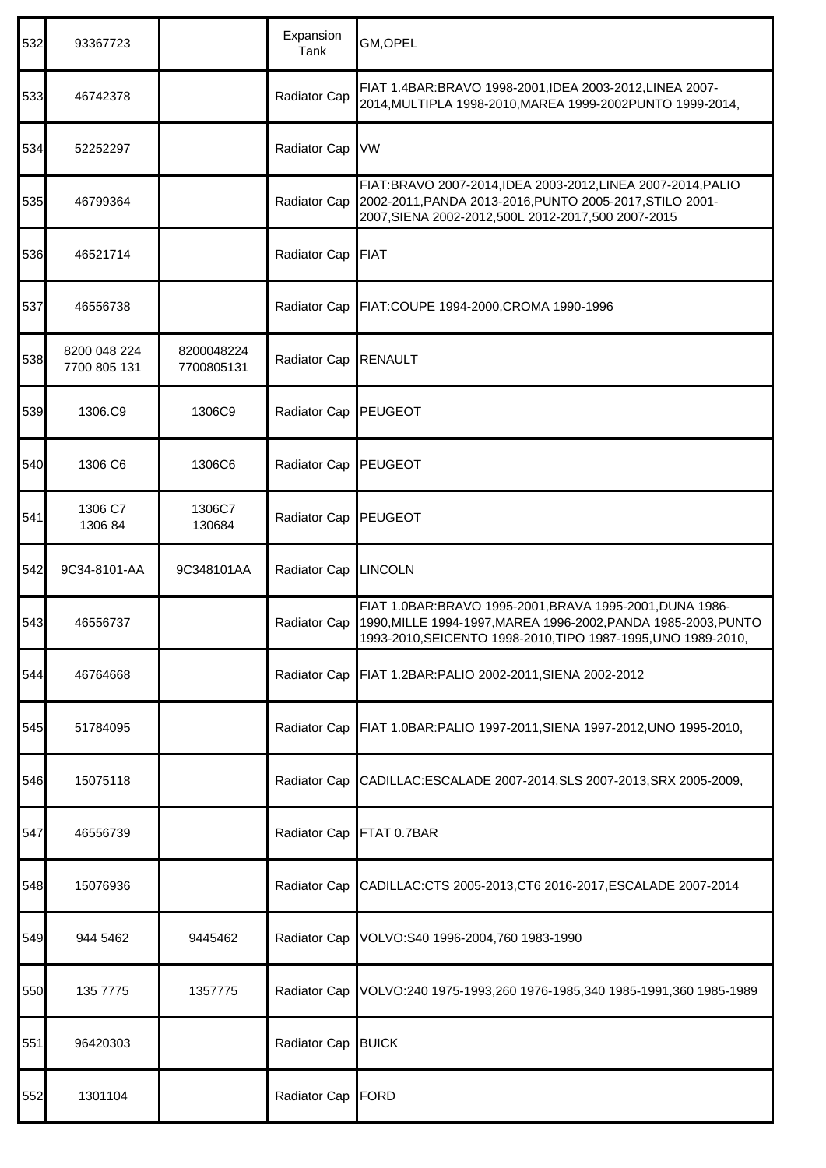| 532 | 93367723                     |                          | Expansion<br>Tank | GM,OPEL                                                                                                                                                                                     |
|-----|------------------------------|--------------------------|-------------------|---------------------------------------------------------------------------------------------------------------------------------------------------------------------------------------------|
| 533 | 46742378                     |                          | Radiator Cap      | FIAT 1.4BAR:BRAVO 1998-2001,IDEA 2003-2012,LINEA 2007-<br>2014, MULTIPLA 1998-2010, MAREA 1999-2002 PUNTO 1999-2014,                                                                        |
| 534 | 52252297                     |                          | Radiator Cap      | VW                                                                                                                                                                                          |
| 535 | 46799364                     |                          | Radiator Cap      | FIAT:BRAVO 2007-2014, IDEA 2003-2012, LINEA 2007-2014, PALIO<br>2002-2011, PANDA 2013-2016, PUNTO 2005-2017, STILO 2001-<br>2007, SIENA 2002-2012, 500L 2012-2017, 500 2007-2015            |
| 536 | 46521714                     |                          | Radiator Cap      | <b>FIAT</b>                                                                                                                                                                                 |
| 537 | 46556738                     |                          | Radiator Cap      | FIAT:COUPE 1994-2000, CROMA 1990-1996                                                                                                                                                       |
| 538 | 8200 048 224<br>7700 805 131 | 8200048224<br>7700805131 | Radiator Cap      | <b>RENAULT</b>                                                                                                                                                                              |
| 539 | 1306.C9                      | 1306C9                   | Radiator Cap      | <b>PEUGEOT</b>                                                                                                                                                                              |
| 540 | 1306 C6                      | 1306C6                   | Radiator Cap      | <b>PEUGEOT</b>                                                                                                                                                                              |
| 541 | 1306 C7<br>1306 84           | 1306C7<br>130684         | Radiator Cap      | PEUGEOT                                                                                                                                                                                     |
| 542 | 9C34-8101-AA                 | 9C348101AA               | Radiator Cap      | <b>LINCOLN</b>                                                                                                                                                                              |
| 543 | 46556737                     |                          | Radiator Cap      | FIAT 1.0BAR:BRAVO 1995-2001, BRAVA 1995-2001, DUNA 1986-<br>1990, MILLE 1994-1997, MAREA 1996-2002, PANDA 1985-2003, PUNTO<br>1993-2010, SEICENTO 1998-2010, TIPO 1987-1995, UNO 1989-2010, |
| 544 | 46764668                     |                          |                   | Radiator Cap FIAT 1.2BAR: PALIO 2002-2011, SIENA 2002-2012                                                                                                                                  |
| 545 | 51784095                     |                          | Radiator Cap      | FIAT 1.0BAR:PALIO 1997-2011, SIENA 1997-2012, UNO 1995-2010,                                                                                                                                |
| 546 | 15075118                     |                          | Radiator Cap      | CADILLAC:ESCALADE 2007-2014, SLS 2007-2013, SRX 2005-2009,                                                                                                                                  |
| 547 | 46556739                     |                          | Radiator Cap      | FTAT 0.7BAR                                                                                                                                                                                 |
| 548 | 15076936                     |                          | Radiator Cap      | CADILLAC:CTS 2005-2013,CT6 2016-2017, ESCALADE 2007-2014                                                                                                                                    |
| 549 | 944 5462                     | 9445462                  | Radiator Cap      | VOLVO:S40 1996-2004,760 1983-1990                                                                                                                                                           |
| 550 | 135 7775                     | 1357775                  | Radiator Cap      | VOLVO:240 1975-1993,260 1976-1985,340 1985-1991,360 1985-1989                                                                                                                               |
| 551 | 96420303                     |                          | Radiator Cap      | <b>BUICK</b>                                                                                                                                                                                |
| 552 | 1301104                      |                          | Radiator Cap      | <b>FORD</b>                                                                                                                                                                                 |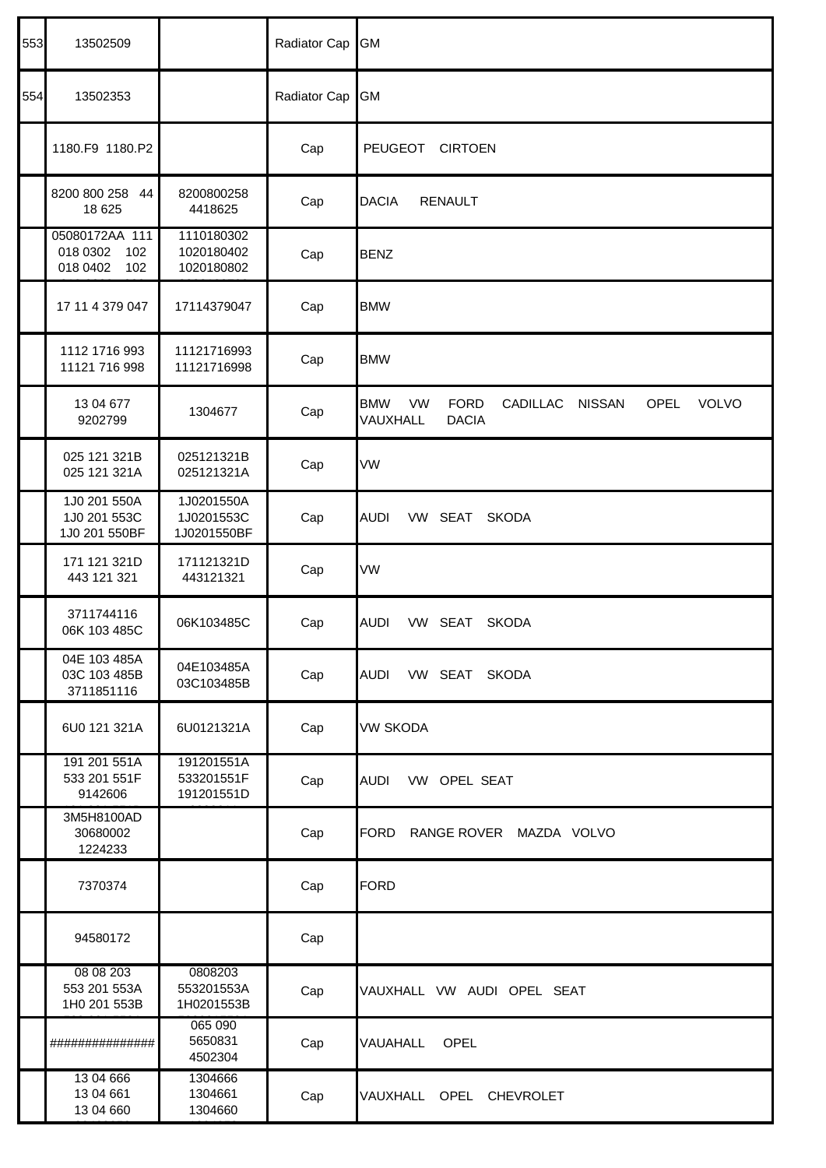| 553 | 13502509                                             |                                         | Radiator Cap | GM                                                                                                                             |
|-----|------------------------------------------------------|-----------------------------------------|--------------|--------------------------------------------------------------------------------------------------------------------------------|
| 554 | 13502353                                             |                                         | Radiator Cap | GM                                                                                                                             |
|     | 1180.F9 1180.P2                                      |                                         | Cap          | PEUGEOT CIRTOEN                                                                                                                |
|     | 8200 800 258 44<br>18 625                            | 8200800258<br>4418625                   | Cap          | <b>DACIA</b><br><b>RENAULT</b>                                                                                                 |
|     | 05080172AA 111<br>018 0302<br>102<br>018 0402<br>102 | 1110180302<br>1020180402<br>1020180802  | Cap          | <b>BENZ</b>                                                                                                                    |
|     | 17 11 4 379 047                                      | 17114379047                             | Cap          | <b>BMW</b>                                                                                                                     |
|     | 1112 1716 993<br>11121 716 998                       | 11121716993<br>11121716998              | Cap          | <b>BMW</b>                                                                                                                     |
|     | 13 04 677<br>9202799                                 | 1304677                                 | Cap          | <b>BMW</b><br><b>VW</b><br><b>FORD</b><br>CADILLAC<br><b>NISSAN</b><br><b>OPEL</b><br><b>VOLVO</b><br><b>DACIA</b><br>VAUXHALL |
|     | 025 121 321B<br>025 121 321A                         | 025121321B<br>025121321A                | Cap          | VW                                                                                                                             |
|     | 1J0 201 550A<br>1J0 201 553C<br>1J0 201 550BF        | 1J0201550A<br>1J0201553C<br>1J0201550BF | Cap          | VW SEAT<br><b>AUDI</b><br><b>SKODA</b>                                                                                         |
|     | 171 121 321D<br>443 121 321                          | 171121321D<br>443121321                 | Cap          | VW                                                                                                                             |
|     | 3711744116<br>06K 103 485C                           | 06K103485C                              | Cap          | <b>AUDI</b><br>VW SEAT<br><b>SKODA</b>                                                                                         |
|     | 04E 103 485A<br>03C 103 485B<br>3711851116           | 04E103485A<br>03C103485B                | Cap          | VW SEAT SKODA<br>AUDI                                                                                                          |
|     | 6U0 121 321A                                         | 6U0121321A                              | Cap          | VW SKODA                                                                                                                       |
|     | 191 201 551A<br>533 201 551F<br>9142606              | 191201551A<br>533201551F<br>191201551D  | Cap          | VW OPEL SEAT<br>AUDI                                                                                                           |
|     | 3M5H8100AD<br>30680002<br>1224233                    |                                         | Cap          | FORD<br>RANGE ROVER MAZDA VOLVO                                                                                                |
|     | 7370374                                              |                                         | Cap          | FORD                                                                                                                           |
|     | 94580172                                             |                                         | Cap          |                                                                                                                                |
|     | 08 08 203<br>553 201 553A<br>1H0 201 553B            | 0808203<br>553201553A<br>1H0201553B     | Cap          | VAUXHALL VW AUDI OPEL SEAT                                                                                                     |
|     | ###############                                      | 065 090<br>5650831<br>4502304           | Cap          | OPEL<br>VAUAHALL                                                                                                               |
|     | 13 04 666<br>13 04 661<br>13 04 660                  | 1304666<br>1304661<br>1304660           | Cap          | VAUXHALL OPEL CHEVROLET                                                                                                        |